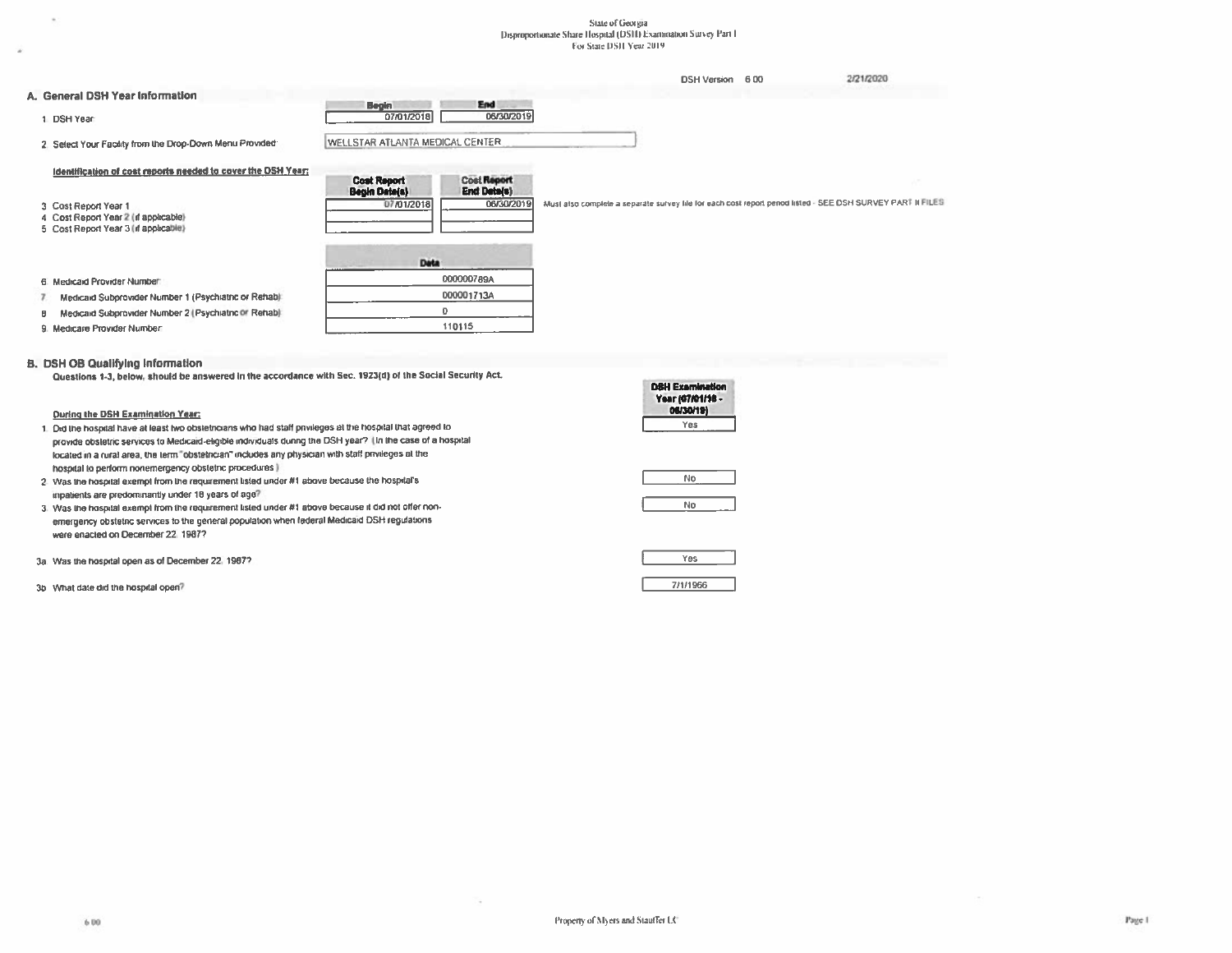# State of Georgia<br>Disproportionate Share Hospital (DSH) Examination Survey Part I<br>For State DSH Year 2019

|                                                                              |                                                                                        | <b>DSH Version</b>                                                                                         | 600 | 2/21/2020 |
|------------------------------------------------------------------------------|----------------------------------------------------------------------------------------|------------------------------------------------------------------------------------------------------------|-----|-----------|
| A. General DSH Year Information                                              | End                                                                                    |                                                                                                            |     |           |
| 1 DSH Year                                                                   | <b>Begin</b><br>07/01/2018<br>06/30/2019                                               |                                                                                                            |     |           |
| 2. Select Your Facility from the Drop-Down Menu Provided:                    | WELLSTAR ATLANTA MEDICAL CENTER                                                        |                                                                                                            |     |           |
| Identification of cost reports needed to cover the DSH_Year;                 |                                                                                        |                                                                                                            |     |           |
|                                                                              | <b>Cost Report</b><br><b>Cost Report</b><br><b>End Deta(s)</b><br><b>Begin Date(s)</b> |                                                                                                            |     |           |
| 3 Cost Report Year 1                                                         | 06/30/2019<br>07/01/2018                                                               | Must also complete a separate survey file for each cost report penod listed - SEE DSH SURVEY PART II FILES |     |           |
| 4 Cost Report Year 2 (if applicable)<br>5 Cost Report Year 3 (if applicable) |                                                                                        |                                                                                                            |     |           |
|                                                                              | <b>Data</b>                                                                            |                                                                                                            |     |           |
|                                                                              |                                                                                        |                                                                                                            |     |           |
| 6. Medicald Provider Number                                                  | 000000789A                                                                             |                                                                                                            |     |           |
| Medicald Subprovider Number 1 (Psychiatric or Rehab):                        | 000001713A                                                                             |                                                                                                            |     |           |
| Medicald Subprovider Number 2 (Psychiatric or Rehab)<br>Β                    | $\mathbf{0}$                                                                           |                                                                                                            |     |           |
| 9. Medicare Provider Number                                                  | 110115                                                                                 |                                                                                                            |     |           |

#### **B. DSH OB Qualifying Information**

 $\mathcal{H}$ 

Questions 1-3, below, should be answered in the accordance with Sec. 1923(d) of the Social Security Act.

| MICSIMIS 1-1' REINA' SUANA DE SUSAELEA IN NIC SAAMASIAC ANN APA' LEPSIA' AL INA ARAISI READII LIAN          |                                                         |
|-------------------------------------------------------------------------------------------------------------|---------------------------------------------------------|
|                                                                                                             | <b>DSH Examination</b><br>Year (07/01/16 -<br>06/30/19) |
| During the DSH Examination Year:                                                                            |                                                         |
| 1. Did the hospital have at least two obstetnoians who had staff privileges at the hospital that agreed to  | Yes                                                     |
| provide obstetric services to Medicaid-eligible individuals during the DSH year? (In the case of a hospital |                                                         |
| located in a rural area, the term "obstetncian" includes any physician with staff privileges at the         |                                                         |
| hospital to perform nonemergency obstatnc procedures                                                        |                                                         |
| 2. Was the hospital exempt from the requirement listed under #1 above because the hospital's                | No                                                      |
| inpatients are predominantly under 18 years of age?                                                         |                                                         |
| 3. Was the hospital exempt from the requirement listed under #1 above because it did not offer non-         | No                                                      |
| emergency obstetnc services to the general population when federal Medicaid DSH regulations                 |                                                         |
| were enacted on December 22, 1987?                                                                          |                                                         |
| 3a. Was the hospital open as of December 22, 1987?                                                          | Yes                                                     |
|                                                                                                             |                                                         |
| 3b What date did the hospital open?                                                                         | 7/1/1966                                                |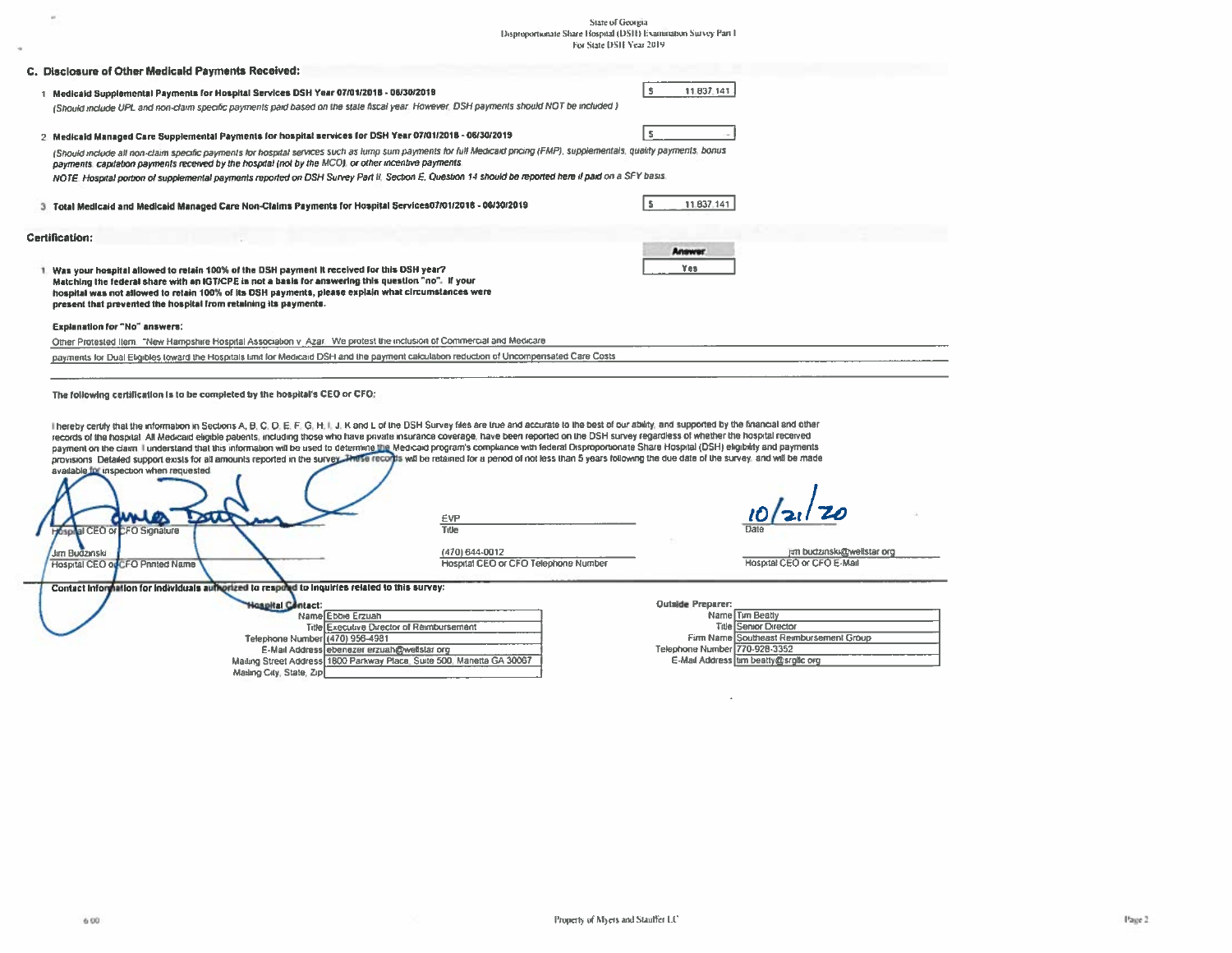# State of Georgia<br>Disproportionate Share Hospital (DSH) Examination Survey Part 1<br>For State DSH Year 2019

| C. Disclosure of Other Medicald Payments Received:                                               |                                                                                                                                                                         |                                                                                                                                                                                                                                                                                                                                                                                                                                                                                                                                                                                                                                                                                                                                                                                                                                                                    |                                                                       |
|--------------------------------------------------------------------------------------------------|-------------------------------------------------------------------------------------------------------------------------------------------------------------------------|--------------------------------------------------------------------------------------------------------------------------------------------------------------------------------------------------------------------------------------------------------------------------------------------------------------------------------------------------------------------------------------------------------------------------------------------------------------------------------------------------------------------------------------------------------------------------------------------------------------------------------------------------------------------------------------------------------------------------------------------------------------------------------------------------------------------------------------------------------------------|-----------------------------------------------------------------------|
|                                                                                                  |                                                                                                                                                                         |                                                                                                                                                                                                                                                                                                                                                                                                                                                                                                                                                                                                                                                                                                                                                                                                                                                                    |                                                                       |
|                                                                                                  | 1 Medicald Supplemental Payments for Hospital Services DSH Year 07/01/2018 - 06/30/2019                                                                                 |                                                                                                                                                                                                                                                                                                                                                                                                                                                                                                                                                                                                                                                                                                                                                                                                                                                                    | s<br>11.837.141                                                       |
|                                                                                                  |                                                                                                                                                                         | (Should include UPL and non-claim specific payments paid based on the state fiscal year. However, DSH payments should NOT be included)                                                                                                                                                                                                                                                                                                                                                                                                                                                                                                                                                                                                                                                                                                                             |                                                                       |
|                                                                                                  |                                                                                                                                                                         |                                                                                                                                                                                                                                                                                                                                                                                                                                                                                                                                                                                                                                                                                                                                                                                                                                                                    |                                                                       |
|                                                                                                  | 2. Medicald Managed Care Supplemental Payments for hospital services for DSH Year 07/01/2018 - 06/30/2019                                                               |                                                                                                                                                                                                                                                                                                                                                                                                                                                                                                                                                                                                                                                                                                                                                                                                                                                                    |                                                                       |
|                                                                                                  |                                                                                                                                                                         | (Should include all non-claim specific payments for hospital services such as lump sum payments for full Medicaid pricing (FMP), supplementals, quality payments, bonus                                                                                                                                                                                                                                                                                                                                                                                                                                                                                                                                                                                                                                                                                            |                                                                       |
|                                                                                                  | payments, capitation payments received by the hospital (not by the MCO), or other incentive payments.                                                                   |                                                                                                                                                                                                                                                                                                                                                                                                                                                                                                                                                                                                                                                                                                                                                                                                                                                                    |                                                                       |
|                                                                                                  |                                                                                                                                                                         | NOTE. Hospital portion of supplemental payments reported on DSH Survey Part II, Section E, Question 14 should be reported here if paid on a SFY basis.                                                                                                                                                                                                                                                                                                                                                                                                                                                                                                                                                                                                                                                                                                             |                                                                       |
|                                                                                                  |                                                                                                                                                                         |                                                                                                                                                                                                                                                                                                                                                                                                                                                                                                                                                                                                                                                                                                                                                                                                                                                                    |                                                                       |
|                                                                                                  | 3. Total Medicald and Medicald Managed Care Non-Claims Payments for Hospital Services07/01/2018 - 06/30/2019                                                            |                                                                                                                                                                                                                                                                                                                                                                                                                                                                                                                                                                                                                                                                                                                                                                                                                                                                    | <b>S</b><br>11.837.141                                                |
|                                                                                                  |                                                                                                                                                                         |                                                                                                                                                                                                                                                                                                                                                                                                                                                                                                                                                                                                                                                                                                                                                                                                                                                                    |                                                                       |
| <b>Certification:</b>                                                                            |                                                                                                                                                                         |                                                                                                                                                                                                                                                                                                                                                                                                                                                                                                                                                                                                                                                                                                                                                                                                                                                                    |                                                                       |
|                                                                                                  |                                                                                                                                                                         |                                                                                                                                                                                                                                                                                                                                                                                                                                                                                                                                                                                                                                                                                                                                                                                                                                                                    | Answer                                                                |
|                                                                                                  | 1. Was your hospital allowed to retain 100% of the DSH payment it received for this DSH year?                                                                           |                                                                                                                                                                                                                                                                                                                                                                                                                                                                                                                                                                                                                                                                                                                                                                                                                                                                    | Yes                                                                   |
|                                                                                                  | Matching the federal share with an IGT/CPE is not a basis for answering this question "no". If your                                                                     |                                                                                                                                                                                                                                                                                                                                                                                                                                                                                                                                                                                                                                                                                                                                                                                                                                                                    |                                                                       |
|                                                                                                  | hospital was not allowed to retain 100% of its DSH payments, please explain what circumstances were<br>present that prevented the hospital from retaining its payments. |                                                                                                                                                                                                                                                                                                                                                                                                                                                                                                                                                                                                                                                                                                                                                                                                                                                                    |                                                                       |
|                                                                                                  |                                                                                                                                                                         |                                                                                                                                                                                                                                                                                                                                                                                                                                                                                                                                                                                                                                                                                                                                                                                                                                                                    |                                                                       |
| Explanation for "No" answers:                                                                    |                                                                                                                                                                         |                                                                                                                                                                                                                                                                                                                                                                                                                                                                                                                                                                                                                                                                                                                                                                                                                                                                    |                                                                       |
|                                                                                                  | Other Protested Item. "New Hampshire Hospital Association v. Azar. We protest the inclusion of Commercial and Medicare                                                  |                                                                                                                                                                                                                                                                                                                                                                                                                                                                                                                                                                                                                                                                                                                                                                                                                                                                    |                                                                       |
|                                                                                                  |                                                                                                                                                                         | payments for Dual Eligibles loward the Hospitals timit for Medicald DSH and the payment calculation reduction of Uncompensated Care Costs                                                                                                                                                                                                                                                                                                                                                                                                                                                                                                                                                                                                                                                                                                                          |                                                                       |
|                                                                                                  |                                                                                                                                                                         |                                                                                                                                                                                                                                                                                                                                                                                                                                                                                                                                                                                                                                                                                                                                                                                                                                                                    |                                                                       |
| available for inspection when requested<br><b>Hospital CEO or CFO Signature</b><br>Jam Budzinski | The following certification is to be completed by the hospital's CEO or CFO:                                                                                            | Thereby certify that the information in Sections A, B, C, D, E, F, G, H, I, J, K and L of the DSH Survey files are true and accurate to the best of our ability, and supported by the financial and other<br>records of the hospital. All Medicard eligible patients, including those who have private insurance coverage, have been reported on the DSH survey regardless of whether the hospital received<br>payment on the claim Tunderstand that this information will be used to determine the Medicaid program's compliance with federal Disproportionate Share Hospital (DSH) eligibility and payments<br>provisions Detailed support exists for all amounts reported in the survey. Thus a record is will be retained for a penod of not less than 5 years following the due date of the survey, and will be made<br><b>EVP</b><br>Title<br>(470) 644-0012 | jim budzinski@wellstar org                                            |
| Hospital CEO ou CFO Printed Name                                                                 |                                                                                                                                                                         | Hospital CEO or CFO Telephone Number                                                                                                                                                                                                                                                                                                                                                                                                                                                                                                                                                                                                                                                                                                                                                                                                                               | Hospital CEO or CFO E-Mail                                            |
|                                                                                                  |                                                                                                                                                                         |                                                                                                                                                                                                                                                                                                                                                                                                                                                                                                                                                                                                                                                                                                                                                                                                                                                                    |                                                                       |
|                                                                                                  | Contact Information for individuals authorized to respond to inquiries related to this survey:                                                                          |                                                                                                                                                                                                                                                                                                                                                                                                                                                                                                                                                                                                                                                                                                                                                                                                                                                                    |                                                                       |
|                                                                                                  | <b>igapital Contact:</b>                                                                                                                                                |                                                                                                                                                                                                                                                                                                                                                                                                                                                                                                                                                                                                                                                                                                                                                                                                                                                                    | <b>Qutside Preparer:</b>                                              |
|                                                                                                  | Name Ebbie Erzuah                                                                                                                                                       |                                                                                                                                                                                                                                                                                                                                                                                                                                                                                                                                                                                                                                                                                                                                                                                                                                                                    | Name Tim Beatly<br><b>Title Senior Director</b>                       |
|                                                                                                  | Telephone Number (470) 956-4981                                                                                                                                         | Title Executive Director of Reimbursement                                                                                                                                                                                                                                                                                                                                                                                                                                                                                                                                                                                                                                                                                                                                                                                                                          | Firm Name Southeast Reimbursement Group                               |
|                                                                                                  | E-Mail Address ebenezer erzuah@wellstar org                                                                                                                             | Mailing Street Address 1800 Parkway Place, Suite 500, Manetta GA 30067                                                                                                                                                                                                                                                                                                                                                                                                                                                                                                                                                                                                                                                                                                                                                                                             | Telephone Number 770-928-3352<br>E-Mail Address tim beatty@srglic org |

 $\mu$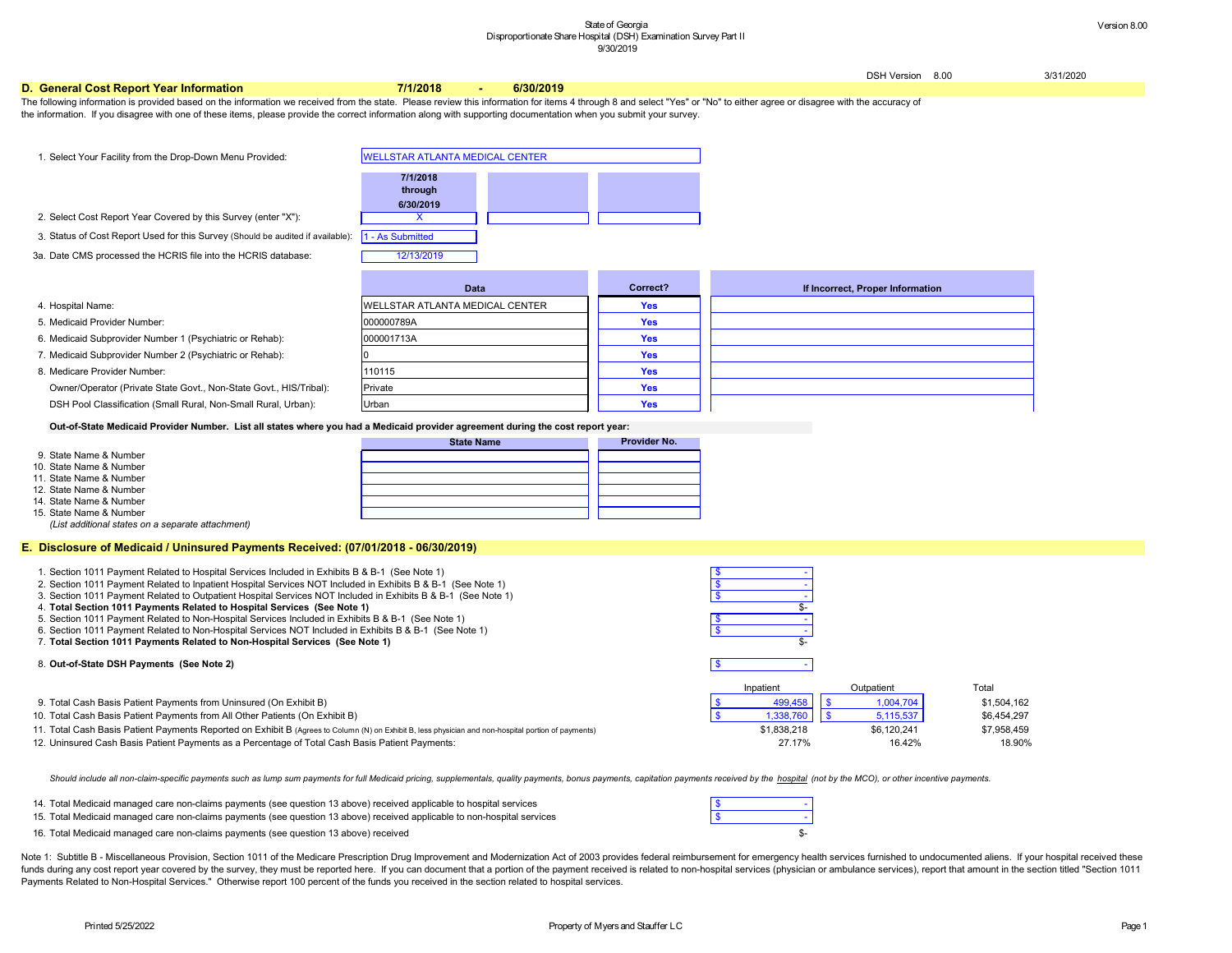DSH Version 8.00 3/31/2020

#### **If** roper Information

Inpatient Cutpatient Current Total

### **D. General Cost Report Year Information 7/1/2018 - 6/30/2019**

- 1. \$ Section 1011 Payment Related to Hospital Services Included in Exhibits B & B-1 (See Note 1)
- 2. \$ Section 1011 Payment Related to Inpatient Hospital Services NOT Included in Exhibits B & B-1 (See Note 1)
- 3. \$ Section 1011 Payment Related to Outpatient Hospital Services NOT Included in Exhibits B & B-1 (See Note 1)
- 4. Total Section 1011 Payments Related to Hospital Services (See Note 1) \$-
- 5. \$ Section 1011 Payment Related to Non-Hospital Services Included in Exhibits B & B-1 (See Note 1)
- 6. Section 1011 Payment Related to Non-Hospital Services NOT Included in Exhibits B & B-1 (See Note 1)

- 15. \$ Total Medicaid managed care non-claims payments (see question 13 above) received applicable to non-hospital services
- 16. Total Medicaid managed care non-claims payments (see question 13 above) received when the controller controller the controller controller see the controller see the controller see the controller see the controller see

DSH Pool Classification (Small Rural, Non-Small Rural, Urban): **Yes**

**Out-of-State Medicaid Provider Number. List all states where you had a Medicaid provider agreement during the cost report year:**

The following information is provided based on the information we received from the state. Please review this information for items 4 through 8 and select "Yes" or "No" to either agree or disagree with the accuracy of the information. If you disagree with one of these items, please provide the correct information along with supporting documentation when you submit your survey.

*(List additional states on a separate attachment)*

## **E. Disclosure of Medicaid / Uninsured Payments Received: (07/01/2018 - 06/30/2019)**

|                         | <b>State Name</b> | <b>Provider No.</b> |
|-------------------------|-------------------|---------------------|
| 9. State Name & Number  |                   |                     |
| 10. State Name & Number |                   |                     |
| 11. State Name & Number |                   |                     |
| 12. State Name & Number |                   |                     |
| 14. State Name & Number |                   |                     |
| 15. State Name & Number |                   |                     |

### 8. \$ - **Out-of-State DSH Payments (See Note 2)**

Note 1: Subtitle B - Miscellaneous Provision, Section 1011 of the Medicare Prescription Drug Improvement and Modernization Act of 2003 provides federal reimbursement for emergency health services furnished to undocumented funds during any cost report year covered by the survey, they must be reported here. If you can document that a portion of the payment received is related to non-hospital services (physician or ambulance services), report Payments Related to Non-Hospital Services." Otherwise report 100 percent of the funds you received in the section related to hospital services.

## 7. -\$ **Total Section 1011 Payments Related to Non-Hospital Services (See Note 1)**

| 1. Select Your Facility from the Drop-Down Menu Provided:                                         | <b>WELLSTAR ATLANTA MEDICAL CENTER</b> |            |                 |
|---------------------------------------------------------------------------------------------------|----------------------------------------|------------|-----------------|
|                                                                                                   | 7/1/2018<br>through<br>6/30/2019       |            |                 |
| 2. Select Cost Report Year Covered by this Survey (enter "X"):                                    |                                        |            |                 |
| 3. Status of Cost Report Used for this Survey (Should be audited if available):  1 - As Submitted |                                        |            |                 |
| 3a. Date CMS processed the HCRIS file into the HCRIS database:                                    | 12/13/2019                             |            |                 |
|                                                                                                   | <b>Data</b>                            | Correct?   | If Incorrect, P |
| 4. Hospital Name:                                                                                 | <b>WELLSTAR ATLANTA MEDICAL CENTER</b> | <b>Yes</b> |                 |
| 5. Medicaid Provider Number:                                                                      | 000000789A                             | <b>Yes</b> |                 |
| 6. Medicaid Subprovider Number 1 (Psychiatric or Rehab):                                          | 000001713A                             | <b>Yes</b> |                 |
| 7. Medicaid Subprovider Number 2 (Psychiatric or Rehab):                                          |                                        | <b>Yes</b> |                 |
| 8. Medicare Provider Number:                                                                      | 110115                                 | <b>Yes</b> |                 |
| Owner/Operator (Private State Govt., Non-State Govt., HIS/Tribal):                                | Private                                | <b>Yes</b> |                 |

- 9. \$ 499,458 \$ 1,004,704 \$ 1,504,162 Total Cash Basis Patient Payments from Uninsured (On Exhibit B)
- 10. \$ 1,338,760 \$ 5,115,537 \$ 6,454,297 Total Cash Basis Patient Payments from All Other Patients (On Exhibit B)
- 11. Total Cash Basis Patient Payments Reported on Exhibit B (Agrees to Column (N) on Exhibit B, less physician and non-hospital portion of payments) \$1,838,218 \$6,120,241 \$7,958,459
- 12. 27.17% 16.42% 18.90% Uninsured Cash Basis Patient Payments as a Percentage of Total Cash Basis Patient Payments:

Should include all non-claim-specific payments such as lump sum payments for full Medicaid pricing, supplementals, quality payments, bonus payments, capitation payments received by the hospital (not by the MCO), or other i

14. \$ - Total Medicaid managed care non-claims payments (see question 13 above) received applicable to hospital services

Urban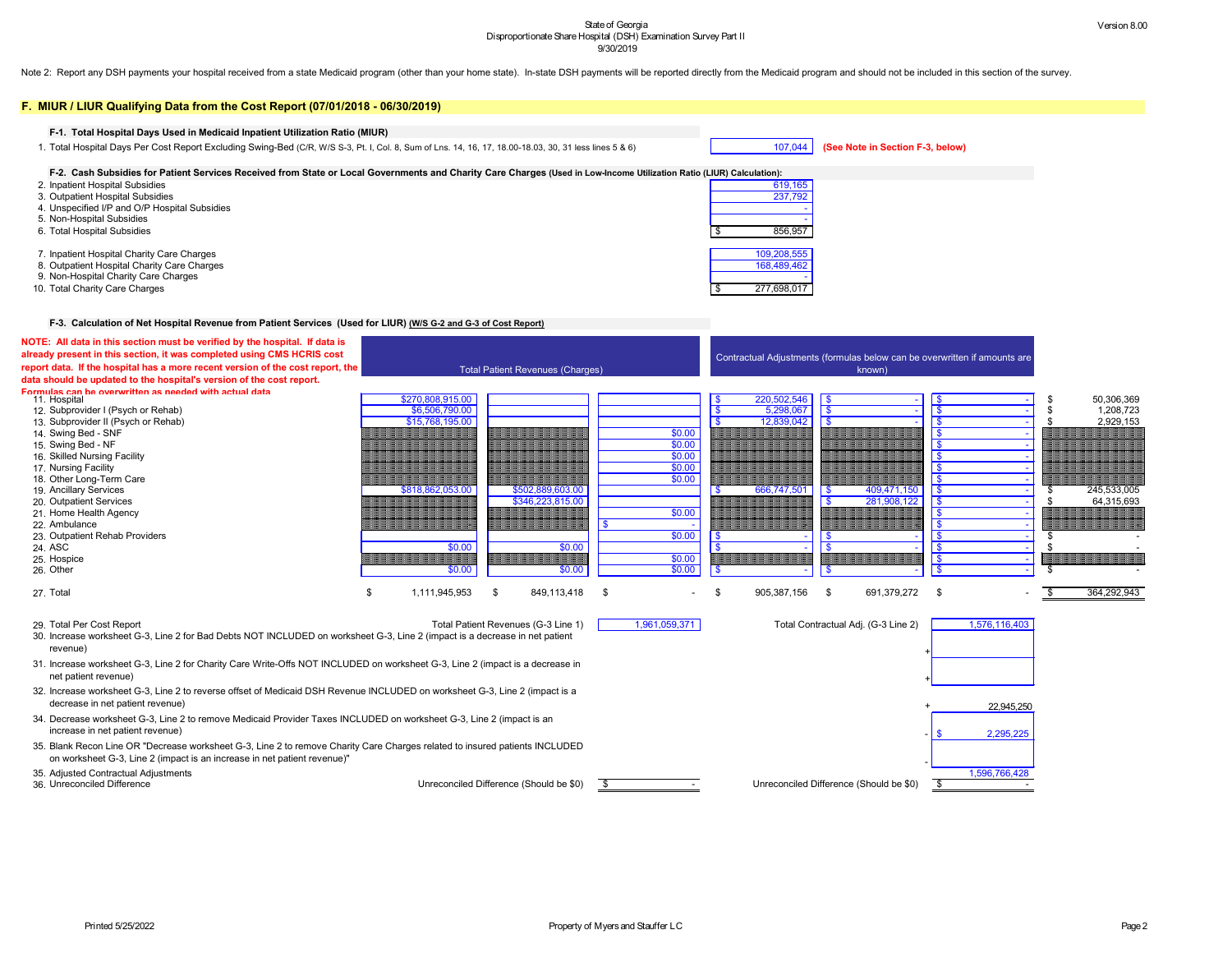Note 2: Report any DSH payments your hospital received from a state Medicaid program (other than your home state). In-state DSH payments will be reported directly from the Medicaid program and should not be included in thi





| F. MIUR / LIUR Qualifying Data from the Cost Report (07/01/2018 - 06/30/2019)                                                                                                                           |                     |      |                                         |      |                  |      |                                                                           |                         |                                     |            |               |                           |
|---------------------------------------------------------------------------------------------------------------------------------------------------------------------------------------------------------|---------------------|------|-----------------------------------------|------|------------------|------|---------------------------------------------------------------------------|-------------------------|-------------------------------------|------------|---------------|---------------------------|
| F-1. Total Hospital Days Used in Medicaid Inpatient Utilization Ratio (MIUR)                                                                                                                            |                     |      |                                         |      |                  |      |                                                                           |                         |                                     |            |               |                           |
| 1. Total Hospital Days Per Cost Report Excluding Swing-Bed (C/R, W/S S-3, Pt. I, Col. 8, Sum of Lns. 14, 16, 17, 18.00-18.03, 30, 31 less lines 5 & 6)                                                  |                     |      |                                         |      |                  |      | 107,044                                                                   |                         | (See Note in Section F-3, below)    |            |               |                           |
| F-2. Cash Subsidies for Patient Services Received from State or Local Governments and Charity Care Charges (Used in Low-Income Utilization Ratio (LIUR) Calculation):                                   |                     |      |                                         |      |                  |      |                                                                           |                         |                                     |            |               |                           |
| 2. Inpatient Hospital Subsidies<br>3. Outpatient Hospital Subsidies                                                                                                                                     |                     |      |                                         |      |                  |      | 619,165<br>237,792                                                        |                         |                                     |            |               |                           |
| 4. Unspecified I/P and O/P Hospital Subsidies                                                                                                                                                           |                     |      |                                         |      |                  |      |                                                                           |                         |                                     |            |               |                           |
| 5. Non-Hospital Subsidies                                                                                                                                                                               |                     |      |                                         |      |                  |      |                                                                           |                         |                                     |            |               |                           |
| 6. Total Hospital Subsidies                                                                                                                                                                             |                     |      |                                         |      |                  |      | 856,957                                                                   |                         |                                     |            |               |                           |
| 7. Inpatient Hospital Charity Care Charges                                                                                                                                                              |                     |      |                                         |      |                  |      | 109,208,555                                                               |                         |                                     |            |               |                           |
| 8. Outpatient Hospital Charity Care Charges                                                                                                                                                             |                     |      |                                         |      |                  |      | 168,489,462                                                               |                         |                                     |            |               |                           |
| 9. Non-Hospital Charity Care Charges                                                                                                                                                                    |                     |      |                                         |      |                  |      |                                                                           |                         |                                     |            |               |                           |
| 10. Total Charity Care Charges                                                                                                                                                                          |                     |      |                                         |      |                  |      | 277,698,017                                                               |                         |                                     |            |               |                           |
| F-3. Calculation of Net Hospital Revenue from Patient Services (Used for LIUR) (W/S G-2 and G-3 of Cost Report)                                                                                         |                     |      |                                         |      |                  |      |                                                                           |                         |                                     |            |               |                           |
| NOTE: All data in this section must be verified by the hospital. If data is                                                                                                                             |                     |      |                                         |      |                  |      |                                                                           |                         |                                     |            |               |                           |
| already present in this section, it was completed using CMS HCRIS cost                                                                                                                                  |                     |      |                                         |      |                  |      | Contractual Adjustments (formulas below can be overwritten if amounts are |                         |                                     |            |               |                           |
| report data. If the hospital has a more recent version of the cost report, the<br>data should be updated to the hospital's version of the cost report.                                                  |                     |      | <b>Total Patient Revenues (Charges)</b> |      |                  |      |                                                                           |                         | known)                              |            |               |                           |
| Formulas can be overwritten as needed with actual data<br>11. Hospital                                                                                                                                  | \$270,808,915.00    |      |                                         |      |                  |      | 220,502,546                                                               | l \$                    |                                     |            |               | 50,306,369                |
| 12. Subprovider I (Psych or Rehab)                                                                                                                                                                      | \$6,506,790.00      |      |                                         |      |                  |      | 5,298,067                                                                 | $\overline{\mathbf{S}}$ |                                     |            |               | 1,208,723                 |
| 13. Subprovider II (Psych or Rehab)                                                                                                                                                                     | \$15,768,195.00     |      |                                         |      |                  |      | 12,839,042                                                                |                         |                                     |            |               | 2,929,153                 |
| 14. Swing Bed - SNF<br>15. Swing Bed - NF                                                                                                                                                               |                     |      |                                         |      | \$0.00<br>\$0.00 |      |                                                                           |                         |                                     |            |               |                           |
| 16. Skilled Nursing Facility                                                                                                                                                                            |                     |      |                                         |      | \$0.00           |      |                                                                           |                         |                                     |            |               |                           |
| 17. Nursing Facility                                                                                                                                                                                    |                     |      |                                         |      | \$0.00           |      |                                                                           |                         |                                     |            |               |                           |
| 18. Other Long-Term Care                                                                                                                                                                                |                     |      |                                         |      | \$0.00           |      |                                                                           |                         |                                     |            |               |                           |
| 19. Ancillary Services<br>20. Outpatient Services                                                                                                                                                       | \$818,862,053.00    |      | \$502,889,603.00<br>\$346,223,815.00    |      |                  |      | 666,747,501                                                               | \$                      | 409,471,150<br>281,908,122          | $\sqrt{3}$ |               | 245,533,005<br>64,315,693 |
| 21. Home Health Agency                                                                                                                                                                                  |                     |      |                                         |      | \$0.00           |      |                                                                           |                         |                                     |            |               |                           |
| 22. Ambulance                                                                                                                                                                                           |                     |      |                                         |      |                  |      |                                                                           |                         |                                     |            |               |                           |
| 23. Outpatient Rehab Providers<br>24. ASC                                                                                                                                                               | \$0.00              |      | \$0.00                                  |      | \$0.00           |      |                                                                           |                         |                                     |            |               |                           |
| 25. Hospice                                                                                                                                                                                             |                     |      |                                         |      | \$0.00           |      |                                                                           |                         |                                     |            |               |                           |
| 26. Other                                                                                                                                                                                               | \$0.00              |      | \$0.00                                  |      | \$0.00           |      |                                                                           |                         |                                     |            |               |                           |
| 27. Total                                                                                                                                                                                               | \$<br>1,111,945,953 | - \$ | 849,113,418                             | - \$ |                  | - \$ | 905,387,156                                                               | - \$                    | 691,379,272                         | \$         |               | 364,292,943               |
| 29. Total Per Cost Report                                                                                                                                                                               |                     |      | Total Patient Revenues (G-3 Line 1)     |      | 1,961,059,371    |      |                                                                           |                         | Total Contractual Adj. (G-3 Line 2) |            | 1,576,116,403 |                           |
| 30. Increase worksheet G-3, Line 2 for Bad Debts NOT INCLUDED on worksheet G-3, Line 2 (impact is a decrease in net patient<br>revenue)                                                                 |                     |      |                                         |      |                  |      |                                                                           |                         |                                     |            |               |                           |
| 31. Increase worksheet G-3, Line 2 for Charity Care Write-Offs NOT INCLUDED on worksheet G-3, Line 2 (impact is a decrease in<br>net patient revenue)                                                   |                     |      |                                         |      |                  |      |                                                                           |                         |                                     |            |               |                           |
| 32. Increase worksheet G-3, Line 2 to reverse offset of Medicaid DSH Revenue INCLUDED on worksheet G-3, Line 2 (impact is a<br>decrease in net patient revenue)                                         |                     |      |                                         |      |                  |      |                                                                           |                         |                                     |            | 22,945,250    |                           |
| 34. Decrease worksheet G-3, Line 2 to remove Medicaid Provider Taxes INCLUDED on worksheet G-3, Line 2 (impact is an<br>increase in net patient revenue)                                                |                     |      |                                         |      |                  |      |                                                                           |                         |                                     |            | 2,295,225     |                           |
| 35. Blank Recon Line OR "Decrease worksheet G-3, Line 2 to remove Charity Care Charges related to insured patients INCLUDED<br>on worksheet G-3, Line 2 (impact is an increase in net patient revenue)" |                     |      |                                         |      |                  |      |                                                                           |                         |                                     |            |               |                           |
| 35. Adjusted Contractual Adjustments<br>36. Unreconciled Difference                                                                                                                                     |                     |      | Unreconciled Difference (Should be \$0) |      |                  |      | Unreconciled Difference (Should be \$0)                                   |                         |                                     |            | 1,596,766,428 |                           |

### **lote in Section F-3, below)**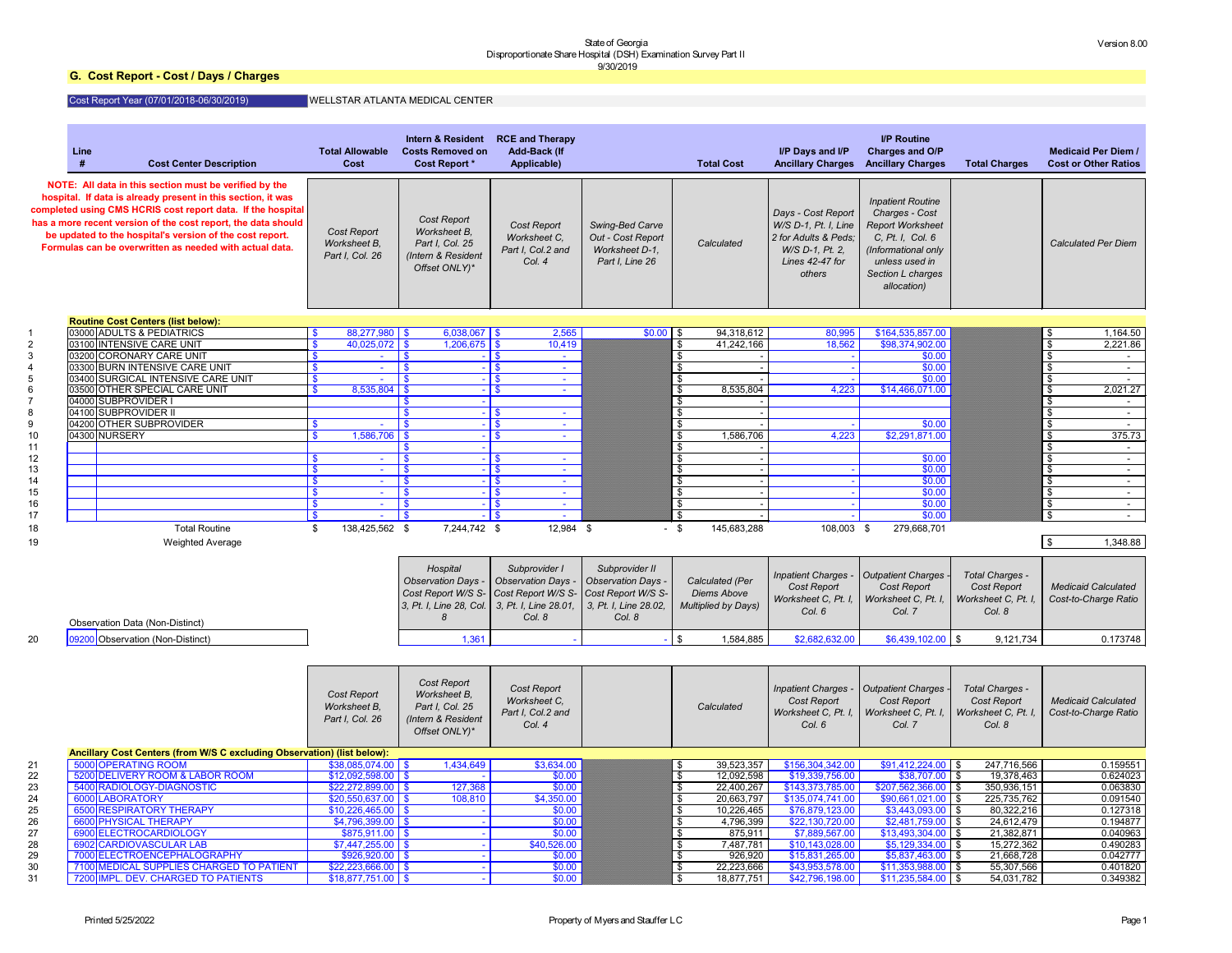## **G. Cost Report - Cost / Days / Charges**

## Cost Report Year (07/01/2018-06/30/2019)

|          | Line<br><b>Cost Center Description</b>                                                                                                                                                                                                                                                                                                                                        | <b>Total Allowable</b><br><b>Cost</b>                 | <b>Intern &amp; Resident</b><br><b>Costs Removed on</b><br><b>Cost Report *</b>              | <b>RCE and Therapy</b><br><b>Add-Back (If</b><br>Applicable)      |                                                                           | <b>Total Cost</b>                                      | I/P Days and I/P<br><b>Ancillary Charges</b>                                                                       | <b>I/P Routine</b><br><b>Charges and O/P</b><br><b>Ancillary Charges</b>                                                                                               | <b>Total Charges</b>                                            | <b>Medicaid Per Diem /</b><br><b>Cost or Other Ratios</b> |
|----------|-------------------------------------------------------------------------------------------------------------------------------------------------------------------------------------------------------------------------------------------------------------------------------------------------------------------------------------------------------------------------------|-------------------------------------------------------|----------------------------------------------------------------------------------------------|-------------------------------------------------------------------|---------------------------------------------------------------------------|--------------------------------------------------------|--------------------------------------------------------------------------------------------------------------------|------------------------------------------------------------------------------------------------------------------------------------------------------------------------|-----------------------------------------------------------------|-----------------------------------------------------------|
|          | NOTE: All data in this section must be verified by the<br>hospital. If data is already present in this section, it was<br>completed using CMS HCRIS cost report data. If the hospital<br>has a more recent version of the cost report, the data should<br>be updated to the hospital's version of the cost report.<br>Formulas can be overwritten as needed with actual data. | <b>Cost Report</b><br>Worksheet B,<br>Part I, Col. 26 | <b>Cost Report</b><br>Worksheet B,<br>Part I, Col. 25<br>(Intern & Resident<br>Offset ONLY)* | <b>Cost Report</b><br>Worksheet C,<br>Part I, Col.2 and<br>Col. 4 | Swing-Bed Carve<br>Out - Cost Report<br>Worksheet D-1,<br>Part I, Line 26 | Calculated                                             | Days - Cost Report<br>W/S D-1, Pt. I, Line<br>2 for Adults & Peds;<br>W/S D-1, Pt. 2,<br>Lines 42-47 for<br>others | <b>Inpatient Routine</b><br>Charges - Cost<br><b>Report Worksheet</b><br>C, Pt. I, Col. 6<br>(Informational only<br>unless used in<br>Section L charges<br>allocation) |                                                                 | <b>Calculated Per Diem</b>                                |
|          | <b>Routine Cost Centers (list below):</b>                                                                                                                                                                                                                                                                                                                                     |                                                       |                                                                                              |                                                                   |                                                                           |                                                        |                                                                                                                    |                                                                                                                                                                        |                                                                 |                                                           |
|          | 03000 ADULTS & PEDIATRICS                                                                                                                                                                                                                                                                                                                                                     | $88,277,980$ \$                                       | $6,038,067$ \$                                                                               | 2,565                                                             | $$0.00$ \$                                                                | 94,318,612                                             | 80,995                                                                                                             | \$164,535,857.00                                                                                                                                                       |                                                                 | 1,164.50<br>- SS                                          |
|          | 03100 INTENSIVE CARE UNIT                                                                                                                                                                                                                                                                                                                                                     | $40,025,072$ \$                                       | $1,206,675$ \$                                                                               | 10,419                                                            |                                                                           | 41,242,166<br>\$                                       | 18,562                                                                                                             | \$98,374,902.00                                                                                                                                                        |                                                                 | 2,221.86<br>\$                                            |
|          | 03200 CORONARY CARE UNIT                                                                                                                                                                                                                                                                                                                                                      |                                                       | -\$                                                                                          | $-1$ \$                                                           |                                                                           | \$                                                     |                                                                                                                    | \$0.00                                                                                                                                                                 |                                                                 |                                                           |
|          | 03300 BURN INTENSIVE CARE UNIT<br>03400 SURGICAL INTENSIVE CARE UNIT                                                                                                                                                                                                                                                                                                          |                                                       | \$<br>\$                                                                                     | <b>College</b><br><b>College</b>                                  |                                                                           |                                                        |                                                                                                                    | \$0.00<br>\$0.00                                                                                                                                                       |                                                                 | -\$<br>-\$                                                |
|          | 03500 OTHER SPECIAL CARE UNIT                                                                                                                                                                                                                                                                                                                                                 | 8,535,804                                             | l \$                                                                                         | - I S<br>$\sim$                                                   |                                                                           | 8,535,804                                              | 4,223                                                                                                              | \$14,466,071.00                                                                                                                                                        |                                                                 | 2,021.27<br>\$                                            |
|          | 04000 SUBPROVIDER                                                                                                                                                                                                                                                                                                                                                             |                                                       |                                                                                              |                                                                   |                                                                           |                                                        |                                                                                                                    |                                                                                                                                                                        |                                                                 |                                                           |
|          | 04100 SUBPROVIDER II                                                                                                                                                                                                                                                                                                                                                          |                                                       |                                                                                              |                                                                   |                                                                           | \$                                                     |                                                                                                                    |                                                                                                                                                                        |                                                                 | -\$                                                       |
|          | 04200 OTHER SUBPROVIDER                                                                                                                                                                                                                                                                                                                                                       |                                                       |                                                                                              |                                                                   |                                                                           |                                                        |                                                                                                                    | \$0.00                                                                                                                                                                 |                                                                 | -\$                                                       |
| 10       | 04300 NURSERY                                                                                                                                                                                                                                                                                                                                                                 | 1,586,706                                             | -96                                                                                          | $\overline{1}$                                                    |                                                                           | 1,586,706<br>\$                                        | 4,223                                                                                                              | \$2,291,871.00                                                                                                                                                         |                                                                 | 375.73<br>\$                                              |
| 11       |                                                                                                                                                                                                                                                                                                                                                                               |                                                       |                                                                                              |                                                                   |                                                                           |                                                        |                                                                                                                    |                                                                                                                                                                        |                                                                 |                                                           |
| 12       |                                                                                                                                                                                                                                                                                                                                                                               | $\sim$                                                | \$                                                                                           | $\sim$                                                            |                                                                           | \$                                                     |                                                                                                                    | \$0.00                                                                                                                                                                 |                                                                 | -\$                                                       |
| 13       |                                                                                                                                                                                                                                                                                                                                                                               |                                                       | \$                                                                                           | <b>College</b>                                                    |                                                                           | \$                                                     |                                                                                                                    | \$0.00                                                                                                                                                                 |                                                                 | -\$                                                       |
| 14       |                                                                                                                                                                                                                                                                                                                                                                               | $\sim$                                                | \$                                                                                           | <b>College</b>                                                    |                                                                           | \$                                                     |                                                                                                                    | \$0.00                                                                                                                                                                 |                                                                 | -\$                                                       |
| 15       |                                                                                                                                                                                                                                                                                                                                                                               | $\mathbf{\$}$<br>$\sim$                               | $\boldsymbol{\mathsf{s}}$                                                                    | - I \$<br><b>College</b>                                          |                                                                           | \$                                                     |                                                                                                                    | \$0.00                                                                                                                                                                 |                                                                 | \$<br>$\sim$                                              |
| 16       |                                                                                                                                                                                                                                                                                                                                                                               | $\boldsymbol{\mathsf{S}}$<br>$\sim$                   | $\boldsymbol{\mathsf{s}}$                                                                    | <b>College</b>                                                    |                                                                           | \$                                                     |                                                                                                                    | \$0.00                                                                                                                                                                 |                                                                 | $\boldsymbol{\mathsf{\$}}$<br>$\sim$                      |
| 17       |                                                                                                                                                                                                                                                                                                                                                                               |                                                       | <b>S</b>                                                                                     |                                                                   |                                                                           | $\mathfrak{S}$                                         |                                                                                                                    | \$0.00                                                                                                                                                                 |                                                                 | -\$                                                       |
| 18       | <b>Total Routine</b>                                                                                                                                                                                                                                                                                                                                                          | 138,425,562 \$<br>S                                   | 7,244,742 \$                                                                                 | 12,984 \$                                                         |                                                                           | - \$<br>145,683,288                                    | 108,003 \$                                                                                                         | 279,668,701                                                                                                                                                            |                                                                 |                                                           |
| 19       | <b>Weighted Average</b>                                                                                                                                                                                                                                                                                                                                                       |                                                       |                                                                                              |                                                                   |                                                                           |                                                        |                                                                                                                    |                                                                                                                                                                        |                                                                 | \$<br>1,348.88                                            |
|          |                                                                                                                                                                                                                                                                                                                                                                               |                                                       |                                                                                              |                                                                   |                                                                           |                                                        |                                                                                                                    |                                                                                                                                                                        |                                                                 |                                                           |
|          |                                                                                                                                                                                                                                                                                                                                                                               |                                                       | Hospital                                                                                     | Subprovider I                                                     | Subprovider II                                                            |                                                        | Inpatient Charges -                                                                                                | <b>Outpatient Charges -</b>                                                                                                                                            | Total Charges -                                                 |                                                           |
|          |                                                                                                                                                                                                                                                                                                                                                                               |                                                       | Observation Days .                                                                           | <b>Observation Days -</b>                                         | <b>Observation Days -</b>                                                 | Calculated (Per                                        | <b>Cost Report</b>                                                                                                 | <b>Cost Report</b>                                                                                                                                                     | Cost Report                                                     | <b>Medicaid Calculated</b>                                |
|          |                                                                                                                                                                                                                                                                                                                                                                               |                                                       | Cost Report W/S S- Cost Report W/S S-                                                        |                                                                   | Cost Report W/S S-                                                        | Diems Above                                            | Worksheet C, Pt. I,                                                                                                | Worksheet C, Pt. I,                                                                                                                                                    | Worksheet C, Pt. I.                                             | Cost-to-Charge Ratio                                      |
|          |                                                                                                                                                                                                                                                                                                                                                                               |                                                       | 3, Pt. I, Line 28, Col. 3, Pt. I, Line 28.01,                                                |                                                                   | 3, Pt. I, Line 28.02,                                                     | Multiplied by Days)                                    | Col. 6                                                                                                             | Col. 7                                                                                                                                                                 | Col. 8                                                          |                                                           |
|          | <b>Observation Data (Non-Distinct)</b>                                                                                                                                                                                                                                                                                                                                        |                                                       | 8                                                                                            | Col. 8                                                            | Col. 8                                                                    |                                                        |                                                                                                                    |                                                                                                                                                                        |                                                                 |                                                           |
| 20       | 09200 Observation (Non-Distinct)                                                                                                                                                                                                                                                                                                                                              |                                                       | 1,361                                                                                        |                                                                   |                                                                           | <b>S</b><br>1,584,885                                  | \$2,682,632.00                                                                                                     | $$6,439,102.00$ \\$                                                                                                                                                    | 9,121,734                                                       | 0.173748                                                  |
|          |                                                                                                                                                                                                                                                                                                                                                                               |                                                       |                                                                                              |                                                                   |                                                                           |                                                        |                                                                                                                    |                                                                                                                                                                        |                                                                 |                                                           |
|          |                                                                                                                                                                                                                                                                                                                                                                               |                                                       |                                                                                              |                                                                   |                                                                           |                                                        |                                                                                                                    |                                                                                                                                                                        |                                                                 |                                                           |
|          |                                                                                                                                                                                                                                                                                                                                                                               | <b>Cost Report</b><br>Worksheet B,<br>Part I, Col. 26 | <b>Cost Report</b><br>Worksheet B,<br>Part I, Col. 25<br>(Intern & Resident<br>Offset ONLY)* | <b>Cost Report</b><br>Worksheet C,<br>Part I, Col.2 and<br>Col. 4 |                                                                           | Calculated                                             | <b>Inpatient Charges -</b><br>Cost Report<br>Worksheet C, Pt. I,<br>Col. 6                                         | Outpatient Charges<br><b>Cost Report</b><br>Worksheet C, Pt. I,<br>Col. 7                                                                                              | Total Charges -<br>Cost Report<br>Worksheet C, Pt. I.<br>Col. 8 | <b>Medicaid Calculated</b><br>Cost-to-Charge Ratio        |
|          | Ancillary Cost Centers (from W/S C excluding Observation) (list below):                                                                                                                                                                                                                                                                                                       |                                                       |                                                                                              |                                                                   |                                                                           |                                                        |                                                                                                                    |                                                                                                                                                                        |                                                                 |                                                           |
| 21       | 5000 OPERATING ROOM                                                                                                                                                                                                                                                                                                                                                           | $$38,085,074.00$ \$                                   | 1,434,649                                                                                    | \$3,634.00                                                        |                                                                           | \$<br>39,523,357                                       | \$156,304,342.00                                                                                                   | $$91,412,224.00$ \\$                                                                                                                                                   | 247,716,566                                                     | 0.159551                                                  |
| 22       | 5200 DELIVERY ROOM & LABOR ROOM                                                                                                                                                                                                                                                                                                                                               | $$12,092,598.00$ \$                                   |                                                                                              | \$0.00                                                            |                                                                           | $\overline{\mathbf{e}}$<br>12,092,598                  | \$19,339,756.00                                                                                                    | $$38,707.00$ \\$                                                                                                                                                       | 19,378,463                                                      | 0.624023                                                  |
| 23       | 5400 RADIOLOGY-DIAGNOSTIC                                                                                                                                                                                                                                                                                                                                                     | $$22,272,899.00$ \ \$                                 | 127,368                                                                                      | \$0.00                                                            |                                                                           | $\overline{\mathbf{e}}$<br>22,400,267                  | \$143,373,785.00                                                                                                   | $$207,562,366.00$ \$                                                                                                                                                   | 350,936,151                                                     | 0.063830                                                  |
| 24       | 6000 LABORATORY                                                                                                                                                                                                                                                                                                                                                               | $$20,550,637.00$ \ \$                                 | 108,810                                                                                      | \$4,350.00                                                        |                                                                           | $\overline{\mathbf{3}}$<br>20,663,797                  | \$135,074,741.00                                                                                                   | \$90,661,021.00                                                                                                                                                        | 225,735,762<br><b>S</b>                                         | 0.091540                                                  |
| 25       | 6500 RESPIRATORY THERAPY                                                                                                                                                                                                                                                                                                                                                      | $$10,226,465.00$ \ \$                                 |                                                                                              | \$0.00                                                            |                                                                           | $\overline{\mathbf{3}}$<br>10,226,465                  | \$76,879,123.00                                                                                                    | $$3,443,093.00$ \$                                                                                                                                                     | 80,322,216                                                      | 0.127318                                                  |
| 26       | 6600 PHYSICAL THERAPY                                                                                                                                                                                                                                                                                                                                                         | $$4,796,399.00$ \ \$                                  |                                                                                              | \$0.00                                                            |                                                                           | $\sqrt[6]{\frac{1}{2}}$<br>4,796,399                   | \$22,130,720.00                                                                                                    | $$2,481,759.00$ \$                                                                                                                                                     | 24,612,479                                                      | 0.194877                                                  |
| 27       | 6900 ELECTROCARDIOLOGY                                                                                                                                                                                                                                                                                                                                                        | $$875,911.00$ \ \$                                    |                                                                                              | \$0.00                                                            |                                                                           | $\mathfrak s$<br>875,911                               | \$7,889,567.00                                                                                                     | $$13,493,304.00$ \$                                                                                                                                                    | 21,382,871                                                      | 0.040963                                                  |
| 28       | 6902 CARDIOVASCULAR LAB<br>7000 ELECTROENCEPHALOGRAPHY                                                                                                                                                                                                                                                                                                                        | $$7,447,255.00$ \ \$<br>$$926,920.00$ \ \$            |                                                                                              | \$40,526.00                                                       |                                                                           | $\mathfrak s$<br>7,487,781<br>$\mathfrak s$<br>926,920 | \$10,143,028.00<br>\$15,831,265.00                                                                                 | $$5,129,334.00$ \\$<br>$$5,837,463.00$ \\$                                                                                                                             | 15,272,362                                                      | 0.490283<br>0.042777                                      |
| 29<br>30 | 7100 MEDICAL SUPPLIES CHARGED TO PATIENT                                                                                                                                                                                                                                                                                                                                      | $$22,223,666.00$ \\$                                  |                                                                                              | \$0.00<br>\$0.00                                                  |                                                                           | \$<br>22,223,666                                       | \$43,953,578.00                                                                                                    | $$11,353,988.00$ \\$                                                                                                                                                   | 21,668,728<br>55,307,566                                        | 0.401820                                                  |
| 31       | 7200 IMPL. DEV. CHARGED TO PATIENTS                                                                                                                                                                                                                                                                                                                                           | $$18,877,751.00$ \\$                                  |                                                                                              | \$0.00                                                            |                                                                           | $\overline{\mathbf{e}}$<br>18,877,751                  | \$42,796,198.00                                                                                                    | $$11,235,584.00$ \$                                                                                                                                                    | 54,031,782                                                      | 0.349382                                                  |
|          |                                                                                                                                                                                                                                                                                                                                                                               |                                                       |                                                                                              |                                                                   |                                                                           |                                                        |                                                                                                                    |                                                                                                                                                                        |                                                                 |                                                           |

## WELLSTAR ATLANTA MEDICAL CENTER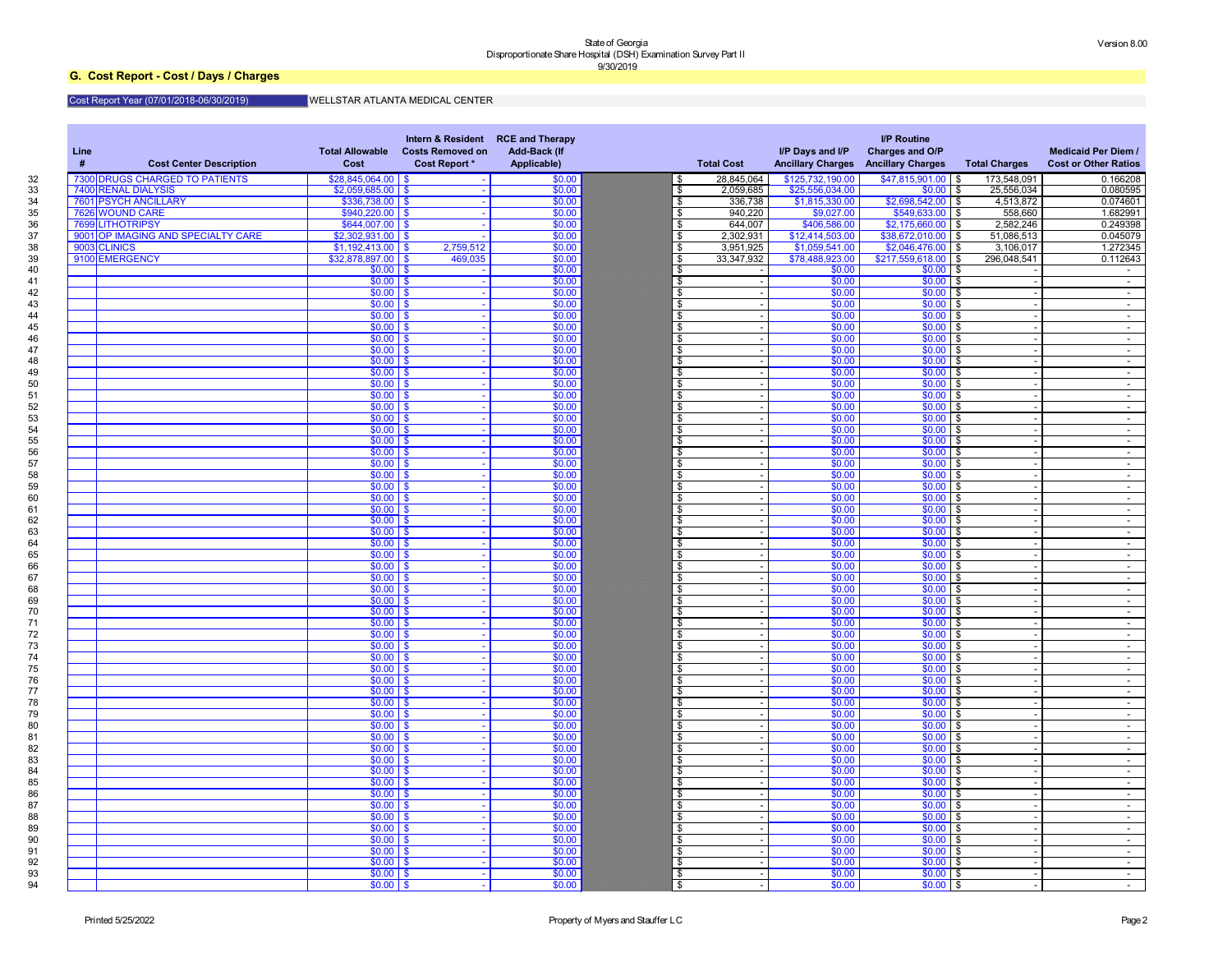## **G. Cost Report - Cost / Days / Charges**

### Cost Report Year (07/01/2018-06/30/2019) WELLSTAR ATLANTA MEDICAL CENTER

| Line<br>-#<br><b>Cost Center Description</b> | <b>Total Allowable</b><br><b>Cost</b> | Intern & Resident RCE and Therapy<br><b>Costs Removed on</b><br><b>Cost Report *</b> | <b>Add-Back (If</b><br>Applicable) |                               | <b>Total Cost</b> | I/P Days and I/P<br><b>Ancillary Charges</b> | <b>I/P Routine</b><br>Charges and O/P<br><b>Ancillary Charges</b> | <b>Total Charges</b> | <b>Medicaid Per Diem /</b><br><b>Cost or Other Ratios</b> |
|----------------------------------------------|---------------------------------------|--------------------------------------------------------------------------------------|------------------------------------|-------------------------------|-------------------|----------------------------------------------|-------------------------------------------------------------------|----------------------|-----------------------------------------------------------|
| 7300 DRUGS CHARGED TO PATIENTS               | $$28,845,064.00$ \$                   |                                                                                      | \$0.00                             | \$                            | 28,845,064        | \$125,732,190.00                             | $$47,815,901.00$ \$                                               | 173,548,091          | 0.166208                                                  |
| 7400 RENAL DIALYSIS                          | $$2,059,685.00$ \$                    |                                                                                      | \$0.00                             | \$                            | 2,059,685         | \$25,556,034.00                              | $$0.00$ \$                                                        | 25,556,034           | 0.080595                                                  |
| 7601 PSYCH ANCILLARY                         | $$336,738.00$ \ \$                    |                                                                                      | \$0.00                             | \$                            | 336,738           | \$1,815,330.00                               | $$2,698,542.00$ \$                                                | 4,513,872            | 0.074601                                                  |
| 7626 WOUND CARE                              | $$940,220.00$ \ \$                    |                                                                                      | \$0.00                             | \$                            | 940,220           | \$9,027.00                                   | $$549,633.00$ \$                                                  | 558,660              | 1.682991                                                  |
| 7699 LITHOTRIPSY                             | $$644,007.00$ \\$                     |                                                                                      | \$0.00                             | \$                            | 644,007           | \$406,586.00                                 | $$2,175,660.00$ \$                                                | 2,582,246            | 0.249398                                                  |
| 9001 OP IMAGING AND SPECIALTY CARE           | $$2,302,931.00$ \\$                   |                                                                                      | \$0.00                             | \$                            | 2,302,931         | \$12,414,503.00                              | $$38,672,010.00$ \$                                               | 51,086,513           | 0.045079                                                  |
| 9003 CLINICS                                 | $$1,192,413.00$ \\$                   | 2,759,512                                                                            | \$0.00                             | \$                            | 3,951,925         | \$1,059,541.00                               | $$2,046,476.00$ \$                                                | 3,106,017            | 1.272345                                                  |
| 9100 EMERGENCY                               | $$32,878,897.00$ \\$                  | 469,035                                                                              | \$0.00                             |                               | 33, 347, 932      | \$78,488,923.00                              | $$217,559,618.00$ \$                                              | 296,048,541          | 0.112643                                                  |
|                                              | $$0.00$ \ \$                          |                                                                                      | \$0.00                             | \$                            |                   | \$0.00                                       | $$0.00$ \$                                                        |                      | $\sim$                                                    |
|                                              | $$0.00$ \$                            |                                                                                      | \$0.00                             | \$                            |                   | \$0.00                                       | $$0.00$ \$                                                        |                      | $\sim$                                                    |
|                                              | $$0.00$ \ \$                          |                                                                                      | \$0.00                             | \$                            |                   | \$0.00                                       | $$0.00$ \$                                                        |                      | $\sim$                                                    |
|                                              | $$0.00$ \ \$                          |                                                                                      | \$0.00                             | \$                            |                   | \$0.00                                       | $$0.00$ \$                                                        |                      | $\sim$                                                    |
|                                              | $$0.00$ \ \$                          |                                                                                      | \$0.00                             | \$                            |                   | \$0.00                                       | $$0.00$ \$                                                        |                      |                                                           |
|                                              | $$0.00$ \ \$                          |                                                                                      | \$0.00                             | \$                            |                   | \$0.00                                       | $$0.00$ \$                                                        |                      | $\sim$                                                    |
|                                              |                                       |                                                                                      |                                    |                               |                   |                                              | $$0.00$ \$                                                        |                      | $\sim$                                                    |
|                                              | $$0.00$ \ \$                          |                                                                                      | \$0.00                             | \$                            |                   | \$0.00                                       |                                                                   |                      | $\sim$                                                    |
|                                              | $$0.00$ \ \$                          |                                                                                      | \$0.00                             | \$                            |                   | \$0.00                                       | $$0.00$ \$                                                        |                      | $\sim$                                                    |
|                                              | $$0.00$ \ \$                          |                                                                                      | \$0.00                             | \$                            |                   | \$0.00                                       | $$0.00$ \$                                                        |                      | $\sim$                                                    |
|                                              | $$0.00$ \ \$                          |                                                                                      | \$0.00                             | \$                            |                   | \$0.00                                       | $$0.00$ \$                                                        |                      | $\sim$                                                    |
|                                              | $$0.00$ \ \$                          |                                                                                      | \$0.00                             | \$                            |                   | \$0.00                                       | $$0.00$ \$                                                        |                      | $\blacksquare$                                            |
|                                              | $$0.00$ \ \$                          |                                                                                      | \$0.00                             | \$                            |                   | \$0.00                                       | $$0.00$ \$                                                        |                      | $\sim$                                                    |
|                                              | $$0.00$ \ \$                          |                                                                                      | \$0.00                             | \$                            |                   | \$0.00                                       | $$0.00$ \$                                                        |                      | $\sim$                                                    |
|                                              | $$0.00$ \ \$                          |                                                                                      | \$0.00                             | \$                            |                   | \$0.00                                       | $$0.00$ \$                                                        |                      | $\sim$                                                    |
|                                              | $$0.00$ \ \$                          |                                                                                      | \$0.00                             | \$                            |                   | \$0.00                                       | $$0.00$ \$                                                        |                      | $\sim$                                                    |
|                                              | $$0.00$ \ \$                          |                                                                                      | \$0.00                             | \$                            |                   | \$0.00                                       | $$0.00$ \$                                                        |                      | $\sim$                                                    |
|                                              | $$0.00$ \ \$                          |                                                                                      | \$0.00                             | \$                            |                   | \$0.00                                       | $$0.00$ \$                                                        |                      | $\sim$                                                    |
|                                              | $$0.00$ \ \$                          |                                                                                      | \$0.00                             | \$                            |                   | \$0.00                                       | $$0.00$ \$                                                        |                      | $\sim$                                                    |
|                                              | $$0.00$ \ \$                          |                                                                                      | \$0.00                             | $\boldsymbol{\mathsf{s}}$     |                   | \$0.00                                       | $$0.00$ \$                                                        |                      | $\sim$                                                    |
|                                              | $$0.00$ \ \$                          |                                                                                      | \$0.00                             | $\boldsymbol{\mathsf{s}}$     |                   | \$0.00                                       | $$0.00$ \$                                                        |                      | $\sim$                                                    |
|                                              | $$0.00$ \ \$                          |                                                                                      | \$0.00                             | $\boldsymbol{\mathsf{S}}$     |                   | \$0.00                                       | $$0.00$ \$                                                        |                      | $\sim$                                                    |
|                                              | $$0.00$ \ \$                          |                                                                                      | \$0.00                             | $\boldsymbol{\mathsf{s}}$     |                   | \$0.00                                       | $$0.00$ \$                                                        |                      | $\sim$                                                    |
|                                              | $$0.00$ \ \$                          |                                                                                      | \$0.00                             | \$                            |                   | \$0.00                                       | $$0.00$ \$                                                        |                      | $\sim$                                                    |
|                                              | $$0.00$ \$                            |                                                                                      | \$0.00                             | \$                            |                   | \$0.00                                       | $$0.00$ \$                                                        |                      | $\sim$                                                    |
|                                              | $$0.00$ \ \$                          |                                                                                      | \$0.00                             | \$                            |                   | \$0.00                                       | $$0.00$ \$                                                        |                      | $\sim$                                                    |
|                                              | $$0.00$ \$                            |                                                                                      | \$0.00                             |                               |                   | \$0.00                                       | $$0.00$ \$                                                        |                      |                                                           |
|                                              | $$0.00$ \ \$                          |                                                                                      | \$0.00                             | ÞΡ<br>$\overline{\mathbf{3}}$ |                   | \$0.00                                       | $$0.00$ \$                                                        |                      | $\sim$                                                    |
|                                              | $$0.00$ \ \$                          |                                                                                      | \$0.00                             | $\boldsymbol{\mathsf{S}}$     |                   | \$0.00                                       | $$0.00$ \$                                                        |                      | $\sim$ $-$                                                |
|                                              |                                       |                                                                                      |                                    |                               |                   |                                              |                                                                   |                      | $\sim$ $-$                                                |
|                                              | $$0.00$ \$                            |                                                                                      | \$0.00                             | $\overline{\mathbf{e}}$       |                   | \$0.00                                       | $$0.00$ \$                                                        |                      | $\sim$ $-$                                                |
|                                              | $$0.00$ \$                            |                                                                                      | \$0.00                             | $\overline{\mathbf{e}}$       |                   | \$0.00                                       | $$0.00$ \$                                                        |                      | $\sim$ $-$                                                |
|                                              | $$0.00$ \ \$                          |                                                                                      | \$0.00                             | $\overline{\mathbf{e}}$       |                   | \$0.00                                       | $$0.00$ \$                                                        |                      | $\sim$ 100 $\mu$                                          |
|                                              | $$0.00$ \ \$                          |                                                                                      | \$0.00                             | $\boldsymbol{\mathsf{S}}$     |                   | \$0.00                                       | $$0.00$ \$                                                        |                      | $\sim$ $-$                                                |
|                                              | $$0.00$ \ \$                          |                                                                                      | \$0.00                             | $\boldsymbol{\mathsf{S}}$     |                   | \$0.00                                       | $$0.00$ \$                                                        |                      | $\sim$                                                    |
|                                              | $$0.00$ \$                            |                                                                                      | \$0.00                             | $\overline{\mathbf{e}}$       |                   | \$0.00                                       | $$0.00$ \$                                                        |                      | $\sim$ $-$                                                |
|                                              | $$0.00$ \$                            |                                                                                      | \$0.00                             | $\overline{\mathbf{e}}$       |                   | \$0.00                                       | $$0.00$ \$                                                        |                      | $\sim$ 100 $\mu$                                          |
|                                              | $$0.00$ \ \$                          |                                                                                      | \$0.00                             | $\overline{\mathbf{e}}$       |                   | \$0.00                                       | $$0.00$ \$                                                        |                      | $\sim$ 100 $\mu$                                          |
|                                              | $$0.00$ \ \$                          |                                                                                      | \$0.00                             | $\boldsymbol{\mathsf{S}}$     |                   | \$0.00                                       | $$0.00$ \$                                                        |                      | $\sim$                                                    |
|                                              | $$0.00$ \ \$                          |                                                                                      | \$0.00                             | $\boldsymbol{\mathsf{s}}$     |                   | \$0.00                                       | $$0.00$ \$                                                        |                      | $\sim$ $-$                                                |
|                                              | $$0.00$ \$                            |                                                                                      | \$0.00                             | $\overline{\mathbf{e}}$       |                   | \$0.00                                       | $$0.00$ \$                                                        |                      | $\sim$ $-$                                                |
|                                              | $$0.00$ \$                            |                                                                                      | \$0.00                             | $\overline{\mathbf{e}}$       |                   | \$0.00                                       | $$0.00$ \$                                                        |                      | $\sim$ 100 $\mu$                                          |
|                                              | $$0.00$ \ \$                          |                                                                                      | \$0.00                             | $\boldsymbol{\mathsf{S}}$     |                   | \$0.00                                       | $$0.00$ \$                                                        |                      | $\sim$                                                    |
|                                              | $$0.00$ \ \$                          |                                                                                      | \$0.00                             | $\boldsymbol{\mathsf{s}}$     |                   | \$0.00                                       | $$0.00$ \$                                                        |                      | $\sim$ $-$                                                |
|                                              | $$0.00$ \$                            |                                                                                      | \$0.00                             | $\boldsymbol{\mathsf{S}}$     |                   | \$0.00                                       | $$0.00$ \$                                                        |                      | $\sim$ $-$                                                |
|                                              | $$0.00$ \$                            |                                                                                      | \$0.00                             | $\overline{\mathbf{e}}$       |                   | \$0.00                                       | $$0.00$ \$                                                        |                      | $\sim$ $-$                                                |
|                                              | $$0.00$ \$                            |                                                                                      | \$0.00                             | $\overline{\mathbf{e}}$       |                   | \$0.00                                       | $$0.00$ \$                                                        |                      | $\sim$ 100 $\mu$                                          |
|                                              | $$0.00$ \ \$                          |                                                                                      | \$0.00                             | $\boldsymbol{\mathsf{S}}$     |                   | \$0.00                                       | $$0.00$ \$                                                        |                      | $\sim$ $-$                                                |
|                                              | $$0.00$ \ \$                          |                                                                                      | \$0.00                             | $\boldsymbol{\mathsf{s}}$     |                   | \$0.00                                       | $$0.00$ \$                                                        |                      | $\sim$ $-$                                                |
|                                              | $$0.00$ \$                            |                                                                                      | \$0.00                             | $\boldsymbol{\mathsf{S}}$     |                   | \$0.00                                       | $$0.00$ \$                                                        |                      | $\sim$ $-$                                                |
|                                              | $$0.00$ \$                            |                                                                                      | \$0.00                             | $\overline{\mathbf{e}}$       |                   | \$0.00                                       | $$0.00$ \$                                                        |                      | $\sim$ 100 $\mu$                                          |
|                                              | $$0.00$ \ \$                          |                                                                                      | \$0.00                             | $\overline{\mathbf{e}}$       |                   | \$0.00                                       | $$0.00$ \$                                                        |                      | $\sim$ 100 $\mu$                                          |
|                                              | $$0.00$ \ \$                          |                                                                                      | \$0.00                             | $\boldsymbol{\mathsf{s}}$     |                   | \$0.00                                       | $$0.00$ \$                                                        |                      | $\sim$ $-$                                                |
|                                              | $$0.00$ \ \$                          |                                                                                      | \$0.00                             | $\boldsymbol{\mathsf{s}}$     |                   | \$0.00                                       | $$0.00$ \$                                                        |                      | $\sim$ $-$                                                |
|                                              | $$0.00$ \$                            |                                                                                      | \$0.00                             | $\boldsymbol{\mathsf{S}}$     |                   | \$0.00                                       | $$0.00$ \$                                                        |                      | $\sim$ $-$                                                |
|                                              | $$0.00$ \$                            |                                                                                      | \$0.00                             | $\overline{\mathbf{e}}$       |                   | \$0.00                                       | $$0.00$ \$                                                        |                      | $\sim$ $-$                                                |
|                                              | $$0.00$ \$                            |                                                                                      | \$0.00                             | $\overline{\$}$               |                   | \$0.00                                       | $$0.00$ \$                                                        |                      | $\sim$ $-$                                                |
|                                              |                                       |                                                                                      |                                    |                               |                   |                                              |                                                                   |                      |                                                           |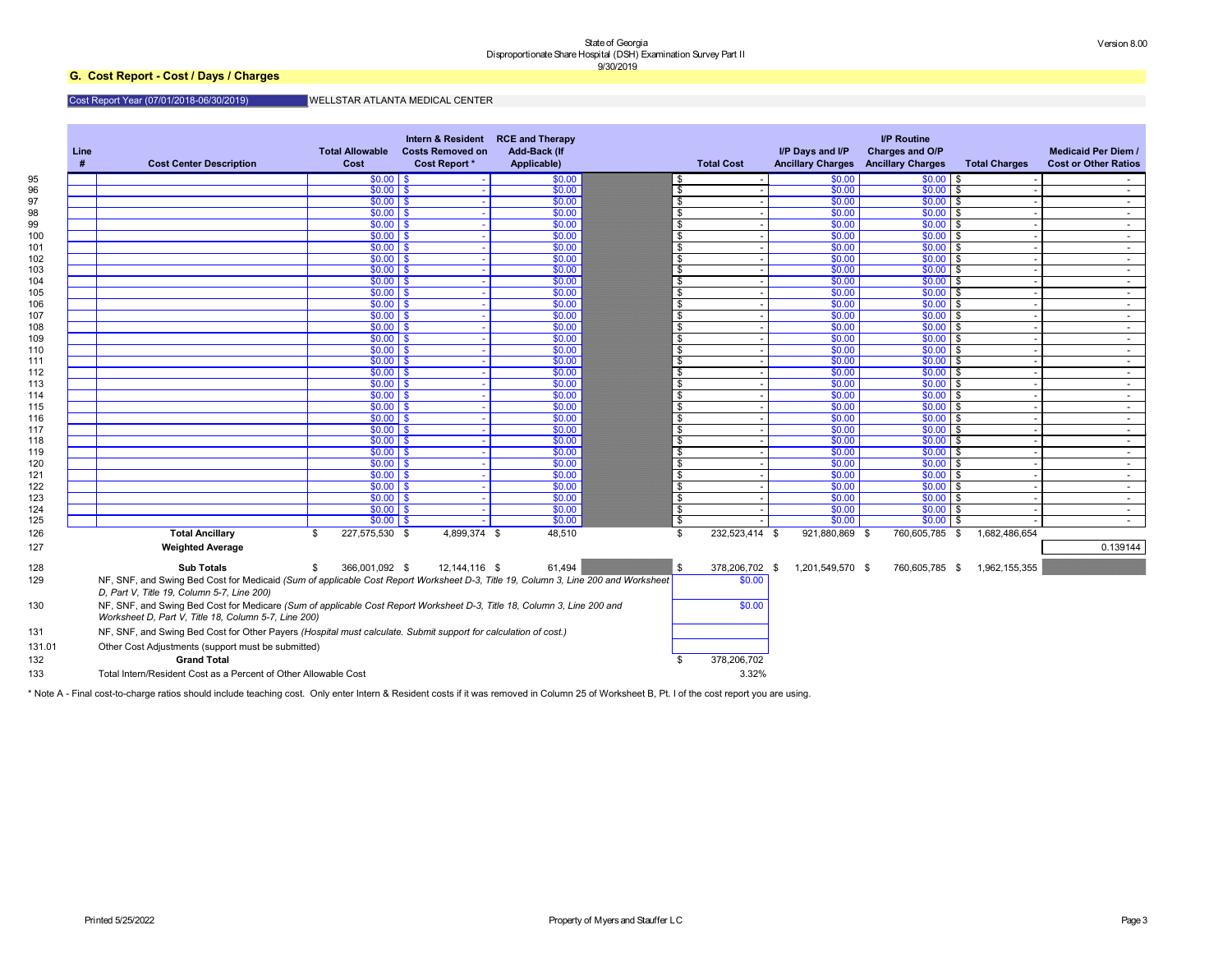## **G. Cost Report - Cost / Days / Charges**

## Cost Report Year (07/01/2018-06/30/2019)

## WELLSTAR ATLANTA MEDICAL CENTER

| Line<br># | <b>Cost Center Description</b>                                                                                                                                                  | <b>Total Allowable</b><br><b>Cost</b> | Intern & Resident<br><b>Costs Removed on</b><br><b>Cost Report *</b> | <b>RCE and Therapy</b><br><b>Add-Back (If</b><br>Applicable) | <b>Total Cost</b>    | I/P Days and I/P | <b>I/P Routine</b><br>Charges and O/P<br><b>Ancillary Charges Ancillary Charges</b> | <b>Total Charges</b> | <b>Medicaid Per Diem /</b><br><b>Cost or Other Ratios</b> |
|-----------|---------------------------------------------------------------------------------------------------------------------------------------------------------------------------------|---------------------------------------|----------------------------------------------------------------------|--------------------------------------------------------------|----------------------|------------------|-------------------------------------------------------------------------------------|----------------------|-----------------------------------------------------------|
|           |                                                                                                                                                                                 | $$0.00$ \ \$                          |                                                                      | \$0.00                                                       | - 56                 | \$0.00           | $$0.00$ \ \$                                                                        |                      |                                                           |
|           |                                                                                                                                                                                 | $$0.00$ \$                            |                                                                      | \$0.00                                                       | \$                   | \$0.00           | $$0.00$ \$                                                                          |                      | $\sim$ $-$                                                |
|           |                                                                                                                                                                                 | $$0.00$ \$                            |                                                                      | \$0.00                                                       | \$                   | \$0.00           | $$0.00$ \$                                                                          |                      | $\sim$ $-$                                                |
|           |                                                                                                                                                                                 | $$0.00$ \$                            |                                                                      | \$0.00                                                       | \$                   | \$0.00           | $$0.00$ \$                                                                          |                      | $\sim$ 10 $\pm$                                           |
|           |                                                                                                                                                                                 | $$0.00$ \$                            |                                                                      | \$0.00                                                       | \$                   | \$0.00           | \$0.00<br>l \$                                                                      |                      | $\sim$ 10 $\pm$                                           |
|           |                                                                                                                                                                                 | $$0.00$ \$<br>$$0.00$ \$              |                                                                      | \$0.00<br>\$0.00                                             | \$<br>\$             | \$0.00<br>\$0.00 | \$0.00<br>l \$<br>$$0.00$ \$                                                        |                      | $\sim$ $-$                                                |
|           |                                                                                                                                                                                 | $$0.00$ \$                            |                                                                      | \$0.00                                                       | \$                   | \$0.00           | $$0.00$ \$                                                                          |                      | $\sim$ $-$                                                |
|           |                                                                                                                                                                                 | $$0.00$ \$                            |                                                                      | \$0.00                                                       | \$                   | \$0.00           | $$0.00$ \$                                                                          |                      | $\sim$ $-$<br>$\sim$ $-$                                  |
|           |                                                                                                                                                                                 | $$0.00$ \$                            |                                                                      | \$0.00                                                       | \$                   | \$0.00           | \$0.00<br>l \$                                                                      |                      | $\sim$ 10 $\pm$                                           |
|           |                                                                                                                                                                                 | $$0.00$ \$                            |                                                                      | \$0.00                                                       | \$                   | \$0.00           | \$0.00<br>l \$                                                                      |                      | $\sim$ $-$                                                |
|           |                                                                                                                                                                                 | $$0.00$ \$                            |                                                                      | \$0.00                                                       | \$                   | \$0.00           | $$0.00$ \$                                                                          |                      | $\sim$ $-$                                                |
|           |                                                                                                                                                                                 | $$0.00$ \$                            |                                                                      | \$0.00                                                       | \$                   | \$0.00           | $$0.00$ \$                                                                          |                      | $\sim$ $-$                                                |
|           |                                                                                                                                                                                 | $$0.00$ \$                            |                                                                      | \$0.00                                                       | \$                   | \$0.00           | $$0.00$ \$                                                                          |                      | $\sim$ $-$                                                |
|           |                                                                                                                                                                                 | $$0.00$ \$                            |                                                                      | \$0.00                                                       | \$                   | \$0.00           | \$0.00<br>l \$                                                                      |                      | $\sim$ 10 $\pm$                                           |
|           |                                                                                                                                                                                 | $$0.00$ \$                            |                                                                      | \$0.00                                                       | \$                   | \$0.00           | \$0.00<br>l \$                                                                      |                      | $\sim$ $-$                                                |
|           |                                                                                                                                                                                 | $$0.00$ \$                            |                                                                      | \$0.00                                                       | \$                   | \$0.00           | \$0.00<br>l \$                                                                      |                      | $\sim$ $-$                                                |
|           |                                                                                                                                                                                 | $$0.00$ \$                            |                                                                      | \$0.00                                                       | \$                   | \$0.00           | $$0.00$ \$                                                                          |                      | $\sim$ $-$                                                |
|           |                                                                                                                                                                                 | $$0.00$ \$                            |                                                                      | \$0.00                                                       | \$                   | \$0.00           | $$0.00$ \$                                                                          |                      | $\sim$ $-$                                                |
|           |                                                                                                                                                                                 | $$0.00$ \$                            |                                                                      | \$0.00                                                       | \$                   | \$0.00           | \$0.00<br>l \$                                                                      |                      | $\sim$ 10 $\pm$                                           |
|           |                                                                                                                                                                                 | $$0.00$ \$                            |                                                                      | \$0.00                                                       | \$                   | \$0.00           | \$0.00<br>l \$                                                                      |                      | $\sim$ 10 $\pm$                                           |
|           |                                                                                                                                                                                 | $$0.00$ \$                            |                                                                      | \$0.00                                                       | \$                   | \$0.00           | \$0.00<br>l \$                                                                      |                      | $\sim$ $-$                                                |
|           |                                                                                                                                                                                 | $$0.00$ \$                            |                                                                      | \$0.00                                                       | \$                   | \$0.00           | $$0.00$ \$                                                                          |                      | $\sim$ $-$                                                |
|           |                                                                                                                                                                                 | $$0.00$ \$                            |                                                                      | \$0.00                                                       | \$                   | \$0.00           | $$0.00$ \$                                                                          |                      | $\sim$ $-$                                                |
|           |                                                                                                                                                                                 | $$0.00$ \$                            |                                                                      | \$0.00                                                       | \$                   | \$0.00           | \$0.00                                                                              | l \$                 | $\sim$ $-$                                                |
|           |                                                                                                                                                                                 | $$0.00$ \$                            |                                                                      | \$0.00                                                       | \$                   | \$0.00           | \$0.00<br>l \$                                                                      |                      | $\sim$                                                    |
|           |                                                                                                                                                                                 | $$0.00$ \$                            |                                                                      | \$0.00                                                       | \$                   | \$0.00           | \$0.00<br>l \$                                                                      |                      | $\sim$                                                    |
|           |                                                                                                                                                                                 | $$0.00$ \$                            |                                                                      | \$0.00                                                       | \$                   | \$0.00           | $$0.00$ \$                                                                          |                      | $\sim$ $-$                                                |
|           |                                                                                                                                                                                 | $$0.00$ \$<br>$$0.00$ \ \$            |                                                                      | \$0.00<br>\$0.00                                             | -\$<br>-\$           | \$0.00<br>\$0.00 | $$0.00$ \$<br>$$0.00$ \$                                                            |                      | $\sim$                                                    |
|           |                                                                                                                                                                                 | $$0.00$ \ \$                          |                                                                      | \$0.00                                                       | \$                   | \$0.00           | \$0.00                                                                              |                      | $\sim$<br>$\sim$ $-$                                      |
|           | <b>Total Ancillary</b>                                                                                                                                                          | 227,575,530 \$<br>\$                  | 4,899,374 \$                                                         | 48,510                                                       | 232,523,414 \$<br>\$ | 921,880,869      | 760,605,785<br>- \$                                                                 | \$<br>1,682,486,654  |                                                           |
|           | <b>Weighted Average</b>                                                                                                                                                         |                                       |                                                                      |                                                              |                      |                  |                                                                                     |                      | 0.139144                                                  |
|           | <b>Sub Totals</b>                                                                                                                                                               | 366,001,092 \$<br>\$.                 | 12,144,116 \$                                                        | 61,494                                                       | \$<br>378,206,702 \$ | 1,201,549,570 \$ | 760,605,785 \$                                                                      | 1,962,155,355        |                                                           |
|           | NF, SNF, and Swing Bed Cost for Medicaid (Sum of applicable Cost Report Worksheet D-3, Title 19, Column 3, Line 200 and Worksheet<br>D, Part V, Title 19, Column 5-7, Line 200) |                                       |                                                                      |                                                              | \$0.00               |                  |                                                                                     |                      |                                                           |
|           | NF, SNF, and Swing Bed Cost for Medicare (Sum of applicable Cost Report Worksheet D-3, Title 18, Column 3, Line 200 and<br>Worksheet D, Part V, Title 18, Column 5-7, Line 200) |                                       |                                                                      |                                                              | \$0.00               |                  |                                                                                     |                      |                                                           |
|           | NF, SNF, and Swing Bed Cost for Other Payers (Hospital must calculate. Submit support for calculation of cost.)                                                                 |                                       |                                                                      |                                                              |                      |                  |                                                                                     |                      |                                                           |
|           | Other Cost Adjustments (support must be submitted)                                                                                                                              |                                       |                                                                      |                                                              |                      |                  |                                                                                     |                      |                                                           |
|           | <b>Grand Total</b>                                                                                                                                                              |                                       |                                                                      |                                                              | 378,206,702          |                  |                                                                                     |                      |                                                           |
|           | Total Intern/Resident Cost as a Percent of Other Allowable Cost                                                                                                                 |                                       |                                                                      |                                                              | 3.32%                |                  |                                                                                     |                      |                                                           |

\* Note A - Final cost-to-charge ratios should include teaching cost. Only enter Intern & Resident costs if it was removed in Column 25 of Worksheet B, Pt. I of the cost report you are using.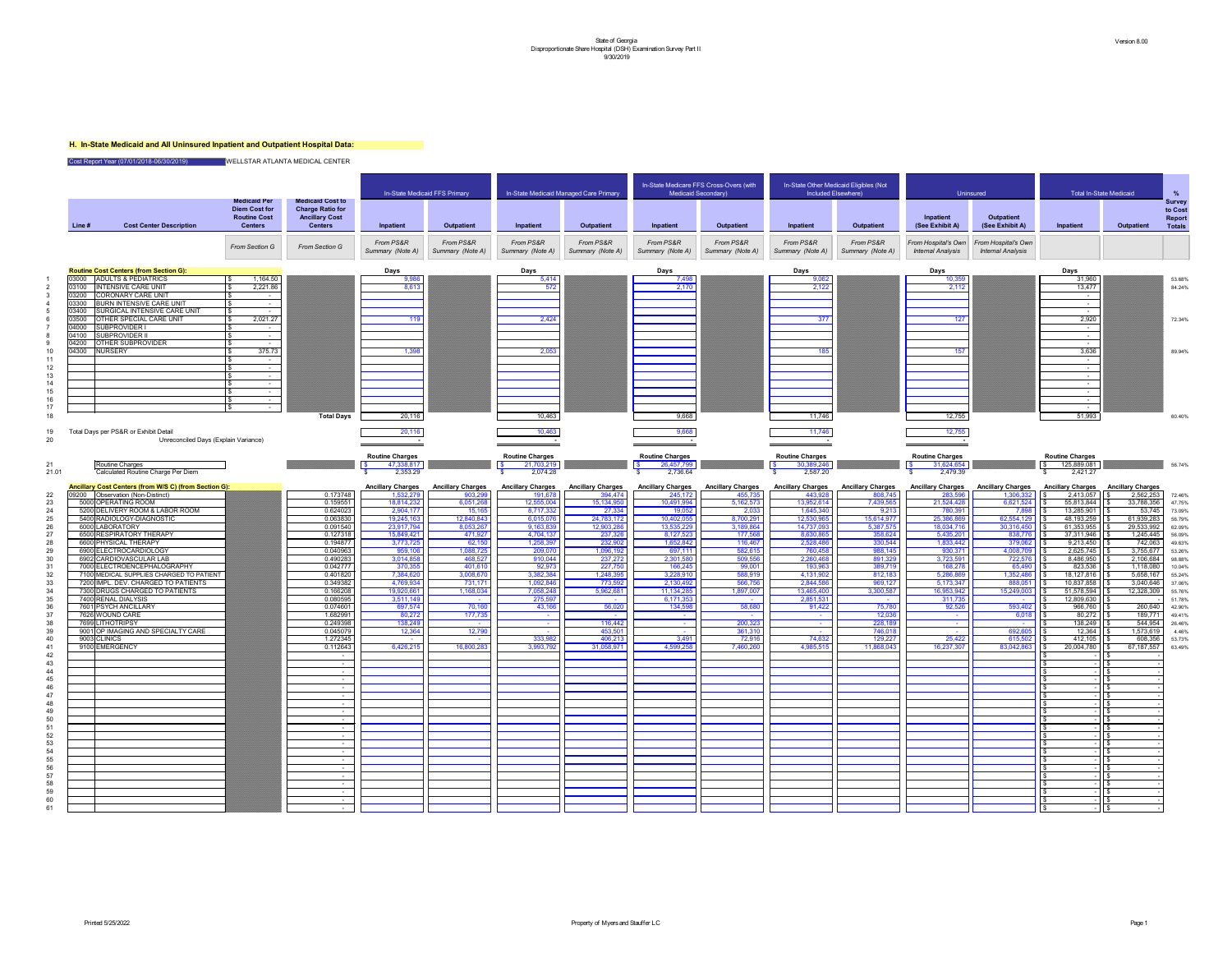## **H. In-State Medicaid and All Uninsured Inpatient and Outpatient Hospital Data:**

Cost Report Year (07/01/2018-06/30/2019) WELLSTAR ATLANTA MEDICAL CENTER

|       |                |                                                                                            |                                                                                      |                                                                                               |                                       | In-State Medicaid FFS Primary       |                                     | In-State Medicaid Managed Care Primary | In-State Medicare FFS Cross-Overs (with<br><b>Medicaid Secondary)</b> |                                     | Included Elsewhere)                 | In-State Other Medicaid Eligibles (Not | <b>Uninsured</b>                                |                                                 | Total In-S                                  |
|-------|----------------|--------------------------------------------------------------------------------------------|--------------------------------------------------------------------------------------|-----------------------------------------------------------------------------------------------|---------------------------------------|-------------------------------------|-------------------------------------|----------------------------------------|-----------------------------------------------------------------------|-------------------------------------|-------------------------------------|----------------------------------------|-------------------------------------------------|-------------------------------------------------|---------------------------------------------|
|       | Line #         | <b>Cost Center Description</b>                                                             | <b>Medicaid Per</b><br><b>Diem Cost for</b><br><b>Routine Cost</b><br><b>Centers</b> | <b>Medicaid Cost to</b><br><b>Charge Ratio for</b><br><b>Ancillary Cost</b><br><b>Centers</b> | Inpatient                             | <b>Outpatient</b>                   | Inpatient                           | <b>Outpatient</b>                      | Inpatient                                                             | <b>Outpatient</b>                   | Inpatient                           | Outpatient                             | Inpatient<br>(See Exhibit A)                    | <b>Outpatient</b><br>(See Exhibit A)            | Inpatient                                   |
|       |                |                                                                                            | <b>From Section G</b>                                                                | From Section G                                                                                | From PS&R<br>Summary (Note A)         | From PS&R<br>Summary (Note A)       | From PS&R<br>Summary (Note A)       | From PS&R<br>Summary (Note A)          | From PS&R<br>Summary (Note A)                                         | From PS&R<br>Summary (Note A)       | From PS&R<br>Summary (Note A)       | From PS&R<br>Summary (Note A)          | From Hospital's Own<br><b>Internal Analysis</b> | From Hospital's Own<br><b>Internal Analysis</b> |                                             |
|       |                | <b>Routine Cost Centers (from Section G):</b>                                              |                                                                                      |                                                                                               | <b>Days</b>                           |                                     | <b>Days</b>                         |                                        | Days                                                                  |                                     | <b>Days</b>                         |                                        | Days                                            |                                                 | Days                                        |
|       | 03000<br>03100 | <b>ADULTS &amp; PEDIATRICS</b><br><b>INTENSIVE CARE UNIT</b>                               | 1,164.50<br>2,221.86                                                                 |                                                                                               | 9,986<br>8,613                        |                                     | 5,414<br>572                        |                                        | 7,498<br>2,170                                                        |                                     | 9,062<br>2,122                      |                                        | 10,359<br>2,112                                 |                                                 | 31,960<br>13,477                            |
|       | 03200          | <b>CORONARY CARE UNIT</b>                                                                  | $\sim$                                                                               |                                                                                               |                                       |                                     |                                     |                                        |                                                                       |                                     |                                     |                                        |                                                 |                                                 | $\sim 100$ m $^{-1}$                        |
|       | 03300<br>03400 | <b>BURN INTENSIVE CARE UNIT</b><br><b>SURGICAL INTENSIVE CARE UNIT</b>                     |                                                                                      |                                                                                               |                                       |                                     |                                     |                                        |                                                                       |                                     |                                     |                                        |                                                 |                                                 | $\sim$ 100 $\mu$<br>$\sim$ 100 $\sim$       |
|       | 03500          | <b>OTHER SPECIAL CARE UNIT</b>                                                             | 2,021.27                                                                             |                                                                                               | 119                                   |                                     | 2,424                               |                                        |                                                                       |                                     | 377                                 |                                        | 127                                             |                                                 | 2,920                                       |
|       | 04000<br>04100 | <b>SUBPROVIDER I</b><br><b>SUBPROVIDER II</b>                                              | $\sim$<br>$\sim$                                                                     |                                                                                               |                                       |                                     |                                     |                                        |                                                                       |                                     |                                     |                                        |                                                 |                                                 | <b>Contract Contract</b><br><b>Contract</b> |
|       | 04200          | <b>OTHER SUBPROVIDER</b>                                                                   | $\sim$                                                                               |                                                                                               |                                       |                                     |                                     |                                        |                                                                       |                                     |                                     |                                        |                                                 |                                                 | $\sim$ 100 $\mu$                            |
|       | 04300          | <b>NURSERY</b>                                                                             | 375.73                                                                               |                                                                                               | 1,398                                 |                                     | 2,053                               |                                        |                                                                       |                                     | 185                                 |                                        | 157                                             |                                                 | 3,636                                       |
| 12    |                |                                                                                            | $\sim$ 100 $\mu$                                                                     |                                                                                               |                                       |                                     |                                     |                                        |                                                                       |                                     |                                     |                                        |                                                 |                                                 | $\sim$ 100 $\mu$<br>$\sim$ $\sim$           |
|       |                |                                                                                            | $\sim$ $-$                                                                           |                                                                                               |                                       |                                     |                                     |                                        |                                                                       |                                     |                                     |                                        |                                                 |                                                 | $\sim 100$ m $^{-1}$                        |
| 15    |                |                                                                                            | $\sim$ $-$<br>$\sim$                                                                 |                                                                                               |                                       |                                     |                                     |                                        |                                                                       |                                     |                                     |                                        |                                                 |                                                 | $\sim$ 100 $\mu$<br>$\sim$ 100 $\mu$        |
|       |                |                                                                                            | $\sim$ 100 $\mu$<br>\$                                                               |                                                                                               |                                       |                                     |                                     |                                        |                                                                       |                                     |                                     |                                        |                                                 |                                                 | $\sim$ 100 $\mu$                            |
| 18    |                |                                                                                            | $\sim$                                                                               | <b>Total Days</b>                                                                             | 20,116                                |                                     | 10,463                              |                                        | 9,668                                                                 |                                     | 11,746                              |                                        | 12,755                                          |                                                 | $\sim 100$ m $^{-1}$<br>51,993              |
| 19    |                | Total Days per PS&R or Exhibit Detail<br>Unreconciled Days (Explain Variance)              |                                                                                      |                                                                                               | 20,116                                |                                     | 10,463                              |                                        | 9,668                                                                 |                                     | 11,746                              |                                        | 12,755                                          |                                                 |                                             |
|       |                |                                                                                            |                                                                                      |                                                                                               | <b>Routine Charges</b>                |                                     | <b>Routine Charges</b>              |                                        | <b>Routine Charges</b>                                                |                                     | <b>Routine Charges</b>              |                                        | <b>Routine Charges</b>                          |                                                 | <b>Routine Charges</b>                      |
|       |                | Routine Charges                                                                            |                                                                                      |                                                                                               | $\vert$ \$<br>47,338,817              |                                     | $\sqrt{ }$<br>21,703,219            |                                        | $\sqrt{S}$<br>26,457,799                                              |                                     | 30,389,246                          |                                        | 31,624,654                                      |                                                 | $\sqrt{5}$<br>125,889,081                   |
| 21.01 |                | Calculated Routine Charge Per Diem                                                         |                                                                                      |                                                                                               | 2,353.29                              |                                     | 2,074.28                            |                                        | 2,736.64                                                              |                                     | 2,587.20                            |                                        | 2,479.39                                        |                                                 | 2,421.27                                    |
|       | 09200          | <b>Ancillary Cost Centers (from W/S C) (from Section G):</b><br>Observation (Non-Distinct) |                                                                                      | 0.173748                                                                                      | <b>Ancillary Charges</b><br>1,532,279 | <b>Ancillary Charges</b><br>903,299 | <b>Ancillary Charges</b><br>191,678 | <b>Ancillary Charges</b><br>394,474    | <b>Ancillary Charges</b><br>245,172                                   | <b>Ancillary Charges</b><br>455,735 | <b>Ancillary Charges</b><br>443,928 | <b>Ancillary Charges</b><br>808,745    | <b>Ancillary Charges</b><br>283,596             | <b>Ancillary Charges</b><br>1,306,332           | <b>Ancillary Charges</b><br>2,413,057       |
|       |                | 5000 OPERATING ROOM                                                                        |                                                                                      | 0.159551                                                                                      | 18,814,232                            | 6,051,268                           | 12,555,004                          | 15,134,950                             | 10,491,994                                                            | 5,162,573                           | 13,952,614                          | 7,439,565                              | 21,524,428                                      | 6,621,524                                       | 55,813,844                                  |
|       |                | 5200 DELIVERY ROOM & LABOR ROOM<br>5400 RADIOLOGY-DIAGNOSTIC                               |                                                                                      | 0.624023<br>0.063830                                                                          | 2,904,177<br>19,245,163               | 15,165<br>12,840,843                | 8,717,332<br>6,015,076              | 27,334<br>24,783,172                   | 19,052<br>10,402,055                                                  | 2,033<br>8,700,291                  | 1,645,340<br>12,530,965             | 9,213<br>15,614,977                    | 780,391<br>25,386,869                           | 7,898<br>62,554,129                             | 13,285,901<br>48,193,259                    |
|       |                | 6000 LABORATORY                                                                            |                                                                                      | 0.091540                                                                                      | 23,917,794                            | 8,053,267                           | 9,163,839                           | 12,903,286                             | 13,535,229                                                            | 3,189,864                           | 14,737,093                          | 5,387,575                              | 18,034,716                                      | 30,316,450                                      | 61,353,955                                  |
|       |                | 6500 RESPIRATORY THERAPY<br>6600 PHYSICAL THERAPY                                          |                                                                                      | 0.127318<br>0.194877                                                                          | 15,849,421<br>3,773,725               | 471,927<br>62,150                   | 4,704,137<br>1,258,397              | 237,326<br>232,902                     | 8,127,523<br>1,652,842                                                | 177,568<br>116,467                  | 8,630,865<br>2,528,486              | 358,624<br>330,544                     | 5,435,201<br>1,833,442                          | 838,776<br>379,062                              | 37,311,946<br>9,213,450                     |
|       |                | 6900 ELECTROCARDIOLOGY                                                                     |                                                                                      | 0.040963                                                                                      | 959,106                               | 1,088,725                           | 209,070                             | 1,096,192                              | 697,111                                                               | 582,615                             | 760,458                             | 988,145                                | 930,371                                         | 4,008,709                                       | 2,625,745                                   |
|       |                | 6902 CARDIOVASCULAR LAB                                                                    |                                                                                      | 0.490283                                                                                      | 3,014,858                             | 468,527                             | 910,044                             | 237,272                                | 2,301,580                                                             | 509,556                             | 2,260,468                           | 891,329                                | 3,723,591                                       | 722,576                                         | 8,486,950                                   |
|       |                | 7000 ELECTROENCEPHALOGRAPHY<br>7100 MEDICAL SUPPLIES CHARGED TO PATIENT                    |                                                                                      | 0.042777<br>0.401820                                                                          | 370,355<br>7,384,620                  | 401,610<br>3,008,670                | 92,973<br>3,382,384                 | 227,750<br>1,248,395                   | 166,245<br>3,228,910                                                  | 99,001<br>588,919                   | 193,963<br>4,131,902                | 389,719<br>812,183                     | 168,278<br>5,286,869                            | 65,490<br>1,352,486                             | 823,536<br>18,127,816                       |
|       |                | 7200 IMPL. DEV. CHARGED TO PATIENTS                                                        |                                                                                      | 0.349382                                                                                      | 4,769,934                             | 731,171                             | 1,092,846                           | 773,592                                | 2,130,492                                                             | 566,756                             | 2,844,586                           | 969,127                                | 5,173,347                                       | 888,051                                         | 10,837,858                                  |
|       |                | 7300 DRUGS CHARGED TO PATIENTS<br>7400 RENAL DIALYSIS                                      |                                                                                      | 0.166208<br>0.080595                                                                          | 19,920,661<br>3,511,149               | 1,168,034<br><b>Contract</b>        | 7,058,248<br>275,597                | 5,962,681<br>$\sim$                    | 11,134,285<br>6,171,353                                               | 1,897,007<br><b>Contract</b>        | 13,465,400<br>2,851,531             | 3,300,587                              | 16,953,942<br>311,735                           | 15,249,003<br><b>Contract</b>                   | 51,578,594<br>12,809,630                    |
|       |                | 7601 PSYCH ANCILLARY                                                                       |                                                                                      | 0.074601                                                                                      | 697,574                               | 70,160                              | 43,166                              | 56,020                                 | 134,598                                                               | 58,680                              | 91,422                              | 75,780                                 | 92,526                                          | 593,402                                         | 966,760                                     |
|       |                | 7626 WOUND CARE<br>7699 LITHOTRIPSY                                                        |                                                                                      | 1.682991<br>0.249398                                                                          | 80,272<br>138,249                     | 177,735                             |                                     | 116,442                                | $\sim$<br>$\sim$                                                      | 200,323                             | <b>Contract</b>                     | 12,036<br>228,189                      | <b>Contract</b>                                 | 6,018                                           | 80,272<br>138,249                           |
|       |                | 9001 OP IMAGING AND SPECIALTY CARE                                                         |                                                                                      | 0.045079                                                                                      | 12,364                                | 12,790                              |                                     | 453,501                                | <b>Contract</b>                                                       | 361,310                             | $\sim$ $-$                          | 746,018                                |                                                 | 692,605                                         | 12,364                                      |
|       |                | 9003 CLINICS<br>9100 EMERGENCY                                                             |                                                                                      | 1.272345<br>0.112643                                                                          | 6,426,215                             | 16,800,283                          | 333,982<br>3,993,792                | 406,213<br>31,058,971                  | 3,491<br>4,599,258                                                    | 72,916                              | 74,632<br>4,985,515                 | 129,227<br>11,868,043                  | 25,422<br>16,237,307                            | 615,502                                         | 412,105                                     |
| 42    |                |                                                                                            |                                                                                      |                                                                                               |                                       |                                     |                                     |                                        |                                                                       | 7,460,260                           |                                     |                                        |                                                 | 83,042,863                                      | 20,004,780                                  |
| 43    |                |                                                                                            |                                                                                      |                                                                                               |                                       |                                     |                                     |                                        |                                                                       |                                     |                                     |                                        |                                                 |                                                 |                                             |
| 45    |                |                                                                                            |                                                                                      | $\sim$                                                                                        |                                       |                                     |                                     |                                        |                                                                       |                                     |                                     |                                        |                                                 |                                                 |                                             |
| 46    |                |                                                                                            |                                                                                      | $\sim$                                                                                        |                                       |                                     |                                     |                                        |                                                                       |                                     |                                     |                                        |                                                 |                                                 |                                             |
| 48    |                |                                                                                            |                                                                                      | $\sim$                                                                                        |                                       |                                     |                                     |                                        |                                                                       |                                     |                                     |                                        |                                                 |                                                 |                                             |
| 49    |                |                                                                                            |                                                                                      | $\sim$                                                                                        |                                       |                                     |                                     |                                        |                                                                       |                                     |                                     |                                        |                                                 |                                                 |                                             |
|       |                |                                                                                            |                                                                                      |                                                                                               |                                       |                                     |                                     |                                        |                                                                       |                                     |                                     |                                        |                                                 |                                                 |                                             |
|       |                |                                                                                            |                                                                                      | $\sim$<br>$\sim$                                                                              |                                       |                                     |                                     |                                        |                                                                       |                                     |                                     |                                        |                                                 |                                                 |                                             |
|       |                |                                                                                            |                                                                                      | $\sim$                                                                                        |                                       |                                     |                                     |                                        |                                                                       |                                     |                                     |                                        |                                                 |                                                 |                                             |
|       |                |                                                                                            |                                                                                      |                                                                                               |                                       |                                     |                                     |                                        |                                                                       |                                     |                                     |                                        |                                                 |                                                 |                                             |
|       |                |                                                                                            |                                                                                      |                                                                                               |                                       |                                     |                                     |                                        |                                                                       |                                     |                                     |                                        |                                                 |                                                 |                                             |
|       |                |                                                                                            |                                                                                      |                                                                                               |                                       |                                     |                                     |                                        |                                                                       |                                     |                                     |                                        |                                                 |                                                 |                                             |
|       |                |                                                                                            |                                                                                      |                                                                                               |                                       |                                     |                                     |                                        |                                                                       |                                     |                                     |                                        |                                                 |                                                 |                                             |
| цc    |                |                                                                                            |                                                                                      |                                                                                               |                                       |                                     |                                     |                                        |                                                                       |                                     |                                     |                                        |                                                 |                                                 |                                             |
| 60    |                |                                                                                            |                                                                                      |                                                                                               |                                       |                                     |                                     |                                        |                                                                       |                                     |                                     |                                        |                                                 |                                                 |                                             |

|       |                |                                                                                 | <b>Medicaid Per</b>                                           | <b>Medicaid Cost to</b>                                            |                               | In-State Medicaid FFS Primary |                               | In-State Medicaid Managed Care Primary |                               | In-State Medicare FFS Cross-Overs (with<br>Medicaid Secondary) |                               | In-State Other Medicaid Eligibles (Not<br>Included Elsewhere) |                                                 | <b>Uninsured</b>                                | <b>Total In-State Medicaid</b> |                          | <b>Survey</b>                             |
|-------|----------------|---------------------------------------------------------------------------------|---------------------------------------------------------------|--------------------------------------------------------------------|-------------------------------|-------------------------------|-------------------------------|----------------------------------------|-------------------------------|----------------------------------------------------------------|-------------------------------|---------------------------------------------------------------|-------------------------------------------------|-------------------------------------------------|--------------------------------|--------------------------|-------------------------------------------|
|       | Line #         | <b>Cost Center Description</b>                                                  | <b>Diem Cost for</b><br><b>Routine Cost</b><br><b>Centers</b> | <b>Charge Ratio for</b><br><b>Ancillary Cost</b><br><b>Centers</b> | Inpatient                     | <b>Outpatient</b>             | Inpatient                     | <b>Outpatient</b>                      | Inpatient                     | <b>Outpatient</b>                                              | Inpatient                     | <b>Outpatient</b>                                             | Inpatient<br>(See Exhibit A)                    | <b>Outpatient</b><br>(See Exhibit A)            | Inpatient                      | <b>Outpatient</b>        | to Cost<br><b>Report</b><br><b>Totals</b> |
|       |                |                                                                                 | <b>From Section G</b>                                         | From Section G                                                     | From PS&R<br>Summary (Note A) | From PS&R<br>Summary (Note A) | From PS&R<br>Summary (Note A) | From PS&R<br>Summary (Note A)          | From PS&R<br>Summary (Note A) | From PS&R<br>Summary (Note A)                                  | From PS&R<br>Summary (Note A) | From PS&R<br>Summary (Note A)                                 | From Hospital's Own<br><b>Internal Analysis</b> | From Hospital's Own<br><b>Internal Analysis</b> |                                |                          |                                           |
|       |                | <b>Routine Cost Centers (from Section G):</b>                                   |                                                               |                                                                    | Days                          |                               | Days                          |                                        | Days                          |                                                                | Days                          |                                                               | Days                                            |                                                 | Days                           |                          |                                           |
|       |                | 03000 ADULTS & PEDIATRICS<br>03100  INTENSIVE CARE UNIT                         | 1,164.50<br>2,221.86                                          |                                                                    | 9,986<br>8,613                |                               | 5,414<br>572                  |                                        | 7,498<br>2,170                |                                                                | 9,062<br>2,122                |                                                               | 10,359<br>2,112                                 |                                                 | 31,960<br>13,477               |                          | 53.68%<br>84.24%                          |
|       | 03200          | <b>CORONARY CARE UNIT</b>                                                       | $\sim$                                                        |                                                                    |                               |                               |                               |                                        |                               |                                                                |                               |                                                               |                                                 |                                                 | $\sim$                         |                          |                                           |
|       | 03300<br>03400 | <b>BURN INTENSIVE CARE UNIT</b><br>SURGICAL INTENSIVE CARE UNIT                 | $\sim$                                                        |                                                                    |                               |                               |                               |                                        |                               |                                                                |                               |                                                               |                                                 |                                                 | $\sim$                         |                          |                                           |
|       | 03500          | <b>OTHER SPECIAL CARE UNIT</b>                                                  | $\sim$ $-$<br>2,021.27                                        |                                                                    | 119                           |                               | 2,424                         |                                        |                               |                                                                | 377                           |                                                               | 127                                             |                                                 | $\sim$ $ \sim$<br>2,920        |                          | 72.34%                                    |
|       | 04000          | SUBPROVIDER I                                                                   | $\sim$ $-$                                                    |                                                                    |                               |                               |                               |                                        |                               |                                                                |                               |                                                               |                                                 |                                                 | $\sim$ $ \sim$                 |                          |                                           |
|       | 04200          | 04100 SUBPROVIDER II<br><b>OTHER SUBPROVIDER</b>                                | $\sim$<br>$\sim$ $-$                                          |                                                                    |                               |                               |                               |                                        |                               |                                                                |                               |                                                               |                                                 |                                                 | $\sim$<br>$\sim$ $ \sim$       |                          |                                           |
|       |                | 04300 NURSERY                                                                   | 375.73                                                        |                                                                    | 1,398                         |                               | 2,053                         |                                        |                               |                                                                | 185                           |                                                               | 157                                             |                                                 | 3,636                          |                          | 89.94%                                    |
|       |                |                                                                                 | $\sim$<br>$\sim$                                              |                                                                    |                               |                               |                               |                                        |                               |                                                                |                               |                                                               |                                                 |                                                 | $\sim$<br>$\sim$               |                          |                                           |
|       |                |                                                                                 | $\sim$                                                        |                                                                    |                               |                               |                               |                                        |                               |                                                                |                               |                                                               |                                                 |                                                 | $\sim$                         |                          |                                           |
|       |                |                                                                                 | $\sim$                                                        |                                                                    |                               |                               |                               |                                        |                               |                                                                |                               |                                                               |                                                 |                                                 | $\sim$ $-$                     |                          |                                           |
|       |                |                                                                                 | $\sim$<br>$\sim$                                              |                                                                    |                               |                               |                               |                                        |                               |                                                                |                               |                                                               |                                                 |                                                 | $\sim$<br>$\sim$               |                          |                                           |
|       |                |                                                                                 |                                                               |                                                                    |                               |                               |                               |                                        |                               |                                                                |                               |                                                               |                                                 |                                                 | $\sim$                         |                          |                                           |
|       |                |                                                                                 |                                                               | <b>Total Days</b>                                                  | 20,116                        |                               | 10,463                        |                                        | 9,668                         |                                                                | 11,746                        |                                                               | 12,755                                          |                                                 | 51,993                         |                          | 60.40%                                    |
|       |                | Total Days per PS&R or Exhibit Detail                                           |                                                               |                                                                    | 20,116                        |                               | 10,463                        |                                        | 9,668                         |                                                                | 11,746                        |                                                               | 12,755                                          |                                                 |                                |                          |                                           |
|       |                | Unreconciled Days (Explain Variance)                                            |                                                               |                                                                    |                               |                               |                               |                                        |                               |                                                                |                               |                                                               |                                                 |                                                 |                                |                          |                                           |
|       |                |                                                                                 |                                                               |                                                                    | <b>Routine Charges</b>        |                               | <b>Routine Charges</b>        |                                        | <b>Routine Charges</b>        |                                                                | <b>Routine Charges</b>        |                                                               | <b>Routine Charges</b>                          |                                                 | <b>Routine Charges</b>         |                          |                                           |
|       |                | Routine Charges                                                                 |                                                               |                                                                    | 47,338,817                    |                               | 21,703,219                    |                                        | 26,457,799                    |                                                                | 30,389,246                    |                                                               | 31,624,654                                      |                                                 | 125,889,081                    |                          | 56.74%                                    |
| 21.01 |                | Calculated Routine Charge Per Diem                                              |                                                               |                                                                    | 2,353.29                      |                               | 2,074.28                      |                                        | 2,736.64                      |                                                                | 2,587.20                      |                                                               | 2,479.39                                        |                                                 | 2,421.27                       |                          |                                           |
|       |                | Ancillary Cost Centers (from W/S C) (from Section G):                           |                                                               |                                                                    | <b>Ancillary Charges</b>      | <b>Ancillary Charges</b>      | <b>Ancillary Charges</b>      | <b>Ancillary Charges</b>               | <b>Ancillary Charges</b>      | <b>Ancillary Charges</b>                                       | <b>Ancillary Charges</b>      | <b>Ancillary Charges</b>                                      | <b>Ancillary Charges</b>                        | <b>Ancillary Charges</b>                        | <b>Ancillary Charges</b>       | <b>Ancillary Charges</b> |                                           |
|       | 09200          | Observation (Non-Distinct)<br>5000 OPERATING ROOM                               |                                                               | 0.173748<br>0.159551                                               | 1,532,279<br>18,814,232       | 903,299<br>6,051,268          | 191,678<br>12,555,004         | 394,474<br>15,134,950                  | 245,172<br>10,491,994         | 455,735<br>5,162,573                                           | 443,928<br>13,952,614         | 808,745<br>7,439,565                                          | 283,596<br>21,524,428                           | 1,306,332<br>6,621,524                          | 2,413,057<br>55,813,844        | 2,562,253<br>33,788,356  | 72.46%<br>47.75%                          |
|       |                | 5200 DELIVERY ROOM & LABOR ROOM                                                 |                                                               | 0.624023                                                           | 2,904,177                     | 15,165                        | 8,717,332                     | 27,334                                 | 19,052                        | 2,033                                                          | 1,645,340                     | 9,213                                                         | 780,391                                         | 7,898                                           | 13,285,901                     | 53,745                   | 73.09%                                    |
|       |                | 5400 RADIOLOGY-DIAGNOSTIC<br>6000 LABORATORY                                    |                                                               | 0.063830<br>0.091540                                               | 19,245,163<br>23,917,794      | 12,840,843<br>8,053,267       | 6,015,076<br>9,163,839        | 24,783,172<br>12,903,286               | 10,402,055<br>13,535,229      | 8,700,29<br>3,189,864                                          | 12,530,965<br>14,737,093      | 15,614,977<br>5,387,575                                       | 25,386,869<br>18,034,716                        | 62,554,129<br>30,316,450                        | 48,193,259<br>61,353,955       | 61,939,283<br>29,533,992 | 56.79%<br>62.09%                          |
|       |                | 6500 RESPIRATORY THERAPY                                                        |                                                               | 0.127318                                                           | 15,849,421                    | 471,927                       | 4,704,137                     | 237,326                                | 8,127,523                     | 177,568                                                        | 8,630,865                     | 358,624                                                       | 5,435,201                                       | 838,776                                         | 37,311,946                     | 1,245,445                | 56.09%                                    |
|       |                | 6600 PHYSICAL THERAPY<br>6900 ELECTROCARDIOLOGY                                 |                                                               | 0.194877                                                           | 3,773,725<br>959,106          | 62,150                        | 1,258,397                     | 232,902<br>1,096,192                   | 1,652,842                     | 116,467<br>582,615                                             | 2,528,486                     | 330,544<br>988,145                                            | 1,833,442                                       | 379,062                                         | 9,213,450                      | 742,063                  | 49.63%                                    |
|       |                | 6902 CARDIOVASCULAR LAB                                                         |                                                               | 0.040963<br>0.490283                                               | 3,014,858                     | 1,088,725<br>468,527          | 209,070<br>910,044            | 237,272                                | 697,111<br>2,301,580          | 509,556                                                        | 760,458<br>2,260,468          | 891,329                                                       | 930,371<br>3,723,591                            | 4,008,709<br>722,576                            | 2,625,745<br>8,486,950         | 3,755,677<br>2,106,684   | 53.26%<br>98.88%                          |
|       |                | 7000 ELECTROENCEPHALOGRAPHY                                                     |                                                               | 0.042777                                                           | 370,355                       | 401,610                       | 92,973                        | 227,750                                | 166,245                       | 99,001                                                         | 193,963                       | 389,719                                                       | 168,278                                         | 65,490                                          | 823,536                        | 1,118,080                | 10.04%                                    |
|       |                | 7100 MEDICAL SUPPLIES CHARGED TO PATIENT<br>7200 IMPL. DEV. CHARGED TO PATIENTS |                                                               | 0.401820<br>0.349382                                               | 7,384,620<br>4,769,934        | 3,008,670<br>731,171          | 3,382,384<br>1,092,846        | 1,248,395<br>773,592                   | 3,228,910<br>2,130,492        | 588,919<br>566,756                                             | 4,131,902<br>2,844,586        | 812,183<br>969,127                                            | 5,286,869<br>5,173,347                          | 1,352,486<br>888,051                            | 18,127,816<br>10,837,858       | 5,658,167<br>3,040,646   | 55.24%<br>37.06%                          |
|       |                | 7300 DRUGS CHARGED TO PATIENTS                                                  |                                                               | 0.166208                                                           | 19,920,661                    | 1,168,034                     | 7,058,248                     | 5,962,681                              | 11,134,28                     | 1,897,007                                                      | 13,465,400                    | 3,300,587                                                     | 16,953,942                                      | 15,249,003                                      | 51,578,594                     | 12,328,309               | 55.76%                                    |
|       |                | 7400 RENAL DIALYSIS<br>7601 PSYCH ANCILLARY                                     |                                                               | 0.080595<br>0.074601                                               | 3,511,149<br>697,574          | $\sim$<br>70,160              | 275,597<br>43,166             | $\sim$ $-$<br>56,020                   | 6,171,353<br>134,598          | 58,680                                                         | 2,851,531                     | <b>Contract</b><br>75,780                                     | 311,735<br>92,526                               | 593,402                                         | 12,809,630<br>966,760          | 260,640                  | 51.78%                                    |
|       |                | 7626 WOUND CARE                                                                 |                                                               | 1.682991                                                           | 80,272                        | 177,735                       |                               | <b>Contract</b>                        | <b>Contract Contract</b>      |                                                                | 91,422                        | 12,036                                                        | <b>Contract</b>                                 | 6,018                                           | 80,272                         | 189,771                  | 42.90%<br>49.41%                          |
|       |                | 7699 LITHOTRIPSY                                                                |                                                               | 0.249398                                                           | 138,249                       | <b>Contract</b>               |                               | 116,442                                |                               | 200,323                                                        | $\sim$                        | 228,189                                                       | $\sim$ $-$                                      | $\sim$                                          | 138,249                        | 544,954                  | 26.46%                                    |
|       |                | 9001 OP IMAGING AND SPECIALTY CARE<br>9003 CLINICS                              |                                                               | 0.045079<br>1.272345                                               | 12,364                        | 12,790                        | 333,982                       | 453,501<br>406,213                     | 3,491                         | 361,310<br>72,916                                              | 74,632                        | 746,018<br>129,227                                            | 25,422                                          | 692,605<br>615,502                              | 12,364<br>412,105              | 1,573,619<br>608,356     | 4.46%<br>53.73%                           |
|       |                | 9100 EMERGENCY                                                                  |                                                               | 0.112643                                                           | 6,426,215                     | 16,800,283                    | 3,993,792                     | 31,058,971                             | 4,599,258                     | 7,460,260                                                      | 4,985,515                     | 11,868,043                                                    | 16,237,307                                      | 83,042,863                                      | 20,004,780                     | 67,187,557               | 63.49%                                    |
|       |                |                                                                                 |                                                               | $\sim$ $-$                                                         |                               |                               |                               |                                        |                               |                                                                |                               |                                                               |                                                 |                                                 |                                |                          |                                           |
|       |                |                                                                                 |                                                               | $\sim$ $ \sim$                                                     |                               |                               |                               |                                        |                               |                                                                |                               |                                                               |                                                 |                                                 |                                |                          |                                           |
|       |                |                                                                                 |                                                               |                                                                    |                               |                               |                               |                                        |                               |                                                                |                               |                                                               |                                                 |                                                 |                                |                          |                                           |
|       |                |                                                                                 |                                                               |                                                                    |                               |                               |                               |                                        |                               |                                                                |                               |                                                               |                                                 |                                                 |                                |                          |                                           |
|       |                |                                                                                 |                                                               | $\sim$ $ \sim$                                                     |                               |                               |                               |                                        |                               |                                                                |                               |                                                               |                                                 |                                                 |                                |                          |                                           |
|       |                |                                                                                 |                                                               | $\sim$ $-$                                                         |                               |                               |                               |                                        |                               |                                                                |                               |                                                               |                                                 |                                                 |                                |                          |                                           |
|       |                |                                                                                 |                                                               | $\sim$ $-$                                                         |                               |                               |                               |                                        |                               |                                                                |                               |                                                               |                                                 |                                                 |                                |                          |                                           |
|       |                |                                                                                 |                                                               |                                                                    |                               |                               |                               |                                        |                               |                                                                |                               |                                                               |                                                 |                                                 |                                |                          |                                           |
|       |                |                                                                                 |                                                               | $\sim$ $-$                                                         |                               |                               |                               |                                        |                               |                                                                |                               |                                                               |                                                 |                                                 |                                |                          |                                           |
|       |                |                                                                                 |                                                               |                                                                    |                               |                               |                               |                                        |                               |                                                                |                               |                                                               |                                                 |                                                 |                                |                          |                                           |
| 56    |                |                                                                                 |                                                               |                                                                    |                               |                               |                               |                                        |                               |                                                                |                               |                                                               |                                                 |                                                 |                                |                          |                                           |
| 57    |                |                                                                                 |                                                               |                                                                    |                               |                               |                               |                                        |                               |                                                                |                               |                                                               |                                                 |                                                 |                                |                          |                                           |
|       |                |                                                                                 |                                                               |                                                                    |                               |                               |                               |                                        |                               |                                                                |                               |                                                               |                                                 |                                                 |                                |                          |                                           |
|       |                |                                                                                 |                                                               |                                                                    |                               |                               |                               |                                        |                               |                                                                |                               |                                                               |                                                 |                                                 |                                |                          |                                           |
|       |                |                                                                                 |                                                               |                                                                    |                               |                               |                               |                                        |                               |                                                                |                               |                                                               |                                                 |                                                 |                                |                          |                                           |





| 72.46%             |
|--------------------|
| 47.75%             |
| 73.09%             |
| 56.79%             |
| 62.09%             |
| 56.09%             |
| 49.63%             |
| 53.26%             |
| 98.88%             |
| 10.04%             |
| 55.24%             |
| 37.06%             |
| 55.76%             |
| 51.78%             |
| 42.90%             |
| 49.41%             |
| 26.46%             |
| 4.46%              |
| .73%<br>53         |
| $A \Omega V$<br>คว |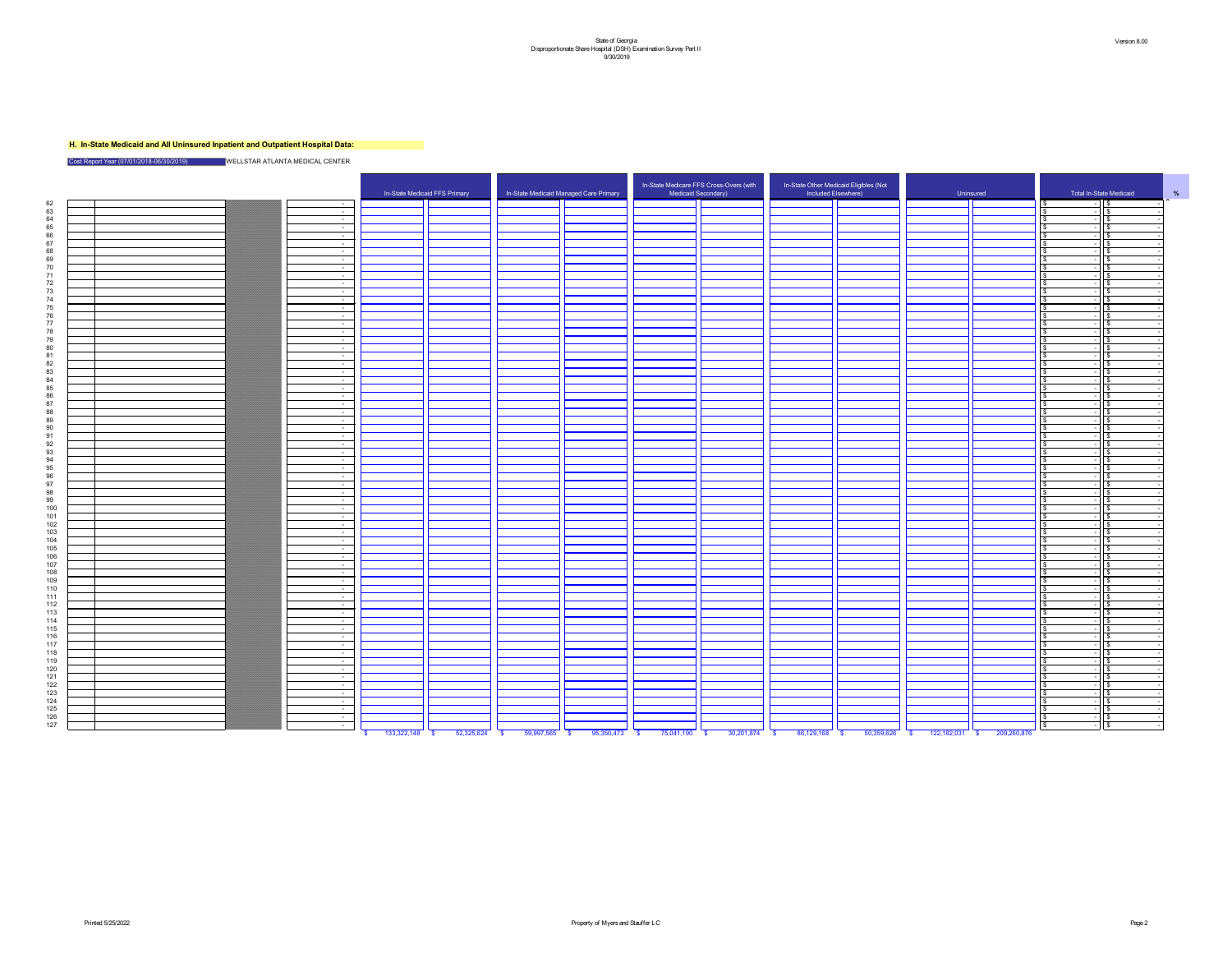## **H. In-State Medicaid and All Uninsured Inpatient and Outpatient Hospital Data:**



Cost Report Year (07/01/2018-06/30/2019) WELLSTAR ATLANTA MEDICAL CENTER

|                |  |                       |                               |          |                                                          |       | In-State Medicare FFS Cross-Overs (with |            | In-State Other Medicaid Eligibles (Not |                   |           |             |                         |
|----------------|--|-----------------------|-------------------------------|----------|----------------------------------------------------------|-------|-----------------------------------------|------------|----------------------------------------|-------------------|-----------|-------------|-------------------------|
|                |  |                       | In-State Medicaid FFS Primary |          | In-State Medicaid Managed Care Primary                   |       | Medicaid Secondary)                     |            | Included Elsewhere)                    |                   | Uninsured |             | Total In-State Medicaid |
| 62             |  |                       |                               |          |                                                          |       |                                         |            |                                        |                   |           |             | $\sqrt{3}$              |
| 63             |  | $\sim 10^{-10}$       |                               |          |                                                          |       |                                         |            |                                        |                   |           |             |                         |
| 64             |  | $\sim 100$ m $^{-1}$  |                               |          |                                                          |       |                                         |            |                                        |                   |           |             |                         |
| 65             |  | $\sim 100$            |                               |          |                                                          |       |                                         |            |                                        |                   |           |             |                         |
| 66             |  | $\sim 100$ m $^{-1}$  |                               |          |                                                          |       |                                         |            |                                        |                   |           |             |                         |
| 67             |  | $\sim$ $-$            |                               |          |                                                          |       |                                         |            |                                        |                   |           |             |                         |
| 68             |  | $\sim$ $ \sim$        |                               |          |                                                          |       |                                         |            |                                        |                   |           |             |                         |
| 69             |  | $\sim$ $ \sim$        |                               |          |                                                          |       |                                         |            |                                        |                   |           |             |                         |
| 70             |  | $\sim 10^{-10}$       |                               |          |                                                          |       |                                         |            |                                        |                   |           |             |                         |
| 71             |  | $\sim 10^{-10}$       |                               |          |                                                          |       |                                         |            |                                        |                   |           |             |                         |
| 72             |  | $\sim 10^{-11}$       |                               |          |                                                          |       |                                         |            |                                        |                   |           |             |                         |
| 73             |  | $\sim 10^{-1}$        |                               |          |                                                          |       |                                         |            |                                        |                   |           |             |                         |
| 74             |  | $\sim 100$            |                               |          |                                                          |       |                                         |            |                                        |                   |           |             |                         |
| 75             |  | $\sim 100$            |                               |          |                                                          |       |                                         |            |                                        |                   |           |             |                         |
| 76             |  | $\sim 10^{-10}$       |                               |          |                                                          |       |                                         |            |                                        |                   |           |             |                         |
| $\overline{z}$ |  | $\sim 10^{-10}$       |                               |          |                                                          |       |                                         |            |                                        |                   |           |             |                         |
| 78             |  | $\sim 100$            |                               |          |                                                          |       |                                         |            |                                        |                   |           |             |                         |
| 79             |  | $\sim$ $-$            |                               |          |                                                          |       |                                         |            |                                        |                   |           |             |                         |
| 80             |  | $\sim 100$            |                               |          |                                                          |       |                                         |            |                                        |                   |           |             |                         |
| 81             |  | $\sim 10^{-10}$       |                               |          |                                                          |       |                                         |            |                                        |                   |           |             |                         |
| 82             |  | $\sim$ $ \sim$        |                               |          |                                                          |       |                                         |            |                                        |                   |           |             |                         |
| 83             |  | $\sim 10^{-11}$       |                               |          |                                                          |       |                                         |            |                                        |                   |           |             |                         |
| 84             |  | $\sim$ $ \sim$        |                               |          |                                                          |       |                                         |            |                                        |                   |           |             |                         |
| 85.            |  | $\sim 100$ m $^{-1}$  |                               |          |                                                          |       |                                         |            |                                        |                   |           |             |                         |
| 86.            |  | $\sim 100$            |                               |          |                                                          |       |                                         |            |                                        |                   |           |             |                         |
| 97             |  | $\sim$ $-$            |                               |          |                                                          |       |                                         |            |                                        |                   |           |             |                         |
| $\circ$        |  | $\sim 100$            |                               |          |                                                          |       |                                         |            |                                        |                   |           |             |                         |
| 89             |  | $\sim 100$            |                               |          |                                                          |       |                                         |            |                                        |                   |           |             |                         |
| 90             |  | $\sim 100$            |                               |          |                                                          |       |                                         |            |                                        |                   |           |             |                         |
| Q1             |  |                       |                               |          |                                                          |       |                                         |            |                                        |                   |           |             |                         |
| 92             |  | $\sim$ $ \sim$        |                               |          |                                                          |       |                                         |            |                                        |                   |           |             |                         |
| 93             |  | $\sim 10^{-10}$       |                               |          |                                                          |       |                                         |            |                                        |                   |           |             |                         |
| Q⊿             |  | $\sim 10^{-10}$       |                               |          |                                                          |       |                                         |            |                                        |                   |           |             |                         |
|                |  | $\sim 10^{-11}$       |                               |          |                                                          |       |                                         |            |                                        |                   |           |             |                         |
|                |  |                       |                               |          |                                                          |       |                                         |            |                                        |                   |           |             |                         |
| 96<br>Q7.      |  | $\sim$ 100 $\sim$     |                               |          |                                                          |       |                                         |            |                                        |                   |           |             |                         |
|                |  | $\sim$ 100 $\sim$     |                               |          |                                                          |       |                                         |            |                                        |                   |           |             |                         |
| 98             |  | $\sim 100$ m $^{-1}$  |                               |          |                                                          |       |                                         |            |                                        |                   |           |             |                         |
| 99             |  | $\sim 10^{-10}$       |                               |          |                                                          |       |                                         |            |                                        |                   |           |             |                         |
| 100            |  | <b>Contract</b>       |                               |          |                                                          |       |                                         |            |                                        |                   |           |             |                         |
| 101            |  | $\sim$ $ \sim$        |                               |          |                                                          |       |                                         |            |                                        |                   |           |             |                         |
| 102            |  | $\sim 1000$ m $^{-1}$ |                               |          |                                                          |       |                                         |            |                                        |                   |           |             |                         |
| 103            |  | $\sim 100$ m $^{-1}$  |                               |          |                                                          |       |                                         |            |                                        |                   |           |             |                         |
| 104            |  | $\sim 10^{-10}$       |                               |          |                                                          |       |                                         |            |                                        |                   |           |             |                         |
| 105            |  | $\sim 100$            |                               |          |                                                          |       |                                         |            |                                        |                   |           |             |                         |
| 106            |  | <b>Common</b>         |                               |          |                                                          |       |                                         |            |                                        |                   |           |             |                         |
| 107            |  | $\sim 1000$ m $^{-1}$ |                               |          |                                                          |       |                                         |            |                                        |                   |           |             |                         |
| 108            |  | $\sim 100$ m $^{-1}$  |                               |          |                                                          |       |                                         |            |                                        |                   |           |             |                         |
| 109            |  | $\sim 100$ m $^{-1}$  |                               |          |                                                          |       |                                         |            |                                        |                   |           |             |                         |
| 110            |  | $\sim 100$ m $^{-1}$  |                               |          |                                                          |       |                                         |            |                                        |                   |           |             |                         |
| 111            |  | $\sim 100$ m $^{-1}$  |                               |          |                                                          |       |                                         |            |                                        |                   |           |             |                         |
| 112            |  | $\sim$ $ \sim$        |                               |          |                                                          |       |                                         |            |                                        |                   |           |             |                         |
| 113            |  | $\sim$ $ \sim$        |                               |          |                                                          |       |                                         |            |                                        |                   |           |             |                         |
| 114            |  | $\sim 100$ m $^{-1}$  |                               |          |                                                          |       |                                         |            |                                        |                   |           |             |                         |
| 115            |  | $\sim$ $ \sim$        |                               |          |                                                          |       |                                         |            |                                        |                   |           |             |                         |
| 116            |  | $\sim 100$ m $^{-1}$  |                               |          |                                                          |       |                                         |            |                                        |                   |           |             |                         |
| 117            |  | $\sim$ 100 $\sim$     |                               |          |                                                          |       |                                         |            |                                        |                   |           |             |                         |
| 118            |  | $\sim 100$ m $^{-1}$  |                               |          |                                                          |       |                                         |            |                                        |                   |           |             |                         |
| 119            |  | $\sim 100$ m $^{-1}$  |                               |          |                                                          |       |                                         |            |                                        |                   |           |             |                         |
| 120            |  | $\sim 100$ m $^{-1}$  |                               |          |                                                          |       |                                         |            |                                        |                   |           |             |                         |
| 121            |  | $\sim 100$ m $^{-1}$  |                               |          |                                                          |       |                                         |            |                                        |                   |           |             |                         |
| 122            |  | $\sim$ 100 $\mu$      |                               |          |                                                          |       |                                         |            |                                        |                   |           |             |                         |
| 123            |  | $\sim 100$ m $^{-1}$  |                               |          |                                                          |       |                                         |            |                                        |                   |           |             |                         |
| 124            |  | $\sim 10^{-10}$       |                               |          |                                                          |       |                                         |            |                                        |                   |           |             |                         |
| 125            |  | $\sim 1000$ m $^{-1}$ |                               |          |                                                          |       |                                         |            |                                        |                   |           |             |                         |
| 126            |  | $\sim 100$ m $^{-1}$  |                               |          |                                                          |       |                                         |            |                                        |                   |           |             |                         |
| 127            |  | $\sim$ $ \sim$        |                               |          |                                                          |       |                                         |            |                                        |                   |           |             |                         |
|                |  |                       | $100.000110$ $^{\circ}$       | EQQQEQQA | $\overline{0.007}$ $\overline{0.007}$ $\overline{0.007}$ | OCQFA | 75044400                                | 00.004.074 | $00400400$ $0$                         | <b>EQ OFO COC</b> | 400400034 | 200.360.076 |                         |

|                                          |                              | In-State Medicaid FFS Primary |            | In-State Medicaid Managed Care Primary |               |                 |            | Included Elsewhere)      | Uninsured                 |                           |
|------------------------------------------|------------------------------|-------------------------------|------------|----------------------------------------|---------------|-----------------|------------|--------------------------|---------------------------|---------------------------|
| $\sim 10^{-11}$                          |                              |                               |            |                                        |               |                 |            |                          |                           |                           |
| $\sim$ $-$                               |                              |                               |            |                                        |               |                 |            |                          |                           |                           |
| $\sim$ $-$                               |                              |                               |            |                                        |               |                 |            |                          |                           |                           |
| $\sim$ $-$                               |                              |                               |            |                                        |               |                 |            |                          |                           |                           |
| $\sim$ $ \sim$<br>$\sim$ $-$             |                              |                               |            |                                        |               |                 |            |                          |                           |                           |
| $\sim$ $-$                               |                              |                               |            |                                        |               |                 |            |                          |                           |                           |
| $\sim$ $-$                               |                              |                               |            |                                        |               |                 |            |                          |                           |                           |
| $\sim$ $-$                               |                              |                               |            |                                        |               |                 |            |                          |                           |                           |
| $\sim$ 100 $\mu$                         |                              |                               |            |                                        |               |                 |            |                          |                           |                           |
| $\sim$ $-$                               |                              |                               |            |                                        |               |                 |            |                          |                           |                           |
| $\sim$ $-$                               |                              |                               |            |                                        |               |                 |            |                          |                           |                           |
| $\sim$ $-$                               |                              |                               |            |                                        |               |                 |            |                          |                           |                           |
| $\sim$ $-$                               |                              |                               |            |                                        |               |                 |            |                          |                           |                           |
| $\sim$ $-$<br>$\sim$ $-$                 |                              |                               |            |                                        |               |                 |            |                          |                           |                           |
| $\sim 10^{-1}$                           |                              |                               |            |                                        |               |                 |            |                          |                           |                           |
| $\sim$ $-$                               |                              |                               |            |                                        |               |                 |            |                          |                           |                           |
| $\sim$ $-$                               |                              |                               |            |                                        |               |                 |            |                          |                           |                           |
| $\sim$ $-$                               |                              |                               |            |                                        |               |                 |            |                          |                           |                           |
| $\sim$ $-$                               |                              |                               |            |                                        |               |                 |            |                          |                           |                           |
| $\sim$ $-$                               |                              |                               |            |                                        |               |                 |            |                          |                           |                           |
| $\sim$ $-$                               |                              |                               |            |                                        |               |                 |            |                          |                           |                           |
| $\sim$ $ \sim$                           |                              |                               |            |                                        |               |                 |            |                          |                           |                           |
| $\sim$ $-$<br>$\sim 100$                 |                              |                               |            |                                        |               |                 |            |                          |                           |                           |
| $\sim$ $-$                               |                              |                               |            |                                        |               |                 |            |                          |                           |                           |
| $\sim$ $-$                               |                              |                               |            |                                        |               |                 |            |                          |                           |                           |
| $\sim$ $-$                               |                              |                               |            |                                        |               |                 |            |                          |                           |                           |
| $\sim$ $-$                               |                              |                               |            |                                        |               |                 |            |                          |                           |                           |
| $\sim$ $-$                               |                              |                               |            |                                        |               |                 |            |                          |                           |                           |
| $\sim$ $-$                               |                              |                               |            |                                        |               |                 |            |                          |                           |                           |
| $\sim$ 10 $\pm$                          |                              |                               |            |                                        |               |                 |            |                          |                           |                           |
| $\sim$ $-$<br>$\sim 100$                 |                              |                               |            |                                        |               |                 |            |                          |                           |                           |
| $\sim$ $ \sim$                           |                              |                               |            |                                        |               |                 |            |                          |                           |                           |
| $\sim 10^{-11}$                          |                              |                               |            |                                        |               |                 |            |                          |                           |                           |
| $\sim$ $ \sim$                           |                              |                               |            |                                        |               |                 |            |                          |                           |                           |
| $\sim 10^{-10}$                          |                              |                               |            |                                        |               |                 |            |                          |                           |                           |
| $\sim$ $ \sim$                           |                              |                               |            |                                        |               |                 |            |                          |                           |                           |
| $\sim$ $ \sim$                           |                              |                               |            |                                        |               |                 |            |                          |                           |                           |
| $\sim$ $ \sim$                           |                              |                               |            |                                        |               |                 |            |                          |                           |                           |
| $\sim 10^{-1}$                           |                              |                               |            |                                        |               |                 |            |                          |                           |                           |
| $\sim 100$ m $^{-1}$<br>$\sim$ 100 $\mu$ |                              |                               |            |                                        |               |                 |            |                          |                           |                           |
| $\sim$ $ \sim$                           |                              |                               |            |                                        |               |                 |            |                          |                           |                           |
| $\sim$ $-$                               |                              |                               |            |                                        |               |                 |            |                          |                           |                           |
| $\sim$ $ \sim$                           |                              |                               |            |                                        |               |                 |            |                          |                           |                           |
| $\sim$ $-$                               |                              |                               |            |                                        |               |                 |            |                          |                           |                           |
| $\sim 10^{-10}$                          |                              |                               |            |                                        |               |                 |            |                          |                           |                           |
| $\sim$ $ \sim$                           |                              |                               |            |                                        |               |                 |            |                          |                           |                           |
| $\sim$ $-$                               |                              |                               |            |                                        |               |                 |            |                          |                           |                           |
| $\sim$ $ \sim$<br>$\sim$ $ \sim$         |                              |                               |            |                                        |               |                 |            |                          |                           |                           |
| $\sim$ $ \sim$                           |                              |                               |            |                                        |               |                 |            |                          |                           |                           |
| $\sim 10^{-10}$                          |                              |                               |            |                                        |               |                 |            |                          |                           |                           |
| $\sim 100$                               |                              |                               |            |                                        |               |                 |            |                          |                           |                           |
| $\sim 100$ km s $^{-1}$                  |                              |                               |            |                                        |               |                 |            |                          |                           |                           |
| $\sim 10^{-10}$                          |                              |                               |            |                                        |               |                 |            |                          |                           |                           |
| $\sim 100$ m $^{-1}$                     |                              |                               |            |                                        |               |                 |            |                          |                           |                           |
|                                          |                              |                               |            |                                        |               |                 |            |                          |                           |                           |
| $\sim$ $-$<br>$\sim 10^{-10}$            |                              |                               |            |                                        |               |                 |            |                          |                           |                           |
| $\sim 10^{-10}$                          |                              |                               |            |                                        |               |                 |            |                          |                           |                           |
| $\sim 1000$ m $^{-1}$                    |                              |                               |            |                                        |               |                 |            |                          |                           |                           |
| $\sim 10^{-11}$                          |                              |                               |            |                                        |               |                 |            |                          |                           |                           |
|                                          | 133,322,148<br>$\mathbf{\$}$ | $52,325,624$ \$<br>$\sqrt{3}$ | 59,997,565 | $95,350,473$ \$<br>$\frac{1}{2}$       | 75,041,190 \$ | $30,201,874$ \$ | 86,129,168 | 50,359,626<br>$\sqrt{3}$ | 122,182,031<br>$\sqrt{S}$ | 209,260,876<br>$\sqrt{3}$ |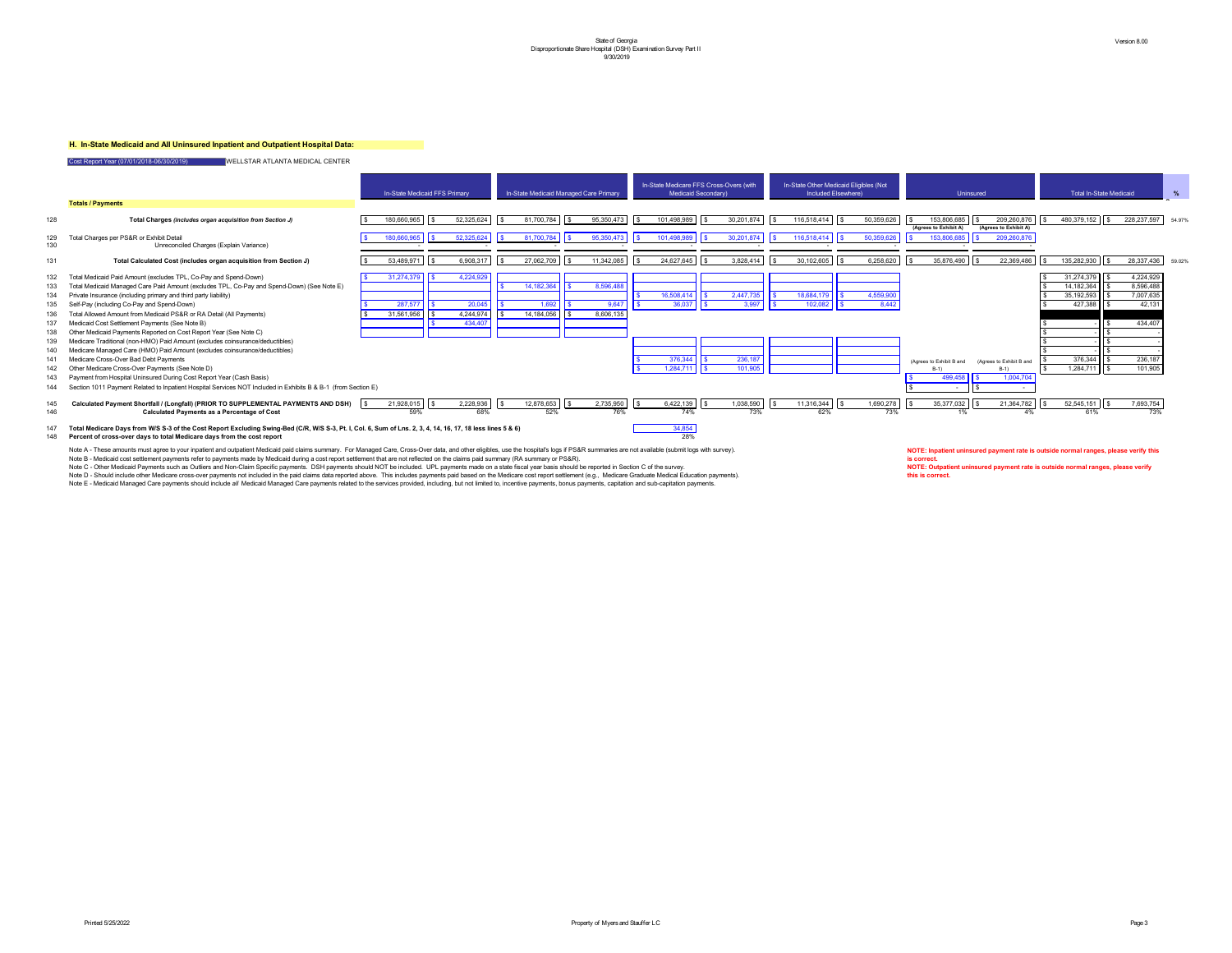## **H. In-State Medicaid and All Uninsured Inpatient and Outpatient Hospital Data:**

147 Total Medicare Days from W/S S-3 of the Cost Report Excluding Swing-Bed (C/R, W/S S-3, Pt. I, Col. 6, Sum of Lns. 2, 3, 4, 14, 16, 17, 18 less lines 5 & 6) 34,854 148 **Percent of cross-over days to total Medicare days from the cost report** 28%

Note A - These amounts must agree to your inpatient and outpatient Medicaid paid claims summary. For Managed Care, Cross-Over data, and other eligibles, use the hospital's logs if PS&R summaries are not available (submit l Note B - Medicaid cost settlement payments refer to payments made by Medicaid during a cost report settlement that are not reflected on the claims paid summary (RA summary or PS&R). Note C - Other Medicaid Payments such as Outliers and Non-Claim Specific payments. DSH payments should NOT be included. UPL payments made on a state fiscal year basis should be reported in Section C of the survey. Note D - Should include other Medicare cross-over payments not included in the paid claims data reported above. This includes payments paid based on the Medicare cost report settlement (e.g., Medicare Graduate Medical Educ Note E - Medicaid Managed Care payments should include all Medicaid Managed Care payments related to the services provided, including, but not limited to, incentive payments, bonus payments, capitation and sub-capitation p

Cost Report Year (07/01/2018-06/30/2019) WELLSTAR ATLANTA MEDICAL CENTER **Totals / Payments** |\$ 180,660,965 ||\$ 52,325,624 ||\$ 81,700,784 ||\$ 101,498,989 ||\$ 30,201,874 ||\$ 116,518,414 ||\$ 50,359,626 ||\$ 153,806,685 ||\$ 209,260,876 130 - - - - - - - - - - Unreconciled Charges (Explain Variance) 136 Total Allowed Amount from Medicaid PS&R or RA Detail (All Payments) 31,561,956 | | \$ 4,244,974 | | \$ 14,184,056 | | \$ 8,606,135 143 \$ 499,458 \$ 1,004,704 Payment from Hospital Uninsured During Cost Report Year (Cash Basis) 144 Section 1011 Payment Related to Inpatient Hospital Services NOT Included in Exhibits B & B-1 (from Section E) Medicare Cross-Over Bad Debt Payments



**NOTE: Outpatient uninsured payment rate is outside normal ranges, please verify this is correct.**

**NOTE: Inpatient uninsured payment rate is outside normal ranges, please verify this is correct.**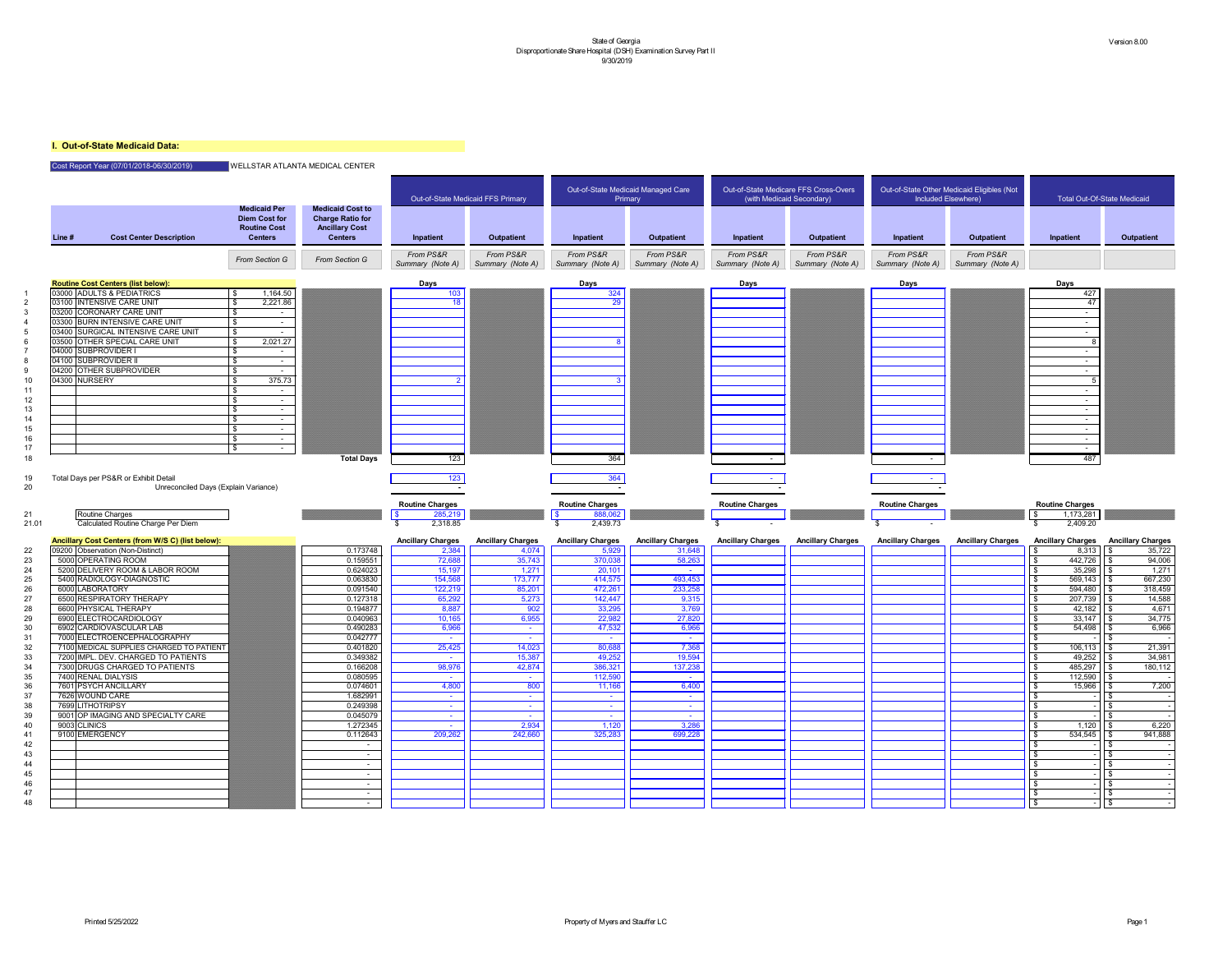## **I. Out-of-State Medicaid Data:**

## Cost Report Year (07/01/2018-06/30/2019) WELLSTAR ATLANTA MEDICAL CENTER

|                                        |        |                                                                                 |                                                                                      |                                                                                               |                                   | Out-of-State Medicaid FFS Primary |                                   | Out-of-State Medicaid Managed Care<br>Primary |                               | Out-of-State Medicare FFS Cross-Overs<br>(with Medicaid Secondary) |                               | Out-of-State Other Medicaid Eligibles (Not<br>Included Elsewhere) | <b>Total Out-Of-State Medicaid</b>  |                          |
|----------------------------------------|--------|---------------------------------------------------------------------------------|--------------------------------------------------------------------------------------|-----------------------------------------------------------------------------------------------|-----------------------------------|-----------------------------------|-----------------------------------|-----------------------------------------------|-------------------------------|--------------------------------------------------------------------|-------------------------------|-------------------------------------------------------------------|-------------------------------------|--------------------------|
|                                        | Line # | <b>Cost Center Description</b>                                                  | <b>Medicaid Per</b><br><b>Diem Cost for</b><br><b>Routine Cost</b><br><b>Centers</b> | <b>Medicaid Cost to</b><br><b>Charge Ratio for</b><br><b>Ancillary Cost</b><br><b>Centers</b> | Inpatient                         | <b>Outpatient</b>                 | Inpatient                         | <b>Outpatient</b>                             | Inpatient                     | <b>Outpatient</b>                                                  | Inpatient                     | Outpatient                                                        | Inpatient                           | <b>Outpatient</b>        |
|                                        |        |                                                                                 | From Section G                                                                       | From Section G                                                                                | From PS&R<br>Summary (Note A)     | From PS&R<br>Summary (Note A)     | From PS&R<br>Summary (Note A)     | From PS&R<br>Summary (Note A)                 | From PS&R<br>Summary (Note A) | From PS&R<br>Summary (Note A)                                      | From PS&R<br>Summary (Note A) | From PS&R<br>Summary (Note A)                                     |                                     |                          |
|                                        |        | <b>Routine Cost Centers (list below):</b>                                       |                                                                                      |                                                                                               | Days                              |                                   | <b>Days</b>                       |                                               | <b>Days</b>                   |                                                                    | <b>Days</b>                   |                                                                   | <b>Days</b>                         |                          |
|                                        |        | 03000 ADULTS & PEDIATRICS                                                       | 1,164.50                                                                             |                                                                                               | 103                               |                                   | $\frac{1}{324}$                   |                                               |                               |                                                                    |                               |                                                                   | 427                                 |                          |
|                                        |        | 03100 INTENSIVE CARE UNIT                                                       | 2,221.86                                                                             |                                                                                               |                                   |                                   | 29                                |                                               |                               |                                                                    |                               |                                                                   | 47                                  |                          |
|                                        |        | 03200 CORONARY CARE UNIT                                                        |                                                                                      |                                                                                               |                                   |                                   |                                   |                                               |                               |                                                                    |                               |                                                                   | $\sim$                              |                          |
|                                        |        | 03300 BURN INTENSIVE CARE UNIT                                                  |                                                                                      |                                                                                               |                                   |                                   |                                   |                                               |                               |                                                                    |                               |                                                                   | $\sim$                              |                          |
|                                        |        | 03400 SURGICAL INTENSIVE CARE UNIT<br>03500 OTHER SPECIAL CARE UNIT             | \$<br>2,021.27                                                                       |                                                                                               |                                   |                                   |                                   |                                               |                               |                                                                    |                               |                                                                   | $\sim$                              |                          |
|                                        |        | 04000 SUBPROVIDER I                                                             |                                                                                      |                                                                                               |                                   |                                   |                                   |                                               |                               |                                                                    |                               |                                                                   |                                     |                          |
|                                        |        | 04100 SUBPROVIDER II                                                            |                                                                                      |                                                                                               |                                   |                                   |                                   |                                               |                               |                                                                    |                               |                                                                   | $\sim$                              |                          |
|                                        |        | 04200 OTHER SUBPROVIDER                                                         | $\sim$                                                                               |                                                                                               |                                   |                                   |                                   |                                               |                               |                                                                    |                               |                                                                   |                                     |                          |
|                                        |        | 04300 NURSERY                                                                   | 375.73                                                                               |                                                                                               |                                   |                                   |                                   |                                               |                               |                                                                    |                               |                                                                   |                                     |                          |
|                                        |        |                                                                                 |                                                                                      |                                                                                               |                                   |                                   |                                   |                                               |                               |                                                                    |                               |                                                                   |                                     |                          |
| 12<br>13                               |        |                                                                                 | $\sim$                                                                               |                                                                                               |                                   |                                   |                                   |                                               |                               |                                                                    |                               |                                                                   | $\sim$                              |                          |
| 14                                     |        |                                                                                 |                                                                                      |                                                                                               |                                   |                                   |                                   |                                               |                               |                                                                    |                               |                                                                   |                                     |                          |
| 15                                     |        |                                                                                 |                                                                                      |                                                                                               |                                   |                                   |                                   |                                               |                               |                                                                    |                               |                                                                   | $\sim$                              |                          |
| 16                                     |        |                                                                                 |                                                                                      |                                                                                               |                                   |                                   |                                   |                                               |                               |                                                                    |                               |                                                                   | $\sim$                              |                          |
| 17                                     |        |                                                                                 |                                                                                      |                                                                                               |                                   |                                   |                                   |                                               |                               |                                                                    |                               |                                                                   | $\sim$                              |                          |
| 18                                     |        |                                                                                 |                                                                                      | <b>Total Days</b>                                                                             | 123                               |                                   | 364                               |                                               |                               |                                                                    |                               |                                                                   | 487                                 |                          |
|                                        |        |                                                                                 |                                                                                      |                                                                                               |                                   |                                   |                                   |                                               |                               |                                                                    |                               |                                                                   |                                     |                          |
|                                        |        | Routine Charges                                                                 |                                                                                      |                                                                                               | <b>Routine Charges</b><br>285,219 |                                   | <b>Routine Charges</b><br>888,062 |                                               | <b>Routine Charges</b>        |                                                                    | <b>Routine Charges</b>        |                                                                   | <b>Routine Charges</b><br>1,173,281 |                          |
|                                        |        | Calculated Routine Charge Per Diem                                              |                                                                                      |                                                                                               | 2,318.85                          |                                   | 2,439.73                          |                                               |                               |                                                                    |                               |                                                                   | 2,409.20<br>\$                      |                          |
|                                        |        | Ancillary Cost Centers (from W/S C) (list below):                               |                                                                                      |                                                                                               | <b>Ancillary Charges</b>          | <b>Ancillary Charges</b>          | <b>Ancillary Charges</b>          | <b>Ancillary Charges</b>                      | <b>Ancillary Charges</b>      | <b>Ancillary Charges</b>                                           | <b>Ancillary Charges</b>      | <b>Ancillary Charges</b>                                          | <b>Ancillary Charges</b>            | <b>Ancillary Charges</b> |
| 21.01                                  |        | 09200 Observation (Non-Distinct)                                                |                                                                                      | 0.173748                                                                                      | 2,384                             | 4,074                             | 5,929                             | 31,648                                        |                               |                                                                    |                               |                                                                   | $8,313$ \$                          | 35,722                   |
| 23                                     |        | 5000 OPERATING ROOM                                                             |                                                                                      | 0.159551                                                                                      | 72,688                            | 35,743                            | 370,038                           | 58,263                                        |                               |                                                                    |                               |                                                                   | 442,726                             | 94,006                   |
|                                        |        | 5200 DELIVERY ROOM & LABOR ROOM                                                 |                                                                                      | 0.624023                                                                                      | 15,197                            | 1,271                             | 20,101                            | $\sim$                                        |                               |                                                                    |                               |                                                                   | 35,298                              | 1,271                    |
|                                        |        | 5400 RADIOLOGY-DIAGNOSTIC<br>6000 LABORATORY                                    |                                                                                      | 0.063830<br>0.091540                                                                          | 154,568<br>122,219                | 173,777<br>85,201                 | 414,575<br>472,261                | 493,453<br>233,258                            |                               |                                                                    |                               |                                                                   | 569,143<br>594,480                  | 667,230                  |
|                                        |        | 6500 RESPIRATORY THERAPY                                                        |                                                                                      | 0.127318                                                                                      | 65,292                            | 5,273                             | 142,447                           | 9,315                                         |                               |                                                                    |                               |                                                                   | 207,739                             | 318,459<br>14,588        |
|                                        |        | 6600 PHYSICAL THERAPY                                                           |                                                                                      | 0.194877                                                                                      | 8,887                             | 902                               | 33,295                            | 3,769                                         |                               |                                                                    |                               |                                                                   | 42,182                              | 4,671                    |
|                                        |        | 6900 ELECTROCARDIOLOGY                                                          |                                                                                      | 0.040963                                                                                      | 10,165                            | 6,955                             | 22,982                            | 27,820                                        |                               |                                                                    |                               |                                                                   | 33,147                              | 34,775                   |
|                                        |        | 6902 CARDIOVASCULAR LAB                                                         |                                                                                      | 0.490283                                                                                      | 6,966                             | $\sim$                            | 47,532                            | 6,966                                         |                               |                                                                    |                               |                                                                   | 54,498                              | 6,966                    |
|                                        |        | 7000 ELECTROENCEPHALOGRAPHY                                                     |                                                                                      | 0.042777                                                                                      |                                   | $\sim$                            |                                   | $\sim$                                        |                               |                                                                    |                               |                                                                   |                                     |                          |
|                                        |        | 7100 MEDICAL SUPPLIES CHARGED TO PATIENT<br>7200 IMPL. DEV. CHARGED TO PATIENTS |                                                                                      | 0.401820<br>0.349382                                                                          | 25,425<br>$\sim$                  | 14,023<br>15,387                  | 80,688<br>49,252                  | 7,368<br>19,594                               |                               |                                                                    |                               |                                                                   | 106,113<br>49,252                   | 21,391<br>34,981         |
|                                        |        | 7300 DRUGS CHARGED TO PATIENTS                                                  |                                                                                      | 0.166208                                                                                      | 98,976                            | 42,874                            | 386,321                           | 137,238                                       |                               |                                                                    |                               |                                                                   | 485,297                             | 180,112                  |
|                                        |        | 7400 RENAL DIALYSIS                                                             |                                                                                      | 0.080595                                                                                      | $\sim$                            | $\sim$                            | 112,590                           | <b>Contract</b>                               |                               |                                                                    |                               |                                                                   | 112,590                             |                          |
|                                        |        | 7601 PSYCH ANCILLARY                                                            |                                                                                      | 0.074601                                                                                      | 4,800                             | 800                               | 11,166                            | 6,400                                         |                               |                                                                    |                               |                                                                   | 15,966                              | 7,200                    |
|                                        |        | 7626 WOUND CARE                                                                 |                                                                                      | 1.682991                                                                                      |                                   | $\sim$                            | $\sim$                            | $\sim$ $-$                                    |                               |                                                                    |                               |                                                                   |                                     |                          |
|                                        |        | 7699 LITHOTRIPSY                                                                |                                                                                      | 0.249398                                                                                      | $\sim$<br>$\sim$                  | $\sim$<br>$\sim$                  | $\sim$<br><b>Section</b>          | $\sim$<br>$\sim$ $-$                          |                               |                                                                    |                               |                                                                   |                                     |                          |
|                                        |        | 9001 OP IMAGING AND SPECIALTY CARE<br>9003 CLINICS                              |                                                                                      | 0.045079<br>1.272345                                                                          | $\sim$                            | 2,934                             | 1,120                             | 3,286                                         |                               |                                                                    |                               |                                                                   | 1,120                               | 6,220                    |
|                                        |        | 9100 EMERGENCY                                                                  |                                                                                      | 0.112643                                                                                      | 209,262                           | 242,660                           | 325,283                           | 699,228                                       |                               |                                                                    |                               |                                                                   | 534,545                             | 941,888                  |
|                                        |        |                                                                                 |                                                                                      | $\sim$                                                                                        |                                   |                                   |                                   |                                               |                               |                                                                    |                               |                                                                   |                                     |                          |
|                                        |        |                                                                                 |                                                                                      | $\sim$                                                                                        |                                   |                                   |                                   |                                               |                               |                                                                    |                               |                                                                   |                                     |                          |
|                                        |        |                                                                                 |                                                                                      | $\sim$                                                                                        |                                   |                                   |                                   |                                               |                               |                                                                    |                               |                                                                   |                                     |                          |
| 33<br>39<br>40<br>42<br>43<br>45<br>46 |        |                                                                                 |                                                                                      | $\sim$<br>$\sim$                                                                              |                                   |                                   |                                   |                                               |                               |                                                                    |                               |                                                                   |                                     |                          |
|                                        |        |                                                                                 |                                                                                      | $\sim$                                                                                        |                                   |                                   |                                   |                                               |                               |                                                                    |                               |                                                                   |                                     |                          |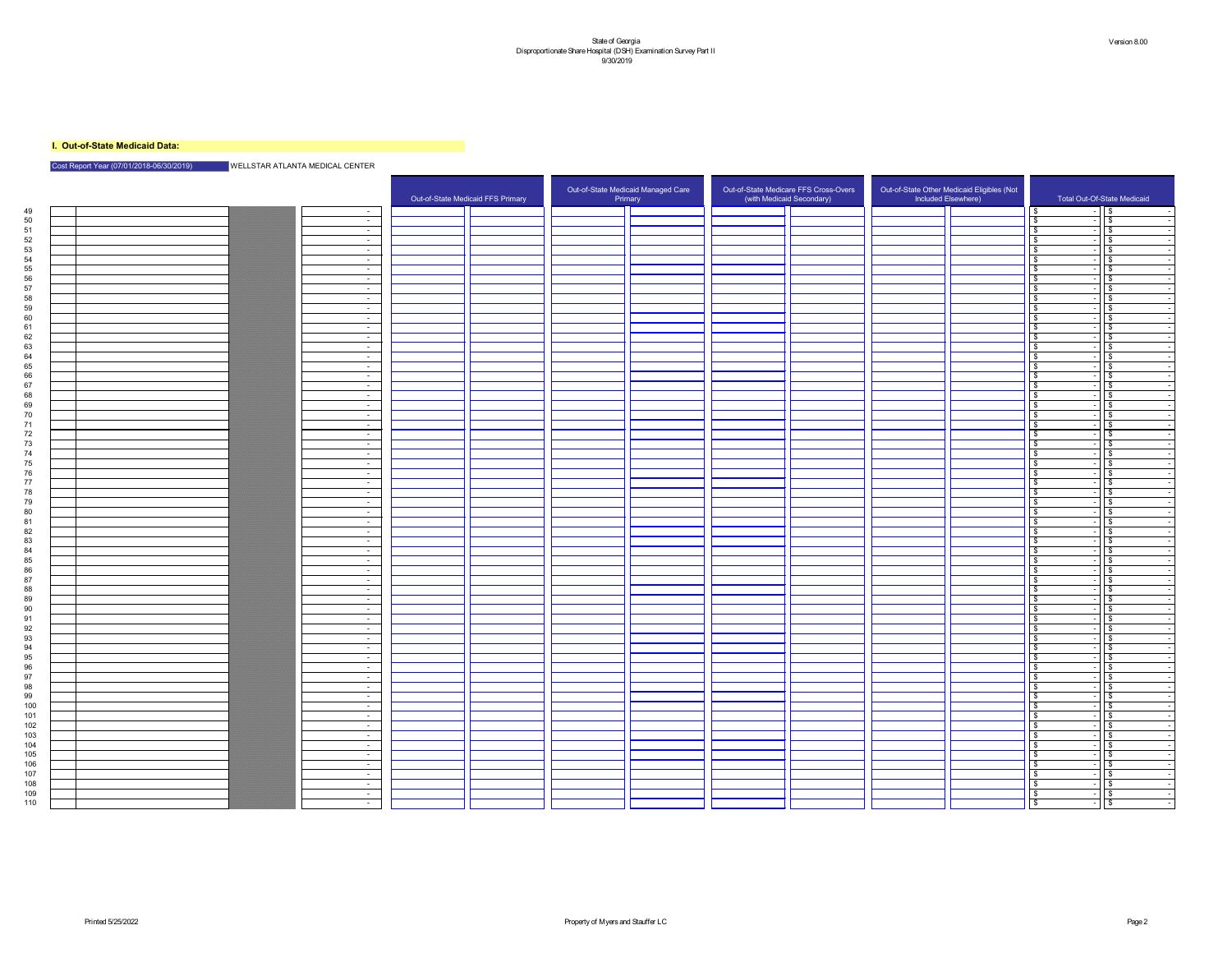## **I. Out-of-State Medicaid Data:**

## Cost Report Year (07/01/2018-06/30/2019) WELLSTAR ATLANTA MEDICAL CENTER

|           |  |                                | Out-of-State Medicaid FFS Primary | Out-of-State Medicaid Managed Care<br>Primary |  | Out-of-State Medicare FFS Cross-Overs<br>(with Medicaid Secondary) | Out-of-State Other Medicaid Eligibles (Not<br>Included Elsewhere) |              | Total Out-Of-State Medicaid |
|-----------|--|--------------------------------|-----------------------------------|-----------------------------------------------|--|--------------------------------------------------------------------|-------------------------------------------------------------------|--------------|-----------------------------|
| 49        |  | $\sim$ $-$                     |                                   |                                               |  |                                                                    |                                                                   | l S.         | $\mathsf{I}$ $\mathsf{\$}$  |
| 50        |  | $\sim$ $-$                     |                                   |                                               |  |                                                                    |                                                                   |              | $\sqrt{3}$                  |
| 51        |  | $\sim$ $-$                     |                                   |                                               |  |                                                                    |                                                                   |              | $\sqrt{3}$                  |
| 52        |  | $\sim$ $-$                     |                                   |                                               |  |                                                                    |                                                                   |              | $\sqrt{3}$                  |
| 53        |  | $\sim$ $-$                     |                                   |                                               |  |                                                                    |                                                                   |              | l \$                        |
| 54        |  | $\sim$ $-$                     |                                   |                                               |  |                                                                    |                                                                   |              | l \$                        |
| 55        |  | $\sim$ $-$                     |                                   |                                               |  |                                                                    |                                                                   |              | ⊺\$                         |
| 56        |  | $\sim$ $-$                     |                                   |                                               |  |                                                                    |                                                                   |              | $\sqrt{3}$                  |
| 57        |  | $\sim$ $-$                     |                                   |                                               |  |                                                                    |                                                                   | $\mathbf{r}$ | $\sqrt{3}$                  |
| 58        |  | $\sim$ $-$                     |                                   |                                               |  |                                                                    |                                                                   |              | $\sqrt{3}$                  |
| 59<br>60  |  | $\sim$                         |                                   |                                               |  |                                                                    |                                                                   |              | ⊕<br>ြ \$                   |
|           |  | $\sim$ $-$                     |                                   |                                               |  |                                                                    |                                                                   |              | မ                           |
| 62        |  | $\sim$ $-$                     |                                   |                                               |  |                                                                    |                                                                   |              | $\sqrt{3}$                  |
| 63        |  | $\sim$                         |                                   |                                               |  |                                                                    |                                                                   |              | \$                          |
| 64        |  | $\sim$ $-$<br>$\sim$ 100 $\mu$ |                                   |                                               |  |                                                                    |                                                                   |              | l \$                        |
| 65        |  | $\sim$ $-$                     |                                   |                                               |  |                                                                    |                                                                   |              | \$                          |
| 66        |  | $\sim$ $-$                     |                                   |                                               |  |                                                                    |                                                                   |              | $\sqrt{3}$                  |
| 67        |  | $\sim$ $-$                     |                                   |                                               |  |                                                                    |                                                                   | $\bullet$    | $\sqrt{3}$                  |
| 68        |  | $\sim$                         |                                   |                                               |  |                                                                    |                                                                   |              | $\overline{\mathbf{3}}$     |
| 69        |  | $\sim$ $-$                     |                                   |                                               |  |                                                                    |                                                                   |              | $\sqrt{3}$                  |
| 70        |  | $\sim$ $-$                     |                                   |                                               |  |                                                                    |                                                                   |              | ⊕                           |
|           |  | $\sim$                         |                                   |                                               |  |                                                                    |                                                                   |              | l \$                        |
| 72        |  | $\sim$ $-$                     |                                   |                                               |  |                                                                    |                                                                   |              | $\sqrt{3}$                  |
| 73        |  | $\sim$ $-$                     |                                   |                                               |  |                                                                    |                                                                   |              | ⊺\$                         |
| 74        |  | $\sim$ $-$                     |                                   |                                               |  |                                                                    |                                                                   |              | $\sqrt{3}$                  |
| 75        |  | $\sim$ $-$                     |                                   |                                               |  |                                                                    |                                                                   |              | $\sqrt{s}$                  |
| 76        |  | $\sim$ $-$                     |                                   |                                               |  |                                                                    |                                                                   |              | $\sqrt{3}$                  |
| 77        |  | $\sim$ $-$                     |                                   |                                               |  |                                                                    |                                                                   |              | $\overline{\mathbf{3}}$     |
| 78        |  | $\sim$ $-$                     |                                   |                                               |  |                                                                    |                                                                   |              | l \$                        |
| 79        |  | $\sim$ $-$                     |                                   |                                               |  |                                                                    |                                                                   |              | $\sqrt{3}$                  |
| ΩΩ        |  |                                |                                   |                                               |  |                                                                    |                                                                   |              | $\mathbf{C}$                |
| 81        |  | $\sim$ 100 $\mu$               |                                   |                                               |  |                                                                    |                                                                   | \$           | $\sqrt{3}$                  |
| 82        |  | $\sim$ $-$                     |                                   |                                               |  |                                                                    |                                                                   |              | $\sqrt{5}$                  |
| 83        |  | $\sim 10^{-10}$                |                                   |                                               |  |                                                                    |                                                                   |              | \$                          |
| 84        |  | $\sim$ $-$                     |                                   |                                               |  |                                                                    |                                                                   | \$           | $\sqrt{5}$                  |
| 85        |  | $\sim$ $-$                     |                                   |                                               |  |                                                                    |                                                                   | $\bullet$    | $1\overline{3}$             |
| 86        |  | $\sim$ $-$                     |                                   |                                               |  |                                                                    |                                                                   |              | $\sqrt{5}$                  |
| 87        |  | $\sim 100$                     |                                   |                                               |  |                                                                    |                                                                   | \$           | $\sqrt{5}$                  |
| 88        |  | $\sim$ $ \sim$                 |                                   |                                               |  |                                                                    |                                                                   |              | $\sqrt{5}$                  |
| 89        |  | $\sim$ $-$                     |                                   |                                               |  |                                                                    |                                                                   | \$           | $\sqrt{3}$                  |
| 90        |  | $\sim 10^{-11}$                |                                   |                                               |  |                                                                    |                                                                   | - \$         | $\sqrt{3}$                  |
|           |  | $\sim 10^{-11}$                |                                   |                                               |  |                                                                    |                                                                   | $\bullet$    | $\sqrt{5}$                  |
| 92        |  | $\sim 10^{-1}$                 |                                   |                                               |  |                                                                    |                                                                   |              | \$                          |
| 93        |  | $\sim$ $-$                     |                                   |                                               |  |                                                                    |                                                                   | \$           | T   \$                      |
| 94        |  | $\sim 10^{-10}$                |                                   |                                               |  |                                                                    |                                                                   |              | 1   \$                      |
| 95        |  | $\sim 10^{-10}$                |                                   |                                               |  |                                                                    |                                                                   |              | $\sqrt{3}$                  |
| 96        |  |                                |                                   |                                               |  |                                                                    |                                                                   |              | $\sqrt{3}$<br>$\sqrt{5}$    |
| 97        |  | $\sim$ $-$                     |                                   |                                               |  |                                                                    |                                                                   |              |                             |
| 98        |  | $\sim$ $-$                     |                                   |                                               |  |                                                                    |                                                                   | \$           | $\sqrt{3}$                  |
| 99<br>100 |  | $\sim$ $-$                     |                                   |                                               |  |                                                                    |                                                                   | $\bullet$    | \$<br>$\sqrt{3}$            |
| 101       |  | $\sim$ $-$                     |                                   |                                               |  |                                                                    |                                                                   |              |                             |
| 102       |  | $\sim 10^{-10}$                |                                   |                                               |  |                                                                    |                                                                   | - \$         | $\sqrt{5}$                  |
| 103       |  | $\sim 10^{-11}$                |                                   |                                               |  |                                                                    |                                                                   |              | $\sqrt{5}$                  |
| 104       |  | $\sim$ $-$<br>$\sim 10^{-10}$  |                                   |                                               |  |                                                                    |                                                                   |              | $\sqrt{5}$                  |
| 105       |  |                                |                                   |                                               |  |                                                                    |                                                                   |              | 1   \$                      |
| 106       |  | $\sim 100$ m $^{-1}$           |                                   |                                               |  |                                                                    |                                                                   |              | $\sqrt{5}$                  |
| 107       |  | ___<br>$\sim$ $-$              |                                   |                                               |  |                                                                    |                                                                   |              | $\sqrt{3}$                  |
| 108       |  | $\sim$ $ \sim$                 |                                   |                                               |  |                                                                    |                                                                   | $\sqrt{3}$   | $\sqrt{5}$                  |
| 109       |  | $\sim$ $ \sim$                 |                                   |                                               |  |                                                                    |                                                                   | $\bullet$    | $\sqrt{5}$                  |
| 110       |  | $\sim$                         |                                   |                                               |  |                                                                    |                                                                   | $\bullet$    | $\sqrt{3}$                  |
|           |  |                                |                                   |                                               |  |                                                                    |                                                                   |              |                             |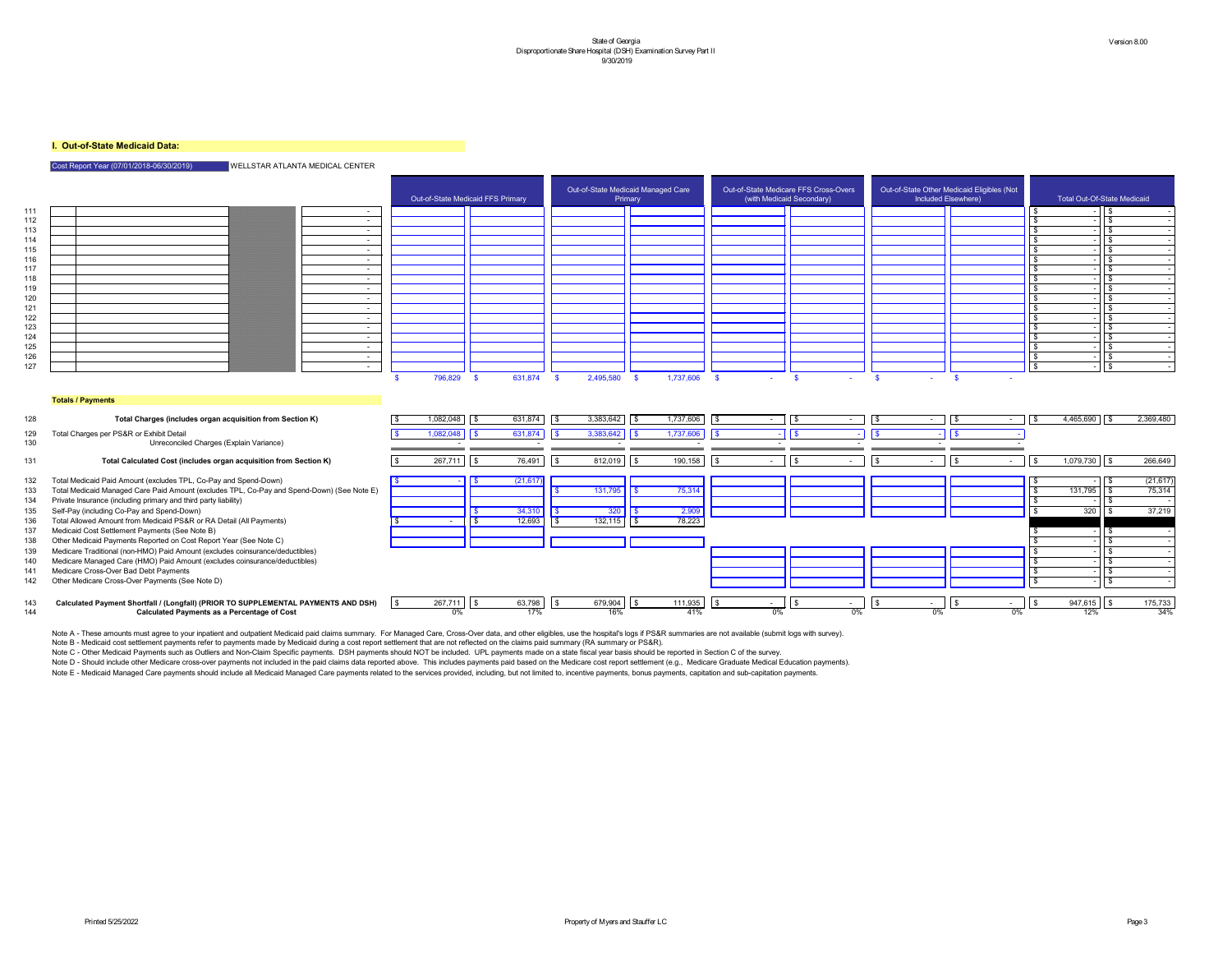## **I. Out-of-State Medicaid Data:**

Cost Report Year (07/01/2018-06/30/2019) WELLSTAR ATLANTA MEDICAL CENTER



#### **Totals / Payments**

- -

|     |                                                                                            |           | Out-of-State Medicaid FFS Primary |                                     | Out-of-State Medicaid Managed Care<br>Primary | Out-of-State Medicare FFS Cross-Overs<br>(with Medicaid Secondary) |                |                  | Out-of-State Other Medicaid Eligibles (Not<br>Included Elsewhere) |                        | <b>Total Out-Of-State Medicaid</b> |
|-----|--------------------------------------------------------------------------------------------|-----------|-----------------------------------|-------------------------------------|-----------------------------------------------|--------------------------------------------------------------------|----------------|------------------|-------------------------------------------------------------------|------------------------|------------------------------------|
| 111 | $\sim$ $-$                                                                                 |           |                                   |                                     |                                               |                                                                    |                |                  |                                                                   |                        |                                    |
| 112 | $\sim$ 100 $\mu$                                                                           |           |                                   |                                     |                                               |                                                                    |                |                  |                                                                   |                        |                                    |
| 113 | $\sim$ $-$                                                                                 |           |                                   |                                     |                                               |                                                                    |                |                  |                                                                   |                        |                                    |
| 114 | $\sim$ $-$                                                                                 |           |                                   |                                     |                                               |                                                                    |                |                  |                                                                   |                        |                                    |
| 115 | $\sim$ 100 $\mu$                                                                           |           |                                   |                                     |                                               |                                                                    |                |                  |                                                                   |                        |                                    |
| 116 | $\sim$                                                                                     |           |                                   |                                     |                                               |                                                                    |                |                  |                                                                   |                        |                                    |
| 117 | $\sim$ $-$                                                                                 |           |                                   |                                     |                                               |                                                                    |                |                  |                                                                   |                        |                                    |
| 118 | $\sim$ 100 $\mu$                                                                           |           |                                   |                                     |                                               |                                                                    |                |                  |                                                                   |                        |                                    |
| 119 | $\sim$                                                                                     |           |                                   |                                     |                                               |                                                                    |                |                  |                                                                   |                        |                                    |
| 120 | $\sim$                                                                                     |           |                                   |                                     |                                               |                                                                    |                |                  |                                                                   |                        |                                    |
| 121 | $\sim$ 100 $\mu$                                                                           |           |                                   |                                     |                                               |                                                                    |                |                  |                                                                   |                        |                                    |
| 122 | $\sim$ $-$                                                                                 |           |                                   |                                     |                                               |                                                                    |                |                  |                                                                   |                        |                                    |
| 123 | $\sim$ $-$                                                                                 |           |                                   |                                     |                                               |                                                                    |                |                  |                                                                   |                        |                                    |
| 124 | $\sim$ 100 $\mu$                                                                           |           |                                   |                                     |                                               |                                                                    |                |                  |                                                                   |                        |                                    |
| 125 | $\sim$                                                                                     |           |                                   |                                     |                                               |                                                                    |                |                  |                                                                   |                        |                                    |
| 126 | $\sim$ $-$                                                                                 |           |                                   |                                     |                                               |                                                                    |                |                  |                                                                   |                        |                                    |
| 127 | $\sim$                                                                                     |           |                                   |                                     |                                               |                                                                    |                |                  |                                                                   |                        | $\mathbb{R}$                       |
| 128 | <b>Totals / Payments</b><br>Total Charges (includes organ acquisition from Section K)      | 1,082,048 | 631,874<br>$\vert$ \$             | 3,383,642<br>IS-                    | 1,737,606<br>  \$                             | $\sqrt{3}$<br>$\vert$ \$<br>$\sim$ $-$                             | $\sim$ $ \sim$ | IS-<br>$\sim$    | $\vert$ \$<br>$\sim$                                              | $4,465,690$ \$<br>  \$ | 2,369,480                          |
|     |                                                                                            |           |                                   |                                     |                                               |                                                                    |                |                  |                                                                   |                        |                                    |
| 129 | Total Charges per PS&R or Exhibit Detail                                                   | 1,082,048 | 631,874<br>l \$                   | 3,383,642                           | 1,737,606                                     | l \$                                                               |                |                  |                                                                   |                        |                                    |
| 130 | Unreconciled Charges (Explain Variance)                                                    |           |                                   |                                     |                                               |                                                                    |                |                  |                                                                   |                        |                                    |
| 131 | Total Calculated Cost (includes organ acquisition from Section K)                          | 267,711   | 76,491<br>  \$                    | 812,019<br>\$                       | 190,158<br>l \$                               | l \$<br>$\sim$                                                     | $\sim$         | $\sim$ 100 $\mu$ |                                                                   | $1,079,730$ \$<br>-\$  | 266,649                            |
| 132 | Total Medicaid Paid Amount (excludes TPL, Co-Pay and Spend-Down)                           |           | (21, 617)                         |                                     |                                               |                                                                    |                |                  |                                                                   |                        | (21, 617)                          |
| 133 | Total Medicaid Managed Care Paid Amount (excludes TPL, Co-Pay and Spend-Down) (See Note E) |           |                                   | 131,795                             | 75,314                                        |                                                                    |                |                  |                                                                   | 131,795                | 75,314                             |
| 134 | Private Insurance (including primary and third party liability)                            |           |                                   |                                     |                                               |                                                                    |                |                  |                                                                   |                        |                                    |
| 135 | Self-Pay (including Co-Pay and Spend-Down)                                                 |           | 34,310                            | 300 <sub>1</sub>                    | 2.909<br>2,00                                 |                                                                    |                |                  |                                                                   | 320                    | 37,219                             |
| 136 | Total Allowed Amount from Medicaid PS&R or RA Detail (All Payments)                        |           | 12,693                            | 132, 115<br>$\overline{\mathsf{S}}$ | 78,223<br>$\overline{13}$                     |                                                                    |                |                  |                                                                   |                        |                                    |
| 137 | Medicaid Cost Settlement Payments (See Note B)                                             |           |                                   |                                     |                                               |                                                                    |                |                  |                                                                   |                        |                                    |
| 138 | Other Medicaid Payments Reported on Cost Report Year (See Note C)                          |           |                                   |                                     |                                               |                                                                    |                |                  |                                                                   |                        | . ድ                                |
| 139 | Medicare Traditional (non-HMO) Paid Amount (excludes coinsurance/deductibles)              |           |                                   |                                     |                                               |                                                                    |                |                  |                                                                   |                        |                                    |
| 140 | Medicare Managed Care (HMO) Paid Amount (excludes coinsurance/deductibles)                 |           |                                   |                                     |                                               |                                                                    |                |                  |                                                                   |                        |                                    |
| 141 | Medicare Cross-Over Bad Debt Payments                                                      |           |                                   |                                     |                                               |                                                                    |                |                  |                                                                   |                        |                                    |
| 142 | Other Medicare Cross-Over Payments (See Note D)                                            |           |                                   |                                     |                                               |                                                                    |                |                  |                                                                   |                        | $\mathbf{S}$                       |
|     |                                                                                            |           |                                   |                                     |                                               |                                                                    |                |                  |                                                                   |                        |                                    |
|     | <b>GALLUI CRAFAIL (DDIOD TO CUDDLEMENTAL DAVMENTO AND DOL</b>                              | 267741    | $\sim$ 700 $\pm$ 0                | 270.001                             | 444.025                                       |                                                                    |                |                  |                                                                   | 04764E                 | 17570                              |

 \$ 267,711 \$ 63,798 \$ 679,904 \$ 111,935 \$ - \$ - \$ - \$ - \$ 947,615 \$ 175,733 **Calculated Payment Shortfall / (Longfall) (PRIOR TO SUPPLEMENTAL PAYMENTS AND DSH)** 0% 17% 16% 41% 0% 0% 0% 0% 12% 34% **Calculated Payments as a Percentage of Cost**

| \$<br>າຂ | ₼<br>۰D | .798<br>$\sim$ | m<br>۰D | 90 D | $\rightarrow$<br>۰W |  |
|----------|---------|----------------|---------|------|---------------------|--|
| 0%       |         | 7%             |         | 6%   |                     |  |

Note A - These amounts must agree to your inpatient and outpatient Medicaid paid claims summary. For Managed Care, Cross-Over data, and other eligibles, use the hospital's logs if PS&R summaries are not available (submit l Note B - Medicaid cost settlement payments refer to payments made by Medicaid during a cost report settlement that are not reflected on the claims paid summary (RA summary or PS&R). Note C - Other Medicaid Payments such as Outliers and Non-Claim Specific payments. DSH payments should NOT be included. UPL payments made on a state fiscal year basis should be reported in Section C of the survey. Note D - Should include other Medicare cross-over payments not included in the paid claims data reported above. This includes payments paid based on the Medicare cost report settlement (e.g., Medicare Graduate Medical Educ

Note E - Medicaid Managed Care payments should include all Medicaid Managed Care payments related to the services provided, including, but not limited to, incentive payments, bonus payments, capitation and sub-capitation p

- 
- 
- 
- 
- \$ \$ 12,693 \$ 132,115 \$ 78,223 Total Allowed Amount from Medicaid PS&R or RA Detail (All Payments)
- 
- 
- 
- 
- 
-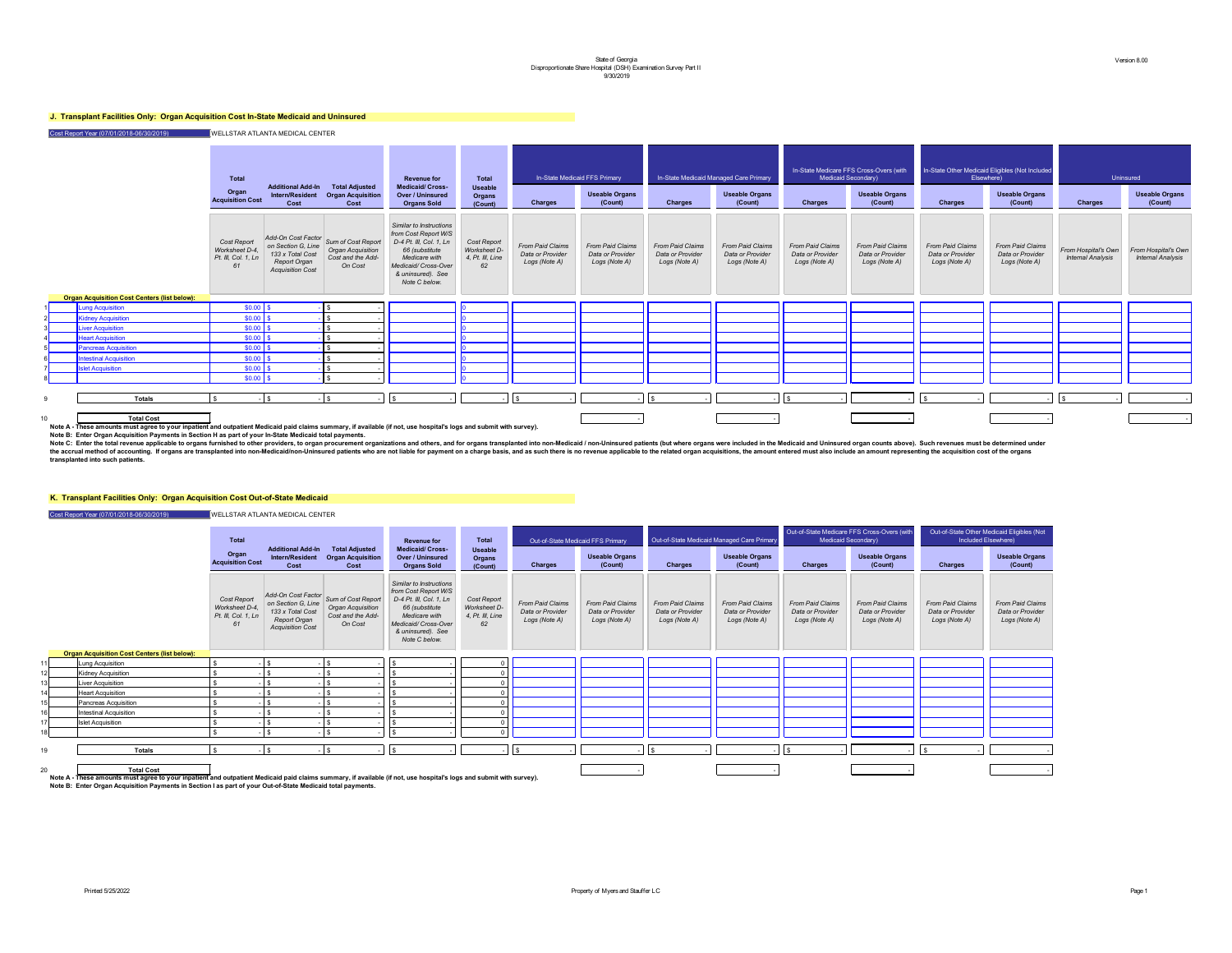## **J. Transplant Facilities Only: Organ Acquisition Cost In-State Medicaid and Uninsured**

Cost Report Year (07/01/2018-06/30/2019) WELLSTAR ATLANTA MEDICAL CENTER

#### **The line of Total** In-State Medicaid Managed Care Primary In-State Medicare FFS Cross-Overs (with Medicaid Secondary) **In-State Other Medicaid Eligibles (Not Included** Elsewhere) Uninsured **Useable Organs (Count) Charges Useable Organs (Count) Charges Useable Organs (Count) Charges Useable Organs (Count) Charges** *From Paid Claims Data or Provider Logs (Note A) From Paid Claims Data or Provider Logs (Note A) From Paid Claims Data or Provider Logs (Note A) From Paid Claims Data or Provider Logs (Note A) From Paid Claims Data or Provider Logs (Note A) From Paid Claims Data or Provider Logs (Note A) From Paid Claims Data or Provider Logs (Note A) From Hospital's Own Internal Analysis* 9 **Totals** \$ - \$ - \$ - \$ - - \$ - - \$ - - \$ - - \$ - - \$ - - 10 **Total Cost** - - - - -



**Note A - These amounts must agree to your inpatient and outpatient Medicaid paid claims summary, if available (if not, use hospital's logs and submit with survey).**

**Note B: Enter Organ Acquisition Payments in Section H as part of your In-State Medicaid total payments.**

### **K. Transplant Facilities Only: Organ Acquisition Cost Out-of-State Medicaid**

Cost Report Year (07/01/2018-06/30/2019) WELLSTAR ATLANTA MEDICAL CENTER

|                |                                                                                | <b>Total</b><br>Organ<br><b>Acquisition Cost</b>           | <b>Additional Add-In</b><br><b>Intern/Resident</b><br><b>Cost</b>                                              | <b>Total Adjusted</b><br><b>Organ Acquisition</b><br>Cost               | <b>Revenue for</b><br><b>Medicaid/Cross-</b><br><b>Over / Uninsured</b><br><b>Organs Sold</b>                                                                               | <b>Total</b><br><b>Useable</b><br><b>Organs</b><br>(Count)   | <b>In-State Medic</b><br><b>Charges</b>                      |
|----------------|--------------------------------------------------------------------------------|------------------------------------------------------------|----------------------------------------------------------------------------------------------------------------|-------------------------------------------------------------------------|-----------------------------------------------------------------------------------------------------------------------------------------------------------------------------|--------------------------------------------------------------|--------------------------------------------------------------|
|                |                                                                                | Cost Report<br>Worksheet D-4,<br>Pt. III, Col. 1, Ln<br>61 | Add-On Cost Factor<br>on Section G, Line<br>133 x Total Cost<br><b>Report Organ</b><br><b>Acquisition Cost</b> | Sum of Cost Report<br>Organ Acquisition<br>Cost and the Add-<br>On Cost | Similar to Instructions<br>from Cost Report W/S<br>D-4 Pt. III, Col. 1, Ln<br>66 (substitute<br>Medicare with<br>Medicaid/ Cross-Over<br>& uninsured). See<br>Note C below. | Cost Report<br><b>Worksheet D-</b><br>4, Pt. III, Line<br>62 | <b>From Paid Claims</b><br>Data or Provider<br>Logs (Note A) |
| $\blacksquare$ | <b>Organ Acquisition Cost Centers (list below):</b><br><b>Lung Acquisition</b> | $$0.00$ \ \$                                               |                                                                                                                | \$                                                                      |                                                                                                                                                                             | Ю                                                            |                                                              |
| 2              | <b>Kidney Acquisition</b>                                                      | \$0.00                                                     | $\sqrt[6]{\frac{1}{2}}$                                                                                        | \$                                                                      |                                                                                                                                                                             |                                                              |                                                              |
| 3 <sup>l</sup> | <b>Liver Acquisition</b>                                                       | \$0.00                                                     | $\sqrt{3}$                                                                                                     | \$                                                                      |                                                                                                                                                                             |                                                              |                                                              |
| 4 <sup>1</sup> | <b>Heart Acquisition</b>                                                       | \$0.00                                                     | $\boldsymbol{\$}$                                                                                              | \$                                                                      |                                                                                                                                                                             |                                                              |                                                              |
| 5 <sup>1</sup> | <b>Pancreas Acquisition</b>                                                    | \$0.00                                                     | $\sqrt[6]{3}$                                                                                                  | \$                                                                      |                                                                                                                                                                             |                                                              |                                                              |
| 6 <sup>1</sup> | <b>Intestinal Acquisition</b>                                                  | \$0.00                                                     | $\sqrt[6]{3}$                                                                                                  | $\frac{1}{2}$                                                           |                                                                                                                                                                             |                                                              |                                                              |
| 7              | <b>Islet Acquisition</b>                                                       | \$0.00                                                     | $\sqrt[6]{3}$                                                                                                  | \$                                                                      |                                                                                                                                                                             | ıη                                                           |                                                              |
| 8 <sup>1</sup> |                                                                                | $$0.00$ \ \$                                               |                                                                                                                | $\boldsymbol{\mathsf{S}}$                                               |                                                                                                                                                                             | IО                                                           |                                                              |
| 9              | <b>Totals</b>                                                                  | \$<br>$\blacksquare$                                       | $\boldsymbol{\mathsf{S}}$<br>$\sim$                                                                            | \$                                                                      | $\sqrt[6]{\frac{1}{2}}$                                                                                                                                                     |                                                              | \$                                                           |

Note C: Enter the total revenue applicable to organs furnished to other providers, to organ procurement organizations and others, and for organs transplanted into non-Medicaid / non-Uninsured patients (but where organs wer the accrual method of accounting. If organs are transplanted into non-Medicaid/non-Uninsured patients who are not liable for payment on a charge basis, and as such there is no revenue applicable to the related organ acquis **transplanted into such patients.** 

|    |                                                                                                                                                                                           | <b>Total</b><br><b>Additional Add-In</b>                   |                                                                                                                | <b>Total Adjusted</b>                                                          |                                                                                                                                                                            | <b>Total</b>                                                 | Out-of-State Medicaid FFS Primary                            |                                                              | Out-of-State Medicaid Managed Care Primary                   |                                                              |                                                              | Out-of-State Medicare FFS Cross-Overs (with<br><b>Medicaid Secondary)</b> |                                                              | Out-of-State Other Medicaid Eligibles (Not<br>Included Elsewhere) |
|----|-------------------------------------------------------------------------------------------------------------------------------------------------------------------------------------------|------------------------------------------------------------|----------------------------------------------------------------------------------------------------------------|--------------------------------------------------------------------------------|----------------------------------------------------------------------------------------------------------------------------------------------------------------------------|--------------------------------------------------------------|--------------------------------------------------------------|--------------------------------------------------------------|--------------------------------------------------------------|--------------------------------------------------------------|--------------------------------------------------------------|---------------------------------------------------------------------------|--------------------------------------------------------------|-------------------------------------------------------------------|
|    |                                                                                                                                                                                           | Organ<br><b>Acquisition Cost</b>                           | <b>Intern/Resident</b><br><b>Cost</b>                                                                          | <b>Organ Acquisition</b><br>Cost                                               | <b>Medicaid/ Cross-</b><br><b>Over / Uninsured</b><br><b>Organs Sold</b>                                                                                                   | <b>Useable</b><br><b>Organs</b><br>(Count)                   | <b>Charges</b>                                               | <b>Useable Organs</b><br>(Count)                             | <b>Charges</b>                                               | <b>Useable Organs</b><br>(Count)                             | <b>Charges</b>                                               | <b>Useable Organs</b><br>(Count)                                          | <b>Charges</b>                                               | <b>Useable Organs</b><br>(Count)                                  |
|    |                                                                                                                                                                                           | Cost Report<br>Worksheet D-4,<br>Pt. III, Col. 1, Ln<br>61 | Add-On Cost Factor<br>on Section G, Line<br>133 x Total Cost<br><b>Report Organ</b><br><b>Acquisition Cost</b> | Sum of Cost Report<br><b>Organ Acquisition</b><br>Cost and the Add-<br>On Cost | Similar to Instructions<br>from Cost Report W/S<br>D-4 Pt. III, Col. 1, Ln<br>66 (substitute<br>Medicare with<br>Medicaid/Cross-Over<br>& uninsured). See<br>Note C below. | <b>Cost Report</b><br>Worksheet D-<br>4, Pt. III, Line<br>62 | <b>From Paid Claims</b><br>Data or Provider<br>Logs (Note A) | <b>From Paid Claims</b><br>Data or Provider<br>Logs (Note A) | <b>From Paid Claims</b><br>Data or Provider<br>Logs (Note A) | <b>From Paid Claims</b><br>Data or Provider<br>Logs (Note A) | <b>From Paid Claims</b><br>Data or Provider<br>Logs (Note A) | <b>From Paid Claims</b><br>Data or Provider<br>Logs (Note A)              | <b>From Paid Claims</b><br>Data or Provider<br>Logs (Note A) | <b>From Paid Claims</b><br>Data or Provider<br>Logs (Note A)      |
|    | <b>Organ Acquisition Cost Centers (list below):</b>                                                                                                                                       |                                                            |                                                                                                                |                                                                                |                                                                                                                                                                            |                                                              |                                                              |                                                              |                                                              |                                                              |                                                              |                                                                           |                                                              |                                                                   |
|    | Lung Acquisition                                                                                                                                                                          |                                                            |                                                                                                                | - \$                                                                           |                                                                                                                                                                            |                                                              |                                                              |                                                              |                                                              |                                                              |                                                              |                                                                           |                                                              |                                                                   |
|    | Kidney Acquisition                                                                                                                                                                        |                                                            |                                                                                                                |                                                                                |                                                                                                                                                                            |                                                              |                                                              |                                                              |                                                              |                                                              |                                                              |                                                                           |                                                              |                                                                   |
|    | Liver Acquisition                                                                                                                                                                         |                                                            |                                                                                                                |                                                                                |                                                                                                                                                                            |                                                              |                                                              |                                                              |                                                              |                                                              |                                                              |                                                                           |                                                              |                                                                   |
|    | <b>Heart Acquisition</b>                                                                                                                                                                  |                                                            |                                                                                                                |                                                                                |                                                                                                                                                                            |                                                              |                                                              |                                                              |                                                              |                                                              |                                                              |                                                                           |                                                              |                                                                   |
|    | Pancreas Acquisition                                                                                                                                                                      |                                                            |                                                                                                                |                                                                                |                                                                                                                                                                            |                                                              |                                                              |                                                              |                                                              |                                                              |                                                              |                                                                           |                                                              |                                                                   |
|    | <b>Intestinal Acquisition</b>                                                                                                                                                             |                                                            |                                                                                                                | l \$                                                                           |                                                                                                                                                                            |                                                              |                                                              |                                                              |                                                              |                                                              |                                                              |                                                                           |                                                              |                                                                   |
|    | <b>Islet Acquisition</b>                                                                                                                                                                  |                                                            |                                                                                                                | - \$                                                                           |                                                                                                                                                                            |                                                              |                                                              |                                                              |                                                              |                                                              |                                                              |                                                                           |                                                              |                                                                   |
|    |                                                                                                                                                                                           |                                                            |                                                                                                                |                                                                                |                                                                                                                                                                            |                                                              |                                                              |                                                              |                                                              |                                                              |                                                              |                                                                           |                                                              |                                                                   |
| 19 | <b>Totals</b>                                                                                                                                                                             |                                                            |                                                                                                                |                                                                                |                                                                                                                                                                            |                                                              |                                                              |                                                              |                                                              |                                                              |                                                              |                                                                           |                                                              |                                                                   |
| 20 | <b>Total Cost</b><br>lyourned to work the street of the street agent and outpatient Modicaid paid claims are many if available <i>(if not use hoepital's logs and submit with survoy)</i> |                                                            |                                                                                                                |                                                                                |                                                                                                                                                                            |                                                              |                                                              |                                                              |                                                              |                                                              |                                                              |                                                                           |                                                              |                                                                   |

**Note A - These amounts must agree to your inpatient and outpatient Medicaid paid claims summary, if available (if not, use hospital's logs and submit with survey). Note B: Enter Organ Acquisition Payments in Section I as part of your Out-of-State Medicaid total payments.**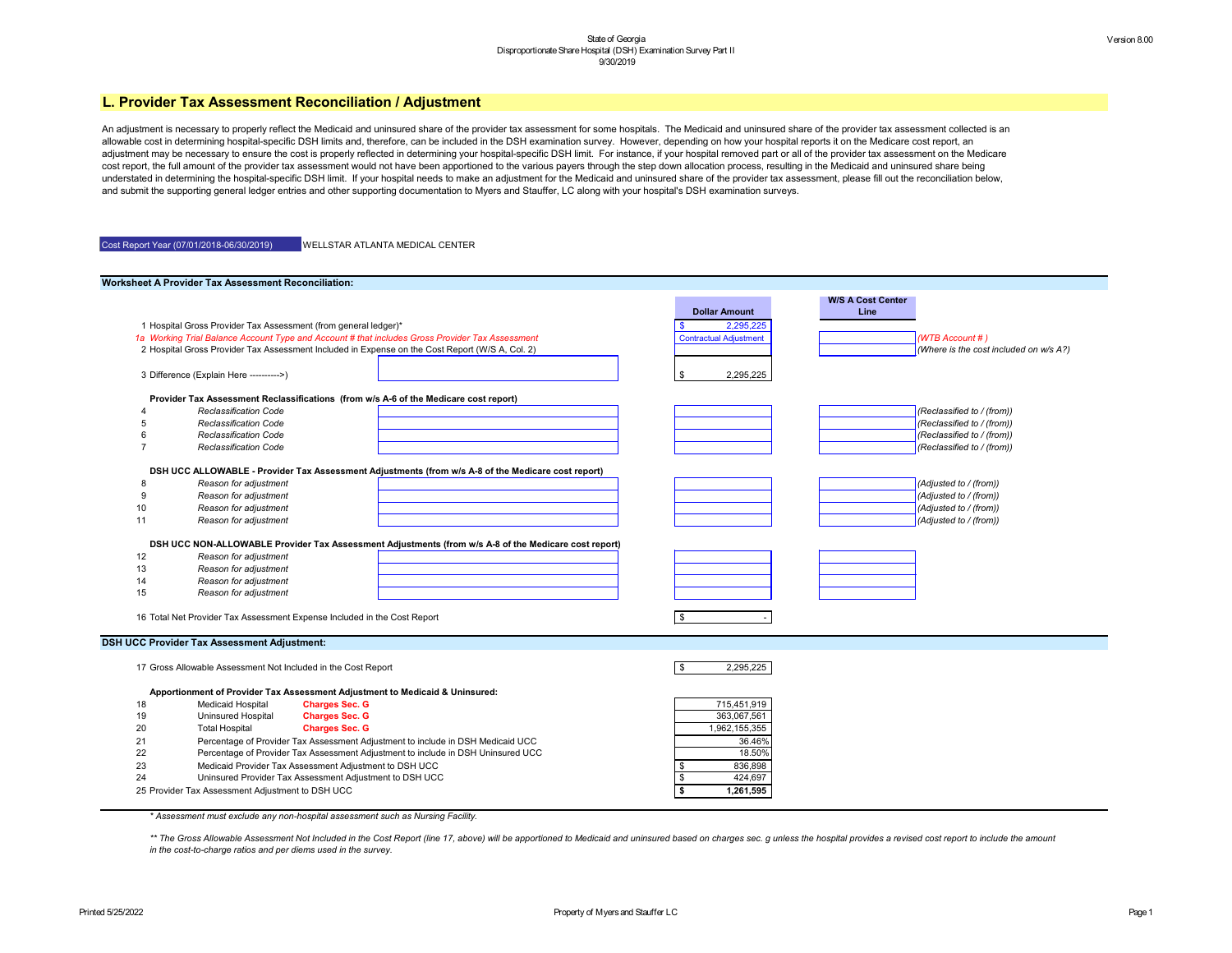

An adjustment is necessary to properly reflect the Medicaid and uninsured share of the provider tax assessment for some hospitals. The Medicaid and uninsured share of the provider tax assessment collected is an allowable cost in determining hospital-specific DSH limits and, therefore, can be included in the DSH examination survey. However, depending on how your hospital reports it on the Medicare cost report, an adjustment may be necessary to ensure the cost is properly reflected in determining your hospital-specific DSH limit. For instance, if your hospital removed part or all of the provider tax assessment on the Medicare cost report, the full amount of the provider tax assessment would not have been apportioned to the various payers through the step down allocation process, resulting in the Medicaid and uninsured share being understated in determining the hospital-specific DSH limit. If your hospital needs to make an adjustment for the Medicaid and uninsured share of the provider tax assessment, please fill out the reconciliation below, and submit the supporting general ledger entries and other supporting documentation to Myers and Stauffer, LC along with your hospital's DSH examination surveys.

| Cost Report Year (07/01/2018-06/30/2019) | <b>WELLSTAR ATLANTA MEDICAL CENTER</b> |
|------------------------------------------|----------------------------------------|
|                                          |                                        |

\*\* The Gross Allowable Assessment Not Included in the Cost Report (line 17, above) will be apportioned to Medicaid and uninsured based on charges sec. g unless the hospital provides a revised cost report to include the amo *in the cost-to-charge ratios and per diems used in the survey.*

|    | <b>Worksheet A Provider Tax Assessment Reconciliation:</b>                   |                                                         |                                                                                                      |                               |                                  |                         |
|----|------------------------------------------------------------------------------|---------------------------------------------------------|------------------------------------------------------------------------------------------------------|-------------------------------|----------------------------------|-------------------------|
|    |                                                                              |                                                         |                                                                                                      | <b>Dollar Amount</b>          | <b>W/S A Cost Center</b><br>Line |                         |
|    | 1 Hospital Gross Provider Tax Assessment (from general ledger)*              |                                                         |                                                                                                      | 2,295,225                     |                                  |                         |
|    |                                                                              |                                                         | 1a Working Trial Balance Account Type and Account # that includes Gross Provider Tax Assessment      | <b>Contractual Adjustment</b> |                                  | (WTB Account #)         |
|    |                                                                              |                                                         | 2 Hospital Gross Provider Tax Assessment Included in Expense on the Cost Report (W/S A, Col. 2)      |                               |                                  | (Where is the cost in   |
|    |                                                                              |                                                         |                                                                                                      |                               |                                  |                         |
|    | 3 Difference (Explain Here ---------->)                                      |                                                         |                                                                                                      | \$<br>2,295,225               |                                  |                         |
|    |                                                                              |                                                         | Provider Tax Assessment Reclassifications (from w/s A-6 of the Medicare cost report)                 |                               |                                  |                         |
|    | <b>Reclassification Code</b>                                                 |                                                         |                                                                                                      |                               |                                  | (Reclassified to / (fro |
|    | <b>Reclassification Code</b>                                                 |                                                         |                                                                                                      |                               |                                  | (Reclassified to / (frc |
|    | <b>Reclassification Code</b>                                                 |                                                         |                                                                                                      |                               |                                  | (Reclassified to / (frc |
|    | <b>Reclassification Code</b>                                                 |                                                         |                                                                                                      |                               |                                  | (Reclassified to / (frc |
|    |                                                                              |                                                         | DSH UCC ALLOWABLE - Provider Tax Assessment Adjustments (from w/s A-8 of the Medicare cost report)   |                               |                                  |                         |
| -8 | Reason for adjustment                                                        |                                                         |                                                                                                      |                               |                                  | (Adjusted to / (from))  |
|    | Reason for adjustment                                                        |                                                         |                                                                                                      |                               |                                  | (Adjusted to / (from))  |
| 10 | Reason for adjustment                                                        |                                                         |                                                                                                      |                               |                                  | (Adjusted to / (from))  |
| 11 | Reason for adjustment                                                        |                                                         |                                                                                                      |                               |                                  | (Adjusted to / (from))  |
|    |                                                                              |                                                         |                                                                                                      |                               |                                  |                         |
|    |                                                                              |                                                         | DSH UCC NON-ALLOWABLE Provider Tax Assessment Adjustments (from w/s A-8 of the Medicare cost report) |                               |                                  |                         |
| 12 | Reason for adjustment                                                        |                                                         |                                                                                                      |                               |                                  |                         |
| 13 | Reason for adjustment                                                        |                                                         |                                                                                                      |                               |                                  |                         |
| 14 | Reason for adjustment                                                        |                                                         |                                                                                                      |                               |                                  |                         |
| 15 | Reason for adjustment                                                        |                                                         |                                                                                                      |                               |                                  |                         |
|    | 16 Total Net Provider Tax Assessment Expense Included in the Cost Report     |                                                         |                                                                                                      | \$                            |                                  |                         |
|    |                                                                              |                                                         |                                                                                                      |                               |                                  |                         |
|    | <b>DSH UCC Provider Tax Assessment Adjustment:</b>                           |                                                         |                                                                                                      |                               |                                  |                         |
|    | 17 Gross Allowable Assessment Not Included in the Cost Report                |                                                         |                                                                                                      | $\sqrt{3}$<br>2,295,225       |                                  |                         |
|    | Apportionment of Provider Tax Assessment Adjustment to Medicaid & Uninsured: |                                                         |                                                                                                      |                               |                                  |                         |
| 18 | <b>Medicaid Hospital</b>                                                     | <b>Charges Sec. G</b>                                   |                                                                                                      | 715,451,919                   |                                  |                         |
| 19 | <b>Uninsured Hospital</b>                                                    | <b>Charges Sec. G</b>                                   |                                                                                                      | 363,067,561                   |                                  |                         |
| 20 | <b>Total Hospital</b>                                                        | <b>Charges Sec. G</b>                                   |                                                                                                      | 1,962,155,355                 |                                  |                         |
| 21 |                                                                              |                                                         | Percentage of Provider Tax Assessment Adjustment to include in DSH Medicaid UCC                      | 36.46%                        |                                  |                         |
| 22 |                                                                              |                                                         | Percentage of Provider Tax Assessment Adjustment to include in DSH Uninsured UCC                     | 18.50%                        |                                  |                         |
| 23 |                                                                              | Medicaid Provider Tax Assessment Adjustment to DSH UCC  |                                                                                                      | 836,898<br>\$                 |                                  |                         |
| 24 |                                                                              | Uninsured Provider Tax Assessment Adjustment to DSH UCC |                                                                                                      | $\sqrt[3]{2}$<br>424,697      |                                  |                         |
|    | 25 Provider Tax Assessment Adjustment to DSH UCC                             |                                                         |                                                                                                      | \$<br>1,261,595               |                                  |                         |
|    |                                                                              |                                                         |                                                                                                      |                               |                                  |                         |

*\* Assessment must exclude any non-hospital assessment such as Nursing Facility.*

## **L. Provider Tax Assessment Reconciliation / Adjustment**